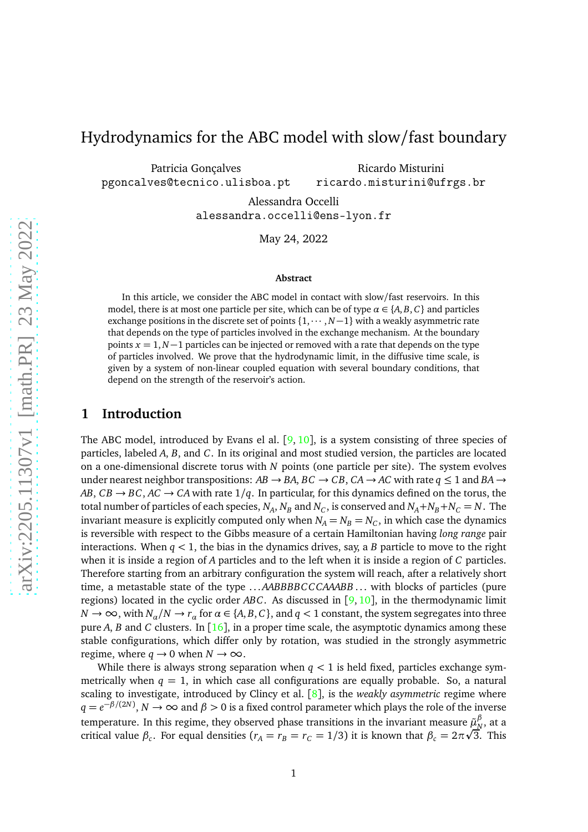# Hydrodynamics for the ABC model with slow/fast boundary

Patricia Gonçalves pgoncalves@tecnico.ulisboa.pt

Ricardo Misturini ricardo.misturini@ufrgs.br

Alessandra Occelli alessandra.occelli@ens-lyon.fr

May 24, 2022

#### **Abstract**

In this article, we consider the ABC model in contact with slow/fast reservoirs. In this model, there is at most one particle per site, which can be of type  $\alpha \in \{A, B, C\}$  and particles exchange positions in the discrete set of points  $\{1,\cdots,N-1\}$  with a weakly asymmetric rate that depends on the type of particles involved in the exchange mechanism. At the boundary points  $x = 1, N-1$  particles can be injected or removed with a rate that depends on the type of particles involved. We prove that the hydrodynamic limit, in the diffusive time scale, is given by a system of non-linear coupled equation with several boundary conditions, that depend on the strength of the reservoir's action.

## **1 Introduction**

The ABC model, introduced by Evans el al.  $[9, 10]$  $[9, 10]$  $[9, 10]$  $[9, 10]$  $[9, 10]$ , is a system consisting of three species of particles, labeled *A*, *B*, and *C*. In its original and most studied version, the particles are located on a one-dimensional discrete torus with *N* points (one particle per site). The system evolves under nearest neighbor transpositions:  $AB \rightarrow BA$ ,  $BC \rightarrow CB$ ,  $CA \rightarrow AC$  with rate  $q \le 1$  and  $BA \rightarrow$ *AB*,  $CB \rightarrow BC$ ,  $AC \rightarrow CA$  with rate  $1/q$ . In particular, for this dynamics defined on the torus, the total number of particles of each species,  $N_A$ ,  $N_B$  and  $N_C$ , is conserved and  $N_A + N_B + N_C = N$ . The invariant measure is explicitly computed only when  $N_A = N_B = N_C$ , in which case the dynamics is reversible with respect to the Gibbs measure of a certain Hamiltonian having *long range* pair interactions. When  $q < 1$ , the bias in the dynamics drives, say, a *B* particle to move to the right when it is inside a region of *A* particles and to the left when it is inside a region of *C* particles. Therefore starting from an arbitrary configuration the system will reach, after a relatively short time, a metastable state of the type ... *AABBBBCCCAAABB* ... with blocks of particles (pure regions) located in the cyclic order *ABC*. As discussed in [[9,](#page-33-0) [10](#page-33-1)], in the thermodynamic limit  $N \to \infty$ , with  $N_a/N \to r_a$  for  $\alpha \in \{A, B, C\}$ , and  $q < 1$  constant, the system segregates into three pure *A*, *B* and *C* clusters. In [[16](#page-33-2)], in a proper time scale, the asymptotic dynamics among these stable configurations, which differ only by rotation, was studied in the strongly asymmetric regime, where  $q \rightarrow 0$  when  $N \rightarrow \infty$ .

While there is always strong separation when  $q < 1$  is held fixed, particles exchange symmetrically when  $q = 1$ , in which case all configurations are equally probable. So, a natural scaling to investigate, introduced by Clincy et al. [[8](#page-33-3)], is the *weakly asymmetric* regime where *q* =  $e^{-\beta/(2N)}$ , *N* → ∞ and *β* > 0 is a fixed control parameter which plays the role of the inverse temperature. In this regime, they observed phase transitions in the invariant measure  $\tilde{\mu}^\beta_\text{\tiny N}$  $^{\prime\prime}_{N},$  at a critical value  $\beta_c$ . For equal densities ( $r_A = r_B = r_C = 1/3$ ) it is known that  $\beta_c = 2\pi\sqrt{3}$ . This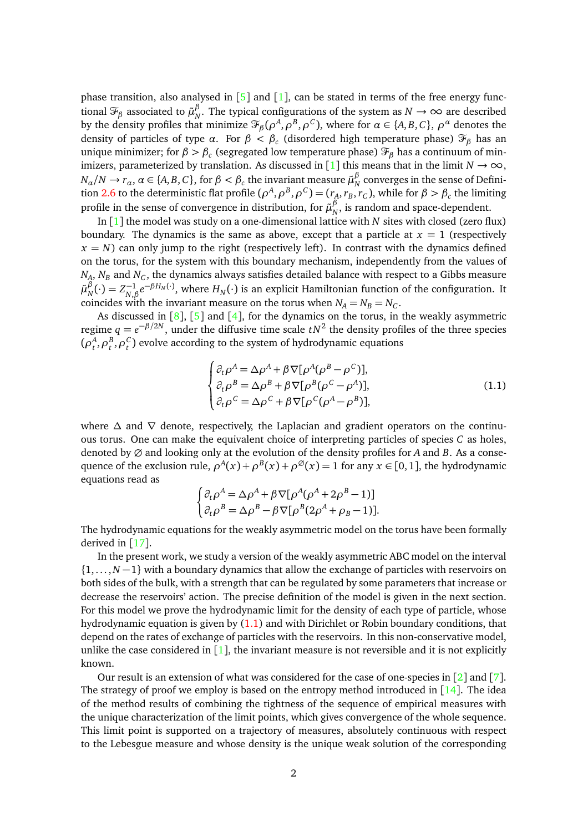phase transition, also analysed in  $[5]$  $[5]$  $[5]$  and  $[1]$  $[1]$  $[1]$ , can be stated in terms of the free energy functional  $\mathcal{F}_{\beta}$  associated to  $\tilde{\mu}^{\beta}_N$ *N*<sup>*N*</sup>. The typical configurations of the system as *N* → ∞ are described by the density profiles that minimize  $\mathcal{F}_{\beta}(\rho^A, \rho^B, \rho^C)$ , where for  $\alpha \in \{A, B, C\}$ ,  $\rho^{\alpha}$  denotes the density of particles of type *α*. For *β < β<sup>c</sup>* (disordered high temperature phase) <sup>F</sup>*<sup>β</sup>* has an unique minimizer; for *β > β<sup>c</sup>* (segregated low temperature phase) <sup>F</sup>*<sup>β</sup>* has a continuum of min-imizers, parameterized by translation. As discussed in [[1](#page-32-0)] this means that in the limit  $N \to \infty$ ,  $N_{\alpha}/N \to r_{\alpha}, \ \alpha \in \{A, B, C\}, \text{ for } \beta < \beta_c \text{ the invariant measure } \tilde{\mu}_N^{\beta}$  $_{N}^{\nu}$  converges in the sense of Defini-tion [2.6](#page-6-0) to the deterministic flat profile ( $ρ^A, ρ^B, ρ^C$ ) = ( $r_A, r_B, r_C$ ), while for  $β > β_c$  the limiting profile in the sense of convergence in distribution, for  $\tilde{\mu}_{\scriptscriptstyle N}^{\beta}$  $_{N}^{\rho}$ , is random and space-dependent.

In [[1](#page-32-0)] the model was study on a one-dimensional lattice with *N* sites with closed (zero flux) boundary. The dynamics is the same as above, except that a particle at  $x = 1$  (respectively  $x = N$ ) can only jump to the right (respectively left). In contrast with the dynamics defined on the torus, for the system with this boundary mechanism, independently from the values of  $N_A$ ,  $N_B$  and  $N_C$ , the dynamics always satisfies detailed balance with respect to a Gibbs measure  $\tilde{\mu}^{\beta}_{_N}$  $N^{\beta}(\cdot) = Z_{N,\beta}^{-1}e^{-\beta H_N(\cdot)}$ , where  $H_N(\cdot)$  is an explicit Hamiltonian function of the configuration. It coincides with the invariant measure on the torus when  $N_A = N_B = N_C$ .

As discussed in  $[8]$  $[8]$  $[8]$ ,  $[5]$  $[5]$  $[5]$  and  $[4]$  $[4]$  $[4]$ , for the dynamics on the torus, in the weakly asymmetric regime  $q = e^{-\beta/2N}$ , under the diffusive time scale  $tN^2$  the density profiles of the three species  $(\rho^A_t, \rho^B_t, \rho^C_t)$  evolve according to the system of hydrodynamic equations

<span id="page-1-0"></span>
$$
\begin{cases}\n\partial_t \rho^A = \Delta \rho^A + \beta \nabla [\rho^A (\rho^B - \rho^C)],\\ \n\partial_t \rho^B = \Delta \rho^B + \beta \nabla [\rho^B (\rho^C - \rho^A)],\\ \n\partial_t \rho^C = \Delta \rho^C + \beta \nabla [\rho^C (\rho^A - \rho^B)],\n\end{cases}
$$
\n(1.1)

where  $\Delta$  and  $\nabla$  denote, respectively, the Laplacian and gradient operators on the continuous torus. One can make the equivalent choice of interpreting particles of species *C* as holes, denoted by ∅ and looking only at the evolution of the density profiles for *A* and *B*. As a consequence of the exclusion rule,  $\rho^A(x) + \rho^B(x) + \rho^\emptyset(x) = 1$  for any  $x \in [0, 1]$ , the hydrodynamic equations read as

$$
\begin{cases} \partial_t \rho^A = \Delta \rho^A + \beta \nabla [\rho^A (\rho^A + 2\rho^B - 1)] \\ \partial_t \rho^B = \Delta \rho^B - \beta \nabla [\rho^B (2\rho^A + \rho_B - 1)]. \end{cases}
$$

The hydrodynamic equations for the weakly asymmetric model on the torus have been formally derived in [[17](#page-33-6)].

In the present work, we study a version of the weakly asymmetric ABC model on the interval {1,... ,*N* −1} with a boundary dynamics that allow the exchange of particles with reservoirs on both sides of the bulk, with a strength that can be regulated by some parameters that increase or decrease the reservoirs' action. The precise definition of the model is given in the next section. For this model we prove the hydrodynamic limit for the density of each type of particle, whose hydrodynamic equation is given by [\(1.1\)](#page-1-0) and with Dirichlet or Robin boundary conditions, that depend on the rates of exchange of particles with the reservoirs. In this non-conservative model, unlike the case considered in  $\lceil 1 \rceil$  $\lceil 1 \rceil$  $\lceil 1 \rceil$ , the invariant measure is not reversible and it is not explicitly known.

Our result is an extension of what was considered for the case of one-species in [[2](#page-32-1)] and [[7](#page-33-7)]. The strategy of proof we employ is based on the entropy method introduced in  $[14]$  $[14]$  $[14]$ . The idea of the method results of combining the tightness of the sequence of empirical measures with the unique characterization of the limit points, which gives convergence of the whole sequence. This limit point is supported on a trajectory of measures, absolutely continuous with respect to the Lebesgue measure and whose density is the unique weak solution of the corresponding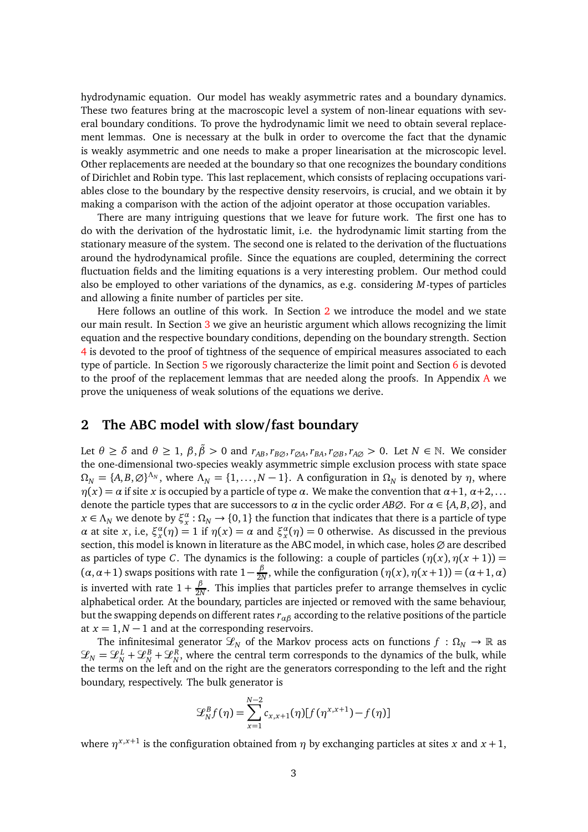hydrodynamic equation. Our model has weakly asymmetric rates and a boundary dynamics. These two features bring at the macroscopic level a system of non-linear equations with several boundary conditions. To prove the hydrodynamic limit we need to obtain several replacement lemmas. One is necessary at the bulk in order to overcome the fact that the dynamic is weakly asymmetric and one needs to make a proper linearisation at the microscopic level. Other replacements are needed at the boundary so that one recognizes the boundary conditions of Dirichlet and Robin type. This last replacement, which consists of replacing occupations variables close to the boundary by the respective density reservoirs, is crucial, and we obtain it by making a comparison with the action of the adjoint operator at those occupation variables.

There are many intriguing questions that we leave for future work. The first one has to do with the derivation of the hydrostatic limit, i.e. the hydrodynamic limit starting from the stationary measure of the system. The second one is related to the derivation of the fluctuations around the hydrodynamical profile. Since the equations are coupled, determining the correct fluctuation fields and the limiting equations is a very interesting problem. Our method could also be employed to other variations of the dynamics, as e.g. considering *M*-types of particles and allowing a finite number of particles per site.

Here follows an outline of this work. In Section [2](#page-2-0) we introduce the model and we state our main result. In Section [3](#page-7-0) we give an heuristic argument which allows recognizing the limit equation and the respective boundary conditions, depending on the boundary strength. Section [4](#page-12-0) is devoted to the proof of tightness of the sequence of empirical measures associated to each type of particle. In Section [5](#page-13-0) we rigorously characterize the limit point and Section [6](#page-16-0) is devoted to the proof of the replacement lemmas that are needed along the proofs. In [A](#page-28-0)ppendix  $A$  we prove the uniqueness of weak solutions of the equations we derive.

# <span id="page-2-0"></span>**2 The ABC model with slow/fast boundary**

Let  $\theta \ge \delta$  and  $\theta \ge 1$ ,  $\beta, \tilde{\beta} > 0$  and  $r_{AB}, r_{B\emptyset}, r_{\emptyset A}, r_{BA}, r_{\emptyset B}, r_{A\emptyset} > 0$ . Let  $N \in \mathbb{N}$ . We consider the one-dimensional two-species weakly asymmetric simple exclusion process with state space  $\Omega_N = \{A, B, \emptyset\}^{\Lambda_N}$ , where  $\Lambda_N = \{1, \dots, N-1\}$ . A configuration in  $\Omega_N$  is denoted by  $\eta$ , where  $η(x) = α$  if site *x* is occupied by a particle of type *α*. We make the convention that  $α+1$ ,  $α+2$ ,... denote the particle types that are successors to  $\alpha$  in the cyclic order *AB* $\emptyset$ . For  $\alpha \in \{A, B, \emptyset\}$ , and  $x \in \Lambda_N$  we denote by  $\xi_x^{\alpha} : \Omega_N \to \{0,1\}$  the function that indicates that there is a particle of type *α* at site *x*, i.e,  $\xi_x^{\alpha}(\eta) = 1$  if  $\eta(x) = \alpha$  and  $\xi_x^{\alpha}(\eta) = 0$  otherwise. As discussed in the previous section, this model is known in literature as the ABC model, in which case, holes ∅ are described as particles of type *C*. The dynamics is the following: a couple of particles  $(\eta(x), \eta(x+1)) =$  $(\alpha, \alpha+1)$  swaps positions with rate  $1-\frac{\beta}{2N}$  $\frac{p}{2N}$ , while the configuration  $(\eta(x), \eta(x+1)) = (\alpha+1, \alpha)$ is inverted with rate  $1 + \frac{\beta}{2\lambda}$  $\frac{\rho}{2N}$ . This implies that particles prefer to arrange themselves in cyclic alphabetical order. At the boundary, particles are injected or removed with the same behaviour, but the swapping depends on different rates *rαβ* according to the relative positions of the particle at  $x = 1, N - 1$  and at the corresponding reservoirs.

The infinitesimal generator  $\mathcal{L}_N$  of the Markov process acts on functions  $f : \Omega_N \to \mathbb{R}$  as  $\mathcal{L}_N = \mathcal{L}_N^L + \mathcal{L}_N^R$ , where the central term corresponds to the dynamics of the bulk, while the terms on the left and on the right are the generators corresponding to the left and the right boundary, respectively. The bulk generator is

$$
\mathcal{L}_{N}^{B}f(\eta) = \sum_{x=1}^{N-2} c_{x,x+1}(\eta) [f(\eta^{x,x+1}) - f(\eta)]
$$

where  $\eta^{x,x+1}$  is the configuration obtained from  $\eta$  by exchanging particles at sites *x* and *x* + 1,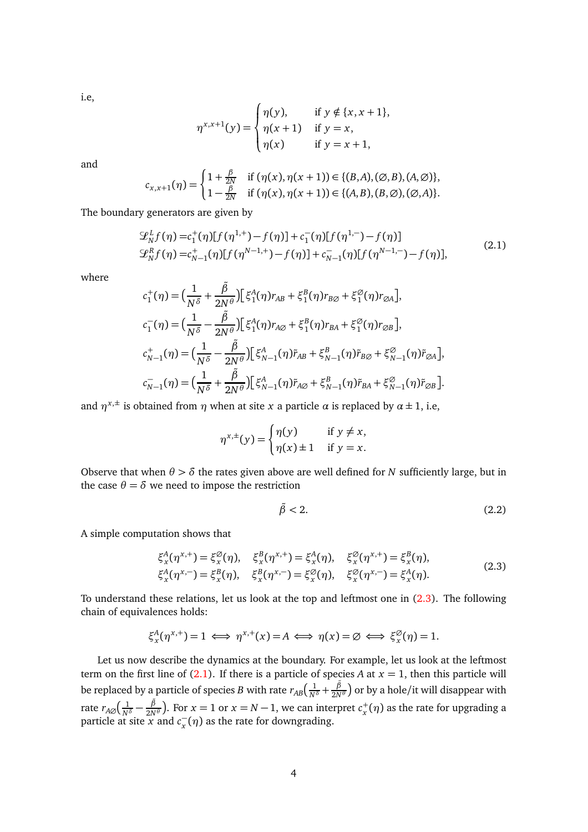i.e,

$$
\eta^{x,x+1}(y) = \begin{cases} \eta(y), & \text{if } y \notin \{x, x+1\}, \\ \eta(x+1) & \text{if } y = x, \\ \eta(x) & \text{if } y = x+1, \end{cases}
$$

and

$$
c_{x,x+1}(\eta) = \begin{cases} 1 + \frac{\beta}{2N} & \text{if } (\eta(x), \eta(x+1)) \in \{(B, A), (\emptyset, B), (A, \emptyset)\}, \\ 1 - \frac{\beta}{2N} & \text{if } (\eta(x), \eta(x+1)) \in \{(A, B), (B, \emptyset), (\emptyset, A)\}. \end{cases}
$$

The boundary generators are given by

<span id="page-3-1"></span>
$$
\mathcal{L}_{N}^{L}f(\eta) = c_{1}^{+}(\eta)[f(\eta^{1,+}) - f(\eta)] + c_{1}^{-}(\eta)[f(\eta^{1,-}) - f(\eta)]
$$
  
\n
$$
\mathcal{L}_{N}^{R}f(\eta) = c_{N-1}^{+}(\eta)[f(\eta^{N-1,+}) - f(\eta)] + c_{N-1}^{-}(\eta)[f(\eta^{N-1,-}) - f(\eta)],
$$
\n(2.1)

where

$$
c_{1}^{+}(\eta) = \left(\frac{1}{N^{\delta}} + \frac{\tilde{\beta}}{2N^{\theta}}\right) \left[\xi_{1}^{A}(\eta) r_{AB} + \xi_{1}^{B}(\eta) r_{B\emptyset} + \xi_{1}^{\emptyset}(\eta) r_{\emptyset A}\right],
$$
  
\n
$$
c_{1}^{-}(\eta) = \left(\frac{1}{N^{\delta}} - \frac{\tilde{\beta}}{2N^{\theta}}\right) \left[\xi_{1}^{A}(\eta) r_{A\emptyset} + \xi_{1}^{B}(\eta) r_{BA} + \xi_{1}^{\emptyset}(\eta) r_{\emptyset B}\right],
$$
  
\n
$$
c_{N-1}^{+}(\eta) = \left(\frac{1}{N^{\delta}} - \frac{\tilde{\beta}}{2N^{\theta}}\right) \left[\xi_{N-1}^{A}(\eta) \tilde{r}_{AB} + \xi_{N-1}^{B}(\eta) \tilde{r}_{B\emptyset} + \xi_{N-1}^{\emptyset}(\eta) \tilde{r}_{\emptyset A}\right],
$$
  
\n
$$
c_{N-1}^{-}(\eta) = \left(\frac{1}{N^{\delta}} + \frac{\tilde{\beta}}{2N^{\theta}}\right) \left[\xi_{N-1}^{A}(\eta) \tilde{r}_{A\emptyset} + \xi_{N-1}^{B}(\eta) \tilde{r}_{BA} + \xi_{N-1}^{\emptyset}(\eta) \tilde{r}_{\emptyset B}\right].
$$

and  $\eta^{x,\pm}$  is obtained from  $\eta$  when at site *x* a particle  $\alpha$  is replaced by  $\alpha \pm 1$ , i.e,

$$
\eta^{x,\pm}(y) = \begin{cases} \eta(y) & \text{if } y \neq x, \\ \eta(x) \pm 1 & \text{if } y = x. \end{cases}
$$

Observe that when  $\theta > \delta$  the rates given above are well defined for *N* sufficiently large, but in the case  $\theta = \delta$  we need to impose the restriction

<span id="page-3-2"></span>
$$
\tilde{\beta} < 2. \tag{2.2}
$$

A simple computation shows that

<span id="page-3-0"></span>
$$
\xi_x^A(\eta^{x,+}) = \xi_x^{\emptyset}(\eta), \quad \xi_x^B(\eta^{x,+}) = \xi_x^A(\eta), \quad \xi_x^{\emptyset}(\eta^{x,+}) = \xi_x^B(\eta), \xi_x^A(\eta^{x,-}) = \xi_x^B(\eta), \quad \xi_x^B(\eta^{x,-}) = \xi_x^{\emptyset}(\eta), \quad \xi_x^{\emptyset}(\eta^{x,-}) = \xi_x^A(\eta).
$$
\n(2.3)

To understand these relations, let us look at the top and leftmost one in [\(2.3\)](#page-3-0). The following chain of equivalences holds:

$$
\xi_x^A(\eta^{x,+}) = 1 \iff \eta^{x,+}(x) = A \iff \eta(x) = \emptyset \iff \xi_x^{\emptyset}(\eta) = 1.
$$

Let us now describe the dynamics at the boundary. For example, let us look at the leftmost term on the first line of  $(2.1)$ . If there is a particle of species *A* at  $x = 1$ , then this particle will be replaced by a particle of species *B* with rate  $r_{AB} \left( \frac{1}{N^{\delta}} + \frac{\tilde{\beta}}{2N} \right)$  $\frac{\beta}{2N^{\theta}}$ ) or by a hole/it will disappear with rate  $r_{A\varnothing}\left(\frac{1}{N^\delta}-\right)$ *β*˜  $\frac{\beta}{2N^{\theta}}$ ). For  $x = 1$  or  $x = N - 1$ , we can interpret  $c_x^+$  $x^+_{x}(\eta)$  as the rate for upgrading a particle at site *x* and  $c_x^-(\eta)$  as the rate for downgrading.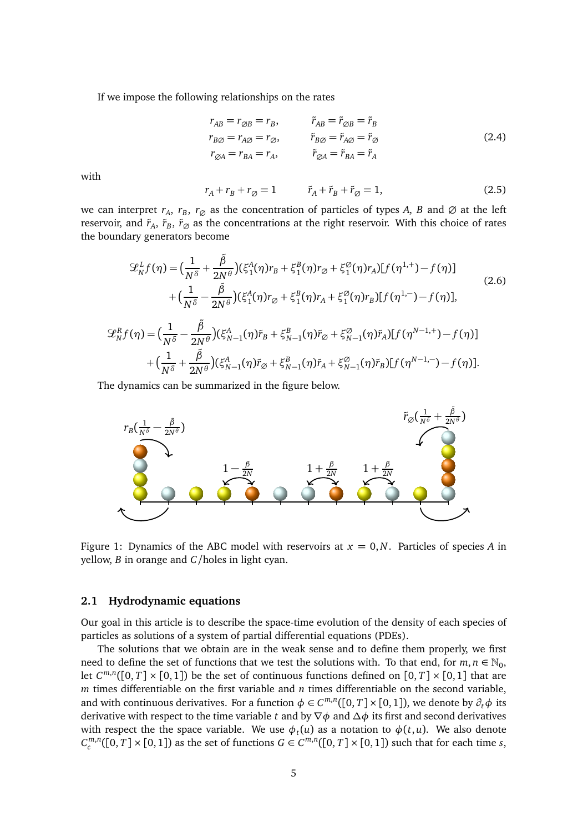If we impose the following relationships on the rates

<span id="page-4-0"></span>
$$
r_{AB} = r_{\emptyset B} = r_B, \t\tilde{r}_{AB} = \tilde{r}_{\emptyset B} = \tilde{r}_B \r_{B\emptyset} = r_{A\emptyset} = r_{\emptyset}, \t\tilde{r}_{B\emptyset} = \tilde{r}_{A\emptyset} = \tilde{r}_{\emptyset} \r_{\emptyset A} = r_{BA} = r_A, \t\tilde{r}_{\emptyset A} = \tilde{r}_{BA} = \tilde{r}_A
$$
\n(2.4)

with

<span id="page-4-1"></span>
$$
r_A + r_B + r_\emptyset = 1 \qquad \qquad \tilde{r}_A + \tilde{r}_B + \tilde{r}_\emptyset = 1,\tag{2.5}
$$

we can interpret  $r_A$ ,  $r_B$ ,  $r_\varnothing$  as the concentration of particles of types *A*, *B* and  $\varnothing$  at the left reservoir, and  $\tilde{r}_A$ ,  $\tilde{r}_B$ ,  $\tilde{r}_\varnothing$  as the concentrations at the right reservoir. With this choice of rates the boundary generators become

<span id="page-4-2"></span>
$$
\mathcal{L}_{N}^{L}f(\eta) = \left(\frac{1}{N^{\delta}} + \frac{\tilde{\beta}}{2N^{\theta}}\right)(\xi_{1}^{A}(\eta)r_{B} + \xi_{1}^{B}(\eta)r_{\varnothing} + \xi_{1}^{\varnothing}(\eta)r_{A})[f(\eta^{1,+}) - f(\eta)]
$$
\n
$$
+ \left(\frac{1}{N^{\delta}} - \frac{\tilde{\beta}}{2N^{\theta}}\right)(\xi_{1}^{A}(\eta)r_{\varnothing} + \xi_{1}^{B}(\eta)r_{A} + \xi_{1}^{\varnothing}(\eta)r_{B})[f(\eta^{1,-}) - f(\eta)],
$$
\n
$$
\mathcal{L}_{N}^{R}f(\eta) = \left(\frac{1}{N^{\delta}} - \frac{\tilde{\beta}}{2N^{\theta}}\right)(\xi_{N-1}^{A}(\eta)\tilde{r}_{B} + \xi_{N-1}^{B}(\eta)\tilde{r}_{\varnothing} + \xi_{N-1}^{\varnothing}(\eta)\tilde{r}_{A})[f(\eta^{N-1,+}) - f(\eta)]
$$
\n
$$
+ \left(\frac{1}{N^{\delta}} + \frac{\tilde{\beta}}{2N^{\theta}}\right)(\xi_{N-1}^{A}(\eta)\tilde{r}_{\varnothing} + \xi_{N-1}^{B}(\eta)\tilde{r}_{A} + \xi_{N-1}^{\varnothing}(\eta)\tilde{r}_{B})[f(\eta^{N-1,-}) - f(\eta)].
$$
\n(2.6)

The dynamics can be summarized in the figure below.



Figure 1: Dynamics of the ABC model with reservoirs at *x* = 0,*N*. Particles of species *A* in yellow, *B* in orange and *C*/holes in light cyan.

## **2.1 Hydrodynamic equations**

Our goal in this article is to describe the space-time evolution of the density of each species of particles as solutions of a system of partial differential equations (PDEs).

The solutions that we obtain are in the weak sense and to define them properly, we first need to define the set of functions that we test the solutions with. To that end, for  $m, n \in \mathbb{N}_0$ , let  $C^{m,n}([0,T] \times [0,1])$  be the set of continuous functions defined on  $[0,T] \times [0,1]$  that are *m* times differentiable on the first variable and *n* times differentiable on the second variable, and with continuous derivatives. For a function  $\phi \in C^{m,n}([0,T] \times [0,1])$ , we denote by  $\partial_t \phi$  its derivative with respect to the time variable *<sup>t</sup>* and by <sup>∇</sup>*<sup>φ</sup>* and *<sup>∆</sup><sup>φ</sup>* its first and second derivatives with respect the the space variable. We use  $\phi_t(u)$  as a notation to  $\phi(t,u)$ . We also denote  $C_c^{m,n}([0,T] \times [0,1])$  as the set of functions  $G \in C^{m,n}([0,T] \times [0,1])$  such that for each time *s*,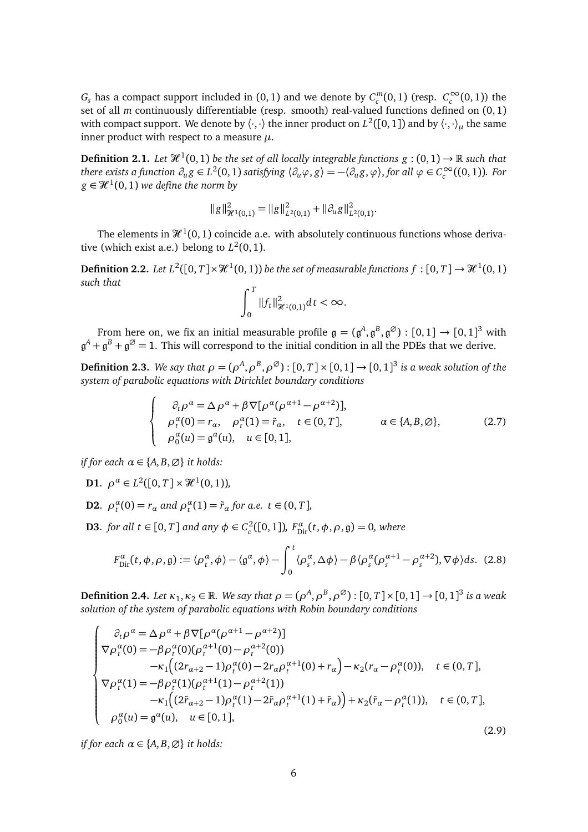$G_s$  has a compact support included in  $(0, 1)$  and we denote by  $C_c^m(0, 1)$  (resp.  $C_c^{\infty}(0, 1)$ ) the set of all *m* continuously differentiable (resp. smooth) real-valued functions defined on (0, 1) with compact support. We denote by  $\langle\cdot,\cdot\rangle$  the inner product on  $L^2([0,1])$  and by  $\langle\cdot,\cdot\rangle_\mu$  the same inner product with respect to a measure *µ*.

**Definition 2.1.** Let  $\mathcal{H}^1(0,1)$  be the set of all locally integrable functions  $g:(0,1) \to \mathbb{R}$  such that there exists a function  $\partial_u g \in L^2(0,1)$  satisfying  $\langle \partial_u \varphi, g \rangle = -\langle \partial_u g, \varphi \rangle$ , for all  $\varphi \in C_c^{\infty}((0,1))$ . For  $g \in \mathcal{H}^1(0,1)$  we define the norm by

$$
||g||^2_{\mathcal{H}^1(0,1)} = ||g||^2_{L^2(0,1)} + ||\partial_u g||^2_{L^2(0,1)}.
$$

The elements in  $\mathcal{H}^{1}(0,1)$  coincide a.e. with absolutely continuous functions whose derivative (which exist a.e.) belong to  $L^2(0,1)$ .

**Definition 2.2.** Let  $L^2([0, T] \times \mathcal{H}^1(0, 1))$  be the set of measurable functions  $f : [0, T] \to \mathcal{H}^1(0, 1)$ *such that*

$$
\int_0^T \|f_t\|_{\mathcal{H}^1(0,1)}^2 dt < \infty.
$$

From here on, we fix an initial measurable profile  $\mathfrak{g} = (\mathfrak{g}^A, \mathfrak{g}^B, \mathfrak{g}^\emptyset) : [0,1] \to [0,1]^3$  with  $\mathfrak{g}^A+\mathfrak{g}^B+\mathfrak{g}^\oslash=1.$  This will correspond to the initial condition in all the PDEs that we derive.

<span id="page-5-0"></span>**Definition 2.3.** We say that  $\rho = (\rho^A, \rho^B, \rho^\emptyset)$  :  $[0, T] \times [0, 1] \rightarrow [0, 1]^3$  is a weak solution of the *system of parabolic equations with Dirichlet boundary conditions*

<span id="page-5-1"></span>
$$
\begin{cases}\n\partial_t \rho^{\alpha} = \Delta \rho^{\alpha} + \beta \nabla [\rho^{\alpha} (\rho^{\alpha+1} - \rho^{\alpha+2})], \\
\rho_t^{\alpha}(0) = r_{\alpha}, \quad \rho_t^{\alpha}(1) = \tilde{r}_{\alpha}, \quad t \in (0, T], \\
\rho_0^{\alpha}(u) = \mathfrak{g}^{\alpha}(u), \quad u \in [0, 1],\n\end{cases} \quad \alpha \in \{A, B, \emptyset\},\n\tag{2.7}
$$

*if for each*  $\alpha \in \{A, B, \emptyset\}$  *it holds:* 

- **D1**.  $\rho^{\alpha} \in L^2([0, T] \times \mathcal{H}^1(0, 1)),$
- **D2**.  $\rho_t^{\alpha}(0) = r_{\alpha}$  and  $\rho_t^{\alpha}(1) = \tilde{r}_{\alpha}$  for a.e.  $t \in (0, T]$ ,
- **D3**. *for all t* ∈ [0, *T*] *and any*  $\phi$  ∈ *C*<sup>2</sup>([0, 1])*, F*<sub> $0$ </sub><sup>α</sup><sub>1</sub>(*t*,  $\phi$ ,  $\rho$ ,  $\phi$ ) = 0*, where*

<span id="page-5-3"></span>
$$
F_{\text{Dir}}^{\alpha}(t,\phi,\rho,\mathfrak{g}) := \langle \rho_t^{\alpha}, \phi \rangle - \langle \mathfrak{g}^{\alpha}, \phi \rangle - \int_0^t \langle \rho_s^{\alpha}, \Delta \phi \rangle - \beta \langle \rho_s^{\alpha} (\rho_s^{\alpha+1} - \rho_s^{\alpha+2}), \nabla \phi \rangle ds. \tag{2.8}
$$

**Definition 2.4.** Let  $\kappa_1, \kappa_2 \in \mathbb{R}$ . We say that  $\rho = (\rho^A, \rho^B, \rho^{\emptyset}) : [0, T] \times [0, 1] \rightarrow [0, 1]^3$  is a weak *solution of the system of parabolic equations with Robin boundary conditions*

<span id="page-5-2"></span>
$$
\begin{cases}\n\partial_t \rho^{\alpha} = \Delta \rho^{\alpha} + \beta \nabla [\rho^{\alpha} (\rho^{\alpha+1} - \rho^{\alpha+2})] \\
\nabla \rho_t^{\alpha}(0) = -\beta \rho_t^{\alpha}(0) (\rho_t^{\alpha+1}(0) - \rho_t^{\alpha+2}(0)) \\
-\kappa_1 \Big( (2r_{\alpha+2} - 1) \rho_t^{\alpha}(0) - 2r_{\alpha} \rho_t^{\alpha+1}(0) + r_{\alpha} \Big) - \kappa_2 (r_{\alpha} - \rho_t^{\alpha}(0)), \quad t \in (0, T], \\
\nabla \rho_t^{\alpha}(1) = -\beta \rho_t^{\alpha}(1) (\rho_t^{\alpha+1}(1) - \rho_t^{\alpha+2}(1)) \\
-\kappa_1 \Big( (2\tilde{r}_{\alpha+2} - 1) \rho_t^{\alpha}(1) - 2\tilde{r}_{\alpha} \rho_t^{\alpha+1}(1) + \tilde{r}_{\alpha} \Big) + \kappa_2 (\tilde{r}_{\alpha} - \rho_t^{\alpha}(1)), \quad t \in (0, T], \\
\rho_0^{\alpha}(u) = \mathfrak{g}^{\alpha}(u), \quad u \in [0, 1],\n\end{cases} (2.9)
$$

*if for each*  $\alpha \in \{A, B, \emptyset\}$  *it holds:*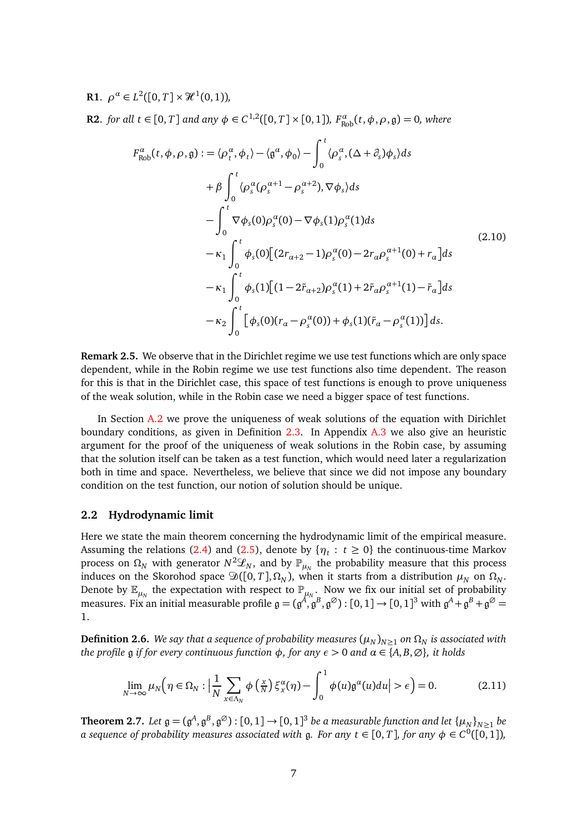**R1**.  $\rho^{\alpha} \in L^2([0, T] \times \mathcal{H}^1(0, 1)),$ 

**R2**. *for all t* ∈ [0, *T*] *and any*  $φ ∈ C^{1,2}([0, T] × [0, 1])$ *,*  $F^α_{Rob}(t, φ, ρ, θ) = 0$ *, where* 

<span id="page-6-1"></span>
$$
F_{Rob}^{\alpha}(t, \phi, \rho, \mathfrak{g}) := \langle \rho_{t}^{\alpha}, \phi_{t} \rangle - \langle \mathfrak{g}^{\alpha}, \phi_{0} \rangle - \int_{0}^{t} \langle \rho_{s}^{\alpha}, (\Delta + \partial_{s}) \phi_{s} \rangle ds
$$
  
+  $\beta \int_{0}^{t} \langle \rho_{s}^{\alpha} (\rho_{s}^{\alpha+1} - \rho_{s}^{\alpha+2}), \nabla \phi_{s} \rangle ds$   
-  $\int_{0}^{t} \nabla \phi_{s}(0) \rho_{s}^{\alpha}(0) - \nabla \phi_{s}(1) \rho_{s}^{\alpha}(1) ds$   
-  $\kappa_{1} \int_{0}^{t} \phi_{s}(0) [(2r_{\alpha+2} - 1) \rho_{s}^{\alpha}(0) - 2r_{\alpha} \rho_{s}^{\alpha+1}(0) + r_{\alpha}] ds$   
-  $\kappa_{1} \int_{0}^{t} \phi_{s}(1) [(1 - 2\tilde{r}_{\alpha+2}) \rho_{s}^{\alpha}(1) + 2\tilde{r}_{\alpha} \rho_{s}^{\alpha+1}(1) - \tilde{r}_{\alpha}] ds$   
-  $\kappa_{2} \int_{0}^{t} [\phi_{s}(0)(r_{\alpha} - \rho_{s}^{\alpha}(0)) + \phi_{s}(1)(\tilde{r}_{\alpha} - \rho_{s}^{\alpha}(1))] ds.$  (2.10)

**Remark 2.5.** We observe that in the Dirichlet regime we use test functions which are only space dependent, while in the Robin regime we use test functions also time dependent. The reason for this is that in the Dirichlet case, this space of test functions is enough to prove uniqueness of the weak solution, while in the Robin case we need a bigger space of test functions.

In Section [A.2](#page-29-0) we prove the uniqueness of weak solutions of the equation with Dirichlet boundary conditions, as given in Definition [2.3.](#page-5-0) In Appendix [A.3](#page-31-0) we also give an heuristic argument for the proof of the uniqueness of weak solutions in the Robin case, by assuming that the solution itself can be taken as a test function, which would need later a regularization both in time and space. Nevertheless, we believe that since we did not impose any boundary condition on the test function, our notion of solution should be unique.

## **2.2 Hydrodynamic limit**

Here we state the main theorem concerning the hydrodynamic limit of the empirical measure. Assuming the relations [\(2.4\)](#page-4-0) and [\(2.5\)](#page-4-1), denote by  $\{\eta_t : t \geq 0\}$  the continuous-time Markov process on  $Ω_N$  with generator  $N^2\mathscr{L}_N$ , and by  $\mathbb{P}_{\mu_N}$  the probability measure that this process induces on the Skorohod space  $\mathfrak{D}([0, T], \Omega_N)$ , when it starts from a distribution  $\mu_N$  on  $\Omega_N$ . Denote by  $\mathbb{E}_{\mu_N}$  the expectation with respect to  $\mathbb{P}_{\mu_N}$ . Now we fix our initial set of probability measures. Fix an initial measurable profile  $\mathfrak{g} = (\mathfrak{g}^A, \mathfrak{g}^B, \mathfrak{g}^\emptyset) : [0,1] \to [0,1]^3$  with  $\mathfrak{g}^A + \mathfrak{g}^B + \mathfrak{g}^\emptyset =$ 1.

<span id="page-6-0"></span>**Definition 2.6.** *We say that a sequence of probability measures*  $(\mu_N)_{N>1}$  *on*  $\Omega_N$  *is associated with the profile*  $g$  *if for every continuous function*  $φ$ *, for any*  $ε$  > 0 *and*  $α$  ∈ {*A*, *B*,  $Ø$ }*, it holds* 

<span id="page-6-3"></span>
$$
\lim_{N \to \infty} \mu_N \Big( \eta \in \Omega_N : \Big| \frac{1}{N} \sum_{x \in \Lambda_N} \phi \left( \frac{x}{N} \right) \xi_x^{\alpha}(\eta) - \int_0^1 \phi(u) \mathfrak{g}^{\alpha}(u) du \Big| > \epsilon \Big) = 0. \tag{2.11}
$$

<span id="page-6-2"></span>**Theorem 2.7.** Let  $\mathfrak{g} = (\mathfrak{g}^A, \mathfrak{g}^B, \mathfrak{g}^\oslash) : [0,1] \to [0,1]^3$  be a measurable function and let  $\{\mu_N\}_{N \geq 1}$  be *a* sequence of probability measures associated with  $\mathfrak{g}$ . For any  $t \in [0, T]$ , for any  $\phi \in C^0([0, 1])$ ,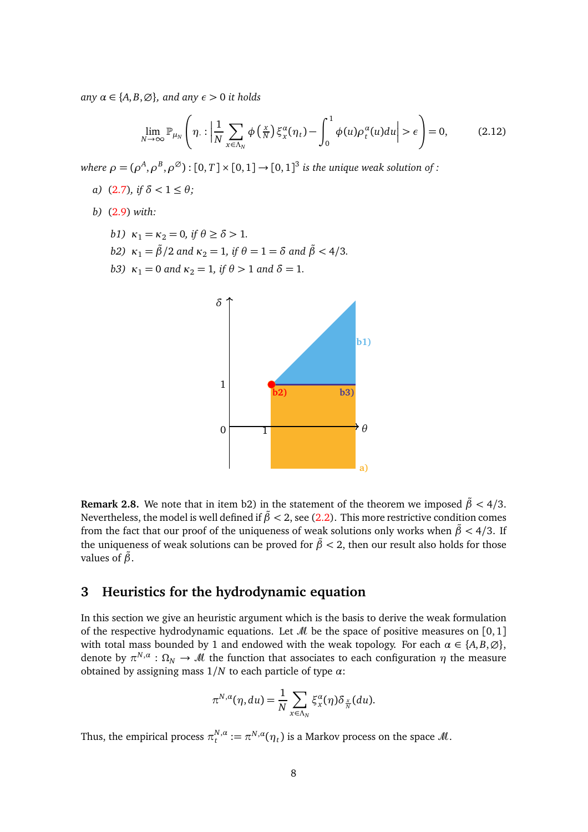*any*  $\alpha \in \{A, B, \emptyset\}$ *, and any*  $\epsilon > 0$  *it holds* 

$$
\lim_{N \to \infty} \mathbb{P}_{\mu_N}\left(\eta : \left| \frac{1}{N} \sum_{x \in \Lambda_N} \phi\left(\frac{x}{N}\right) \xi_x^{\alpha}(\eta_t) - \int_0^1 \phi(u) \rho_t^{\alpha}(u) du \right| > \epsilon \right) = 0, \tag{2.12}
$$

*where*  $\rho = (\rho^A, \rho^B, \rho^{\emptyset})$  :  $[0, T] \times [0, 1] \rightarrow [0, 1]^3$  *is the unique weak solution of :* 

- *a*) [\(2.7\)](#page-5-1)*, if*  $\delta$  < 1 ≤ *θ;*
- *b)* [\(2.9\)](#page-5-2) *with:*
	- *b1)*  $\kappa_1 = \kappa_2 = 0$ , if  $\theta \ge \delta > 1$ .
	- *b2)*  $\kappa_1 = \frac{\beta}{2}$  *and*  $\kappa_2 = 1$ *, if*  $\theta = 1 = \delta$  *and*  $\tilde{\beta} < 4/3$ *.*
	- *b3)*  $\kappa_1 = 0$  *and*  $\kappa_2 = 1$ *, if*  $\theta > 1$  *and*  $\delta = 1$ *.*



**Remark 2.8.** We note that in item b2) in the statement of the theorem we imposed  $\tilde{\beta}$  < 4/3. Nevertheless, the model is well defined if  $\tilde{\beta}$  < 2, see [\(2.2\)](#page-3-2). This more restrictive condition comes from the fact that our proof of the uniqueness of weak solutions only works when  $\tilde{\beta}$  < 4/3. If the uniqueness of weak solutions can be proved for  $\tilde{\beta}$  < 2, then our result also holds for those values of *β*˜.

# <span id="page-7-0"></span>**3 Heuristics for the hydrodynamic equation**

In this section we give an heuristic argument which is the basis to derive the weak formulation of the respective hydrodynamic equations. Let  $\mathcal M$  be the space of positive measures on [0, 1] with total mass bounded by 1 and endowed with the weak topology. For each  $\alpha \in \{A, B, \emptyset\}$ , denote by  $\pi^{N,\alpha} : \Omega_N \to M$  the function that associates to each configuration  $\eta$  the measure obtained by assigning mass 1*/N* to each particle of type *α*:

$$
\pi^{N,\alpha}(\eta,du)=\frac{1}{N}\sum_{x\in\Lambda_N}\xi_x^{\alpha}(\eta)\delta_{\frac{x}{N}}(du).
$$

Thus, the empirical process  $\pi_t^{N,a}$  $t^{N,\alpha}_{t} := \pi^{N,\alpha}(\eta_t)$  is a Markov process on the space  $\mathcal{M}.$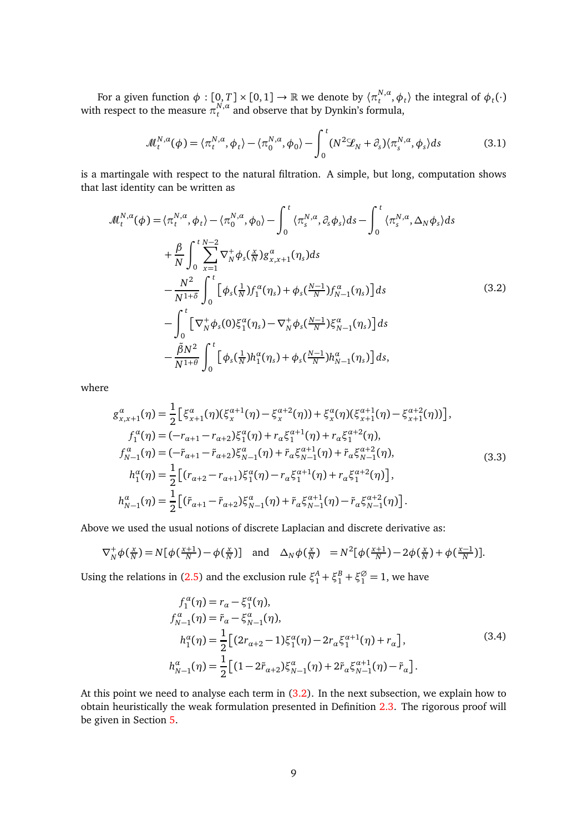For a given function  $\phi: [0,T] \times [0,1] \to \mathbb{R}$  we denote by  $\langle \pi_t^{N,\alpha} \rangle$  $\langle \phi_t^{\mathsf{N},\alpha}, \phi_t \rangle$  the integral of  $\phi_t(\cdot)$ with respect to the measure  $\pi_t^{N,a}$  $t^{N,\alpha}$  and observe that by Dynkin's formula,

<span id="page-8-1"></span>
$$
\mathcal{M}_t^{N,\alpha}(\phi) = \langle \pi_t^{N,\alpha}, \phi_t \rangle - \langle \pi_0^{N,\alpha}, \phi_0 \rangle - \int_0^t (N^2 \mathcal{L}_N + \partial_s) \langle \pi_s^{N,\alpha}, \phi_s \rangle ds \tag{3.1}
$$

is a martingale with respect to the natural filtration. A simple, but long, computation shows that last identity can be written as

<span id="page-8-0"></span>
$$
\mathcal{M}_{t}^{N,a}(\phi) = \langle \pi_{t}^{N,a}, \phi_{t} \rangle - \langle \pi_{0}^{N,a}, \phi_{0} \rangle - \int_{0}^{t} \langle \pi_{s}^{N,a}, \partial_{s} \phi_{s} \rangle ds - \int_{0}^{t} \langle \pi_{s}^{N,a}, \Delta_{N} \phi_{s} \rangle ds
$$
  
+ 
$$
\frac{\beta}{N} \int_{0}^{t} \sum_{x=1}^{N-2} \nabla_{N}^{+} \phi_{s}(\frac{x}{N}) g_{x,x+1}^{a}(\eta_{s}) ds
$$
  
- 
$$
\frac{N^{2}}{N^{1+\delta}} \int_{0}^{t} \left[ \phi_{s}(\frac{1}{N}) f_{1}^{a}(\eta_{s}) + \phi_{s}(\frac{N-1}{N}) f_{N-1}^{a}(\eta_{s}) \right] ds
$$
  
- 
$$
\int_{0}^{t} \left[ \nabla_{N}^{+} \phi_{s}(0) \xi_{1}^{a}(\eta_{s}) - \nabla_{N}^{+} \phi_{s}(\frac{N-1}{N}) \xi_{N-1}^{a}(\eta_{s}) \right] ds
$$
  
- 
$$
\frac{\tilde{\beta} N^{2}}{N^{1+\theta}} \int_{0}^{t} \left[ \phi_{s}(\frac{1}{N}) h_{1}^{a}(\eta_{s}) + \phi_{s}(\frac{N-1}{N}) h_{N-1}^{a}(\eta_{s}) \right] ds,
$$
 (3.2)

where

<span id="page-8-2"></span>
$$
g_{x,x+1}^{\alpha}(\eta) = \frac{1}{2} \Big[ \xi_{x+1}^{\alpha}(\eta) (\xi_{x}^{\alpha+1}(\eta) - \xi_{x}^{\alpha+2}(\eta)) + \xi_{x}^{\alpha}(\eta) (\xi_{x+1}^{\alpha+1}(\eta) - \xi_{x+1}^{\alpha+2}(\eta)) \Big],
$$
  
\n
$$
f_{1}^{\alpha}(\eta) = (-r_{\alpha+1} - r_{\alpha+2}) \xi_{1}^{\alpha}(\eta) + r_{\alpha} \xi_{1}^{\alpha+1}(\eta) + r_{\alpha} \xi_{1}^{\alpha+2}(\eta),
$$
  
\n
$$
f_{N-1}^{\alpha}(\eta) = (-\tilde{r}_{\alpha+1} - \tilde{r}_{\alpha+2}) \xi_{N-1}^{\alpha}(\eta) + \tilde{r}_{\alpha} \xi_{N-1}^{\alpha+1}(\eta) + \tilde{r}_{\alpha} \xi_{N-1}^{\alpha+2}(\eta),
$$
  
\n
$$
h_{1}^{\alpha}(\eta) = \frac{1}{2} \Big[ (r_{\alpha+2} - r_{\alpha+1}) \xi_{1}^{\alpha}(\eta) - r_{\alpha} \xi_{1}^{\alpha+1}(\eta) + r_{\alpha} \xi_{1}^{\alpha+2}(\eta) \Big],
$$
  
\n
$$
h_{N-1}^{\alpha}(\eta) = \frac{1}{2} \Big[ (\tilde{r}_{\alpha+1} - \tilde{r}_{\alpha+2}) \xi_{N-1}^{\alpha}(\eta) + \tilde{r}_{\alpha} \xi_{N-1}^{\alpha+1}(\eta) - \tilde{r}_{\alpha} \xi_{N-1}^{\alpha+2}(\eta) \Big].
$$
  
\n(3.3)

Above we used the usual notions of discrete Laplacian and discrete derivative as:

$$
\nabla_N^+ \phi\left(\tfrac{x}{N}\right) = N\big[\phi\left(\tfrac{x+1}{N}\right) - \phi\left(\tfrac{x}{N}\right)\big] \quad \text{and} \quad \Delta_N \phi\left(\tfrac{x}{N}\right) = N^2\big[\phi\left(\tfrac{x+1}{N}\right) - 2\phi\left(\tfrac{x}{N}\right) + \phi\left(\tfrac{x-1}{N}\right)\big].
$$

Using the relations in [\(2.5\)](#page-4-1) and the exclusion rule  $\xi_1^A + \xi_1^B + \xi_1^{\emptyset} = 1$ , we have

$$
f_1^{\alpha}(\eta) = r_{\alpha} - \xi_1^{\alpha}(\eta),
$$
  
\n
$$
f_{N-1}^{\alpha}(\eta) = \tilde{r}_{\alpha} - \xi_{N-1}^{\alpha}(\eta),
$$
  
\n
$$
h_1^{\alpha}(\eta) = \frac{1}{2} \Big[ (2r_{\alpha+2} - 1)\xi_1^{\alpha}(\eta) - 2r_{\alpha}\xi_1^{\alpha+1}(\eta) + r_{\alpha} \Big],
$$
  
\n
$$
h_{N-1}^{\alpha}(\eta) = \frac{1}{2} \Big[ (1 - 2\tilde{r}_{\alpha+2})\xi_{N-1}^{\alpha}(\eta) + 2\tilde{r}_{\alpha}\xi_{N-1}^{\alpha+1}(\eta) - \tilde{r}_{\alpha} \Big].
$$
\n(3.4)

At this point we need to analyse each term in  $(3.2)$ . In the next subsection, we explain how to obtain heuristically the weak formulation presented in Definition [2.3.](#page-5-0) The rigorous proof will be given in Section [5.](#page-13-0)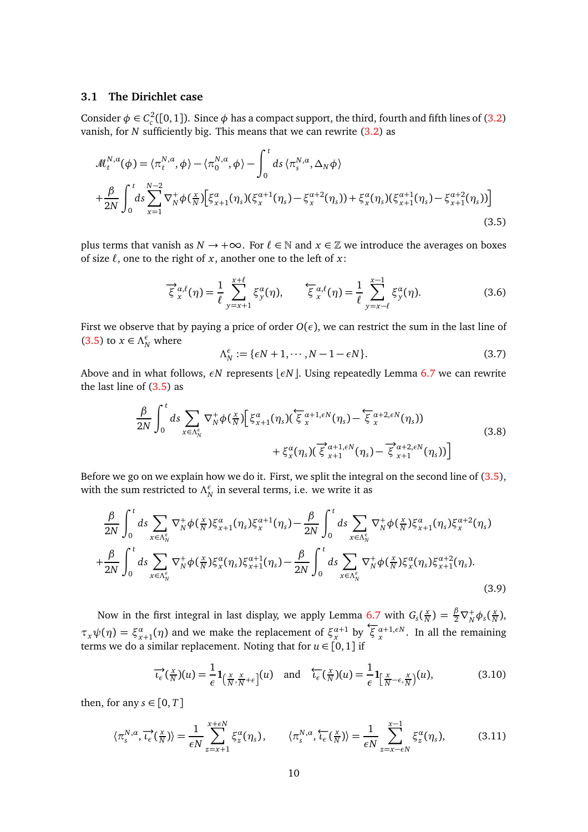## **3.1 The Dirichlet case**

Z *<sup>t</sup>*

Consider  $\phi \in C_c^2([0,1])$ . Since  $\phi$  has a compact support, the third, fourth and fifth lines of [\(3.2\)](#page-8-0) vanish, for *N* sufficiently big. This means that we can rewrite [\(3.2\)](#page-8-0) as

<span id="page-9-0"></span>
$$
\mathcal{M}_{t}^{N,a}(\phi) = \langle \pi_{t}^{N,a}, \phi \rangle - \langle \pi_{0}^{N,a}, \phi \rangle - \int_{0}^{t} ds \langle \pi_{s}^{N,a}, \Delta_{N} \phi \rangle + \frac{\beta}{2N} \int_{0}^{t} ds \sum_{x=1}^{N-2} \nabla_{N}^{+} \phi(\frac{x}{N}) \Big[ \xi_{x+1}^{a}(\eta_{s}) (\xi_{x}^{a+1}(\eta_{s}) - \xi_{x}^{a+2}(\eta_{s})) + \xi_{x}^{a}(\eta_{s}) (\xi_{x+1}^{a+1}(\eta_{s}) - \xi_{x+1}^{a+2}(\eta_{s})) \Big]
$$
(3.5)

plus terms that vanish as  $N \to +\infty$ . For  $\ell \in \mathbb{N}$  and  $x \in \mathbb{Z}$  we introduce the averages on boxes of size *ℓ*, one to the right of *x*, another one to the left of *x*:

<span id="page-9-2"></span>
$$
\overrightarrow{\xi}_{x}^{\alpha,\ell}(\eta) = \frac{1}{\ell} \sum_{y=x+1}^{x+\ell} \xi_{y}^{\alpha}(\eta), \qquad \overleftarrow{\xi}_{x}^{\alpha,\ell}(\eta) = \frac{1}{\ell} \sum_{y=x-\ell}^{x-1} \xi_{y}^{\alpha}(\eta). \tag{3.6}
$$

First we observe that by paying a price of order  $O(\epsilon)$ , we can restrict the sum in the last line of [\(3.5\)](#page-9-0) to  $x \in \Lambda_N^{\epsilon}$  where

$$
\Lambda_N^{\epsilon} := \{ \epsilon N + 1, \cdots, N - 1 - \epsilon N \}.
$$
\n(3.7)

Above and in what follows, *εN* represents  $\epsilon$ *N* $\vert$ . Using repeatedly Lemma [6.7](#page-22-0) we can rewrite the last line of  $(3.5)$  as

$$
\frac{\beta}{2N} \int_0^{\tau} ds \sum_{x \in \Lambda_N^{\epsilon}} \nabla_N^+ \phi(\frac{x}{N}) \Big[ \xi_{x+1}^{\alpha}(\eta_s) (\overline{\xi}_{x}^{\alpha+1,\epsilon N}(\eta_s) - \overline{\xi}_{x}^{\alpha+2,\epsilon N}(\eta_s)) + \xi_{x}^{\alpha}(\eta_s) (\overline{\xi}_{x+1}^{\alpha+1,\epsilon N}(\eta_s) - \overline{\xi}_{x+1}^{\alpha+2,\epsilon N}(\eta_s)) \Big]
$$
(3.8)

Before we go on we explain how we do it. First, we split the integral on the second line of [\(3.5\)](#page-9-0), with the sum restricted to  $\Lambda_N^{\epsilon}$  in several terms, i.e. we write it as

<span id="page-9-1"></span>
$$
\frac{\beta}{2N} \int_0^t ds \sum_{x \in \Lambda_N^{\epsilon}} \nabla_N^+ \phi\left(\frac{x}{N}\right) \xi_{x+1}^{\alpha}(\eta_s) \xi_x^{\alpha+1}(\eta_s) - \frac{\beta}{2N} \int_0^t ds \sum_{x \in \Lambda_N^{\epsilon}} \nabla_N^+ \phi\left(\frac{x}{N}\right) \xi_{x+1}^{\alpha}(\eta_s) \xi_x^{\alpha+2}(\eta_s)
$$
\n
$$
+ \frac{\beta}{2N} \int_0^t ds \sum_{x \in \Lambda_N^{\epsilon}} \nabla_N^+ \phi\left(\frac{x}{N}\right) \xi_x^{\alpha}(\eta_s) \xi_{x+1}^{\alpha+1}(\eta_s) - \frac{\beta}{2N} \int_0^t ds \sum_{x \in \Lambda_N^{\epsilon}} \nabla_N^+ \phi\left(\frac{x}{N}\right) \xi_x^{\alpha}(\eta_s) \xi_{x+1}^{\alpha+2}(\eta_s). \tag{3.9}
$$

Now in the first integral in last display, we apply Lemma [6.7](#page-22-0) with  $G_s(\frac{x}{N})$  $\frac{x}{N}$ ) =  $\frac{\beta}{2} \nabla_N^+ \phi_s(\frac{x}{N})$  $\frac{x}{N}$ ), *τ*<sub>*x</sub>*  $\psi(\eta) = \xi_{x+1}^{\alpha}(\eta)$  and we make the replacement of  $\xi_{x}^{\alpha+1}$  by  $\overline{\xi}_{x}^{\alpha+1}$ ,*εN*. In all the remaining</sub> terms we do a similar replacement. Noting that for *u* ∈ [0, 1] if

$$
\overrightarrow{\iota_{\epsilon}}(\frac{x}{N})(u) = \frac{1}{\epsilon} \mathbf{1}_{\left(\frac{x}{N}, \frac{x}{N} + \epsilon\right]}(u) \quad \text{and} \quad \overleftarrow{\iota_{\epsilon}}(\frac{x}{N})(u) = \frac{1}{\epsilon} \mathbf{1}_{\left[\frac{x}{N} - \epsilon, \frac{x}{N}\right]}(u),\tag{3.10}
$$

then, for any  $s \in [0, T]$ 

<span id="page-9-3"></span>
$$
\langle \pi_s^{N,a}, \overrightarrow{\iota_\epsilon}(\frac{x}{N}) \rangle = \frac{1}{\epsilon N} \sum_{z=x+1}^{x+\epsilon N} \xi_z^a(\eta_s), \qquad \langle \pi_s^{N,a}, \overleftarrow{\iota_\epsilon}(\frac{x}{N}) \rangle = \frac{1}{\epsilon N} \sum_{z=x-\epsilon N}^{x-1} \xi_z^a(\eta_s), \tag{3.11}
$$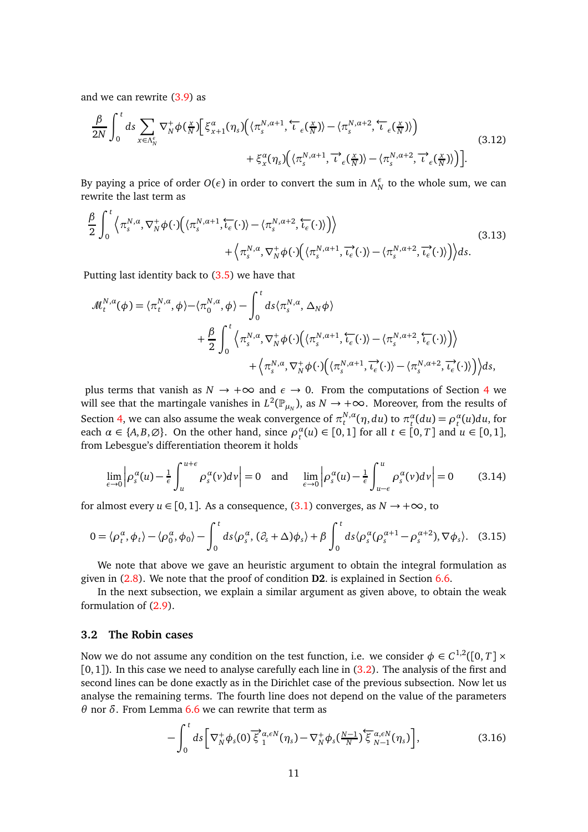and we can rewrite [\(3.9\)](#page-9-1) as

$$
\frac{\beta}{2N} \int_0^t ds \sum_{x \in \Lambda_N^{\epsilon}} \nabla_N^+ \phi\left(\frac{x}{N}\right) \left[ \xi_{x+1}^{\alpha}(\eta_s) \left( \langle \pi_s^{N,\alpha+1}, \overleftarrow{\iota}_{\epsilon}(\frac{x}{N}) \rangle - \langle \pi_s^{N,\alpha+2}, \overleftarrow{\iota}_{\epsilon}(\frac{x}{N}) \rangle \right) \right) + \xi_x^{\alpha}(\eta_s) \left( \langle \pi_s^{N,\alpha+1}, \overrightarrow{\iota}_{\epsilon}(\frac{x}{N}) \rangle - \langle \pi_s^{N,\alpha+2}, \overrightarrow{\iota}_{\epsilon}(\frac{x}{N}) \rangle \right) \right].
$$
\n(3.12)

By paying a price of order  $O(\epsilon)$  in order to convert the sum in  $\Lambda_N^{\epsilon}$  to the whole sum, we can rewrite the last term as

<span id="page-10-0"></span>
$$
\frac{\beta}{2} \int_0^t \left\langle \pi_s^{N,\alpha}, \nabla_N^+ \phi(\cdot) \Big( \langle \pi_s^{N,\alpha+1}, \overleftarrow{t_\epsilon}(\cdot) \rangle - \langle \pi_s^{N,\alpha+2}, \overleftarrow{t_\epsilon}(\cdot) \rangle \Big) \right\rangle \right. \\ \left. + \left\langle \pi_s^{N,\alpha}, \nabla_N^+ \phi(\cdot) \Big( \langle \pi_s^{N,\alpha+1}, \overrightarrow{t_\epsilon}(\cdot) \rangle - \langle \pi_s^{N,\alpha+2}, \overrightarrow{t_\epsilon}(\cdot) \rangle \Big) \right\rangle ds.
$$
\n(3.13)

Putting last identity back to [\(3.5\)](#page-9-0) we have that

$$
\mathcal{M}_{t}^{N,\alpha}(\phi) = \langle \pi_{t}^{N,\alpha}, \phi \rangle - \langle \pi_{0}^{N,\alpha}, \phi \rangle - \int_{0}^{t} ds \langle \pi_{s}^{N,\alpha}, \Delta_{N} \phi \rangle \n+ \frac{\beta}{2} \int_{0}^{t} \langle \pi_{s}^{N,\alpha}, \nabla_{N}^{+} \phi(\cdot) \big( \langle \pi_{s}^{N,\alpha+1}, \overleftarrow{t_{\epsilon}}(\cdot) \rangle - \langle \pi_{s}^{N,\alpha+2}, \overleftarrow{t_{\epsilon}}(\cdot) \rangle \big) \rangle \n+ \langle \pi_{s}^{N,\alpha}, \nabla_{N}^{+} \phi(\cdot) \big( \langle \pi_{s}^{N,\alpha+1}, \overrightarrow{t_{\epsilon}}(\cdot) \rangle - \langle \pi_{s}^{N,\alpha+2}, \overrightarrow{t_{\epsilon}}(\cdot) \rangle \big) \rangle ds,
$$

plus terms that vanish as  $N \to +\infty$  and  $\epsilon \to 0$ . From the computations of Section [4](#page-12-0) we will see that the martingale vanishes in  $L^2(\mathbb{P}_{\mu_N})$ , as  $N \to +\infty$ . Moreover, from the results of Section [4,](#page-12-0) we can also assume the weak convergence of  $\pi^{N,a}_t$  $\alpha_t^{N,\alpha}(\eta, du)$  to  $\pi_t^{\alpha}(du) = \rho_t^{\alpha}(u)du$ , for each  $\alpha \in \{A, B, \emptyset\}$ . On the other hand, since  $\rho_t^{\alpha}(u) \in [0, 1]$  for all  $t \in [0, T]$  and  $u \in [0, 1]$ , from Lebesgue's differentiation theorem it holds

<span id="page-10-1"></span>
$$
\lim_{\epsilon \to 0} \left| \rho_s^{\alpha}(u) - \frac{1}{\epsilon} \int_u^{u+\epsilon} \rho_s^{\alpha}(v) dv \right| = 0 \quad \text{and} \quad \lim_{\epsilon \to 0} \left| \rho_s^{\alpha}(u) - \frac{1}{\epsilon} \int_{u-\epsilon}^u \rho_s^{\alpha}(v) dv \right| = 0 \tag{3.14}
$$

for almost every  $u \in [0, 1]$ . As a consequence,  $(3.1)$  converges, as  $N \rightarrow +\infty$ , to

$$
0 = \langle \rho_t^{\alpha}, \phi_t \rangle - \langle \rho_0^{\alpha}, \phi_0 \rangle - \int_0^t ds \langle \rho_s^{\alpha}, (\partial_s + \Delta)\phi_s \rangle + \beta \int_0^t ds \langle \rho_s^{\alpha}(\rho_s^{\alpha+1} - \rho_s^{\alpha+2}), \nabla \phi_s \rangle. \tag{3.15}
$$

We note that above we gave an heuristic argument to obtain the integral formulation as given in [\(2.8\)](#page-5-3). We note that the proof of condition **D2**. is explained in Section [6.6.](#page-27-0)

In the next subsection, we explain a similar argument as given above, to obtain the weak formulation of [\(2.9\)](#page-5-2).

## **3.2 The Robin cases**

Now we do not assume any condition on the test function, i.e. we consider  $\phi \in C^{1,2}([0,T] \times \mathbb{R})$  $[0, 1]$ ). In this case we need to analyse carefully each line in  $(3.2)$ . The analysis of the first and second lines can be done exactly as in the Dirichlet case of the previous subsection. Now let us analyse the remaining terms. The fourth line does not depend on the value of the parameters *θ* nor *δ*. From Lemma [6.6](#page-19-0) we can rewrite that term as

$$
-\int_0^t ds \left[\nabla_N^+ \phi_s(0) \overrightarrow{\xi}_1^{\alpha,\epsilon N}(\eta_s) - \nabla_N^+ \phi_s(\frac{N-1}{N}) \overleftarrow{\xi}_{N-1}^{\alpha,\epsilon N}(\eta_s)\right],\tag{3.16}
$$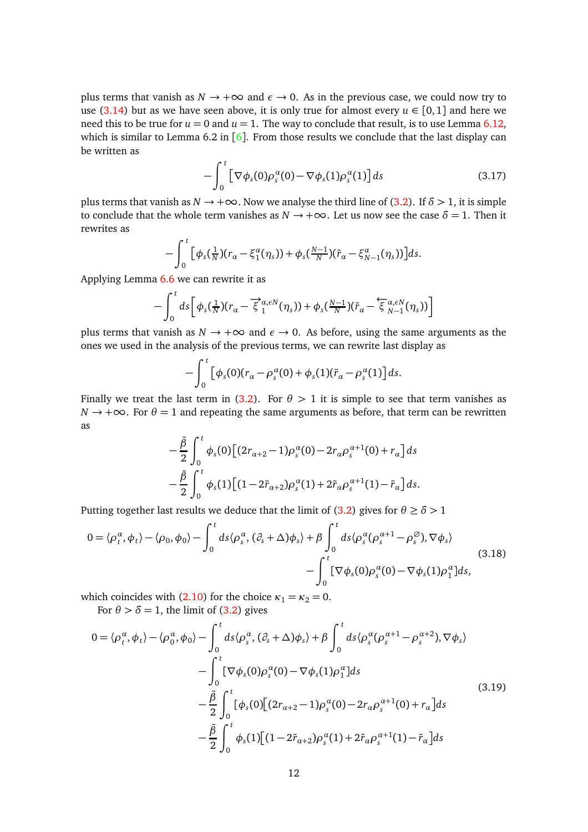plus terms that vanish as  $N \to +\infty$  and  $\epsilon \to 0$ . As in the previous case, we could now try to use [\(3.14\)](#page-10-1) but as we have seen above, it is only true for almost every  $u \in [0,1]$  and here we need this to be true for  $u = 0$  and  $u = 1$ . The way to conclude that result, is to use Lemma [6.12,](#page-27-1) which is similar to Lemma [6](#page-33-9).2 in  $\lceil 6 \rceil$ . From those results we conclude that the last display can be written as

$$
-\int_0^t \left[\nabla \phi_s(0)\rho_s^{\alpha}(0) - \nabla \phi_s(1)\rho_s^{\alpha}(1)\right]ds\tag{3.17}
$$

plus terms that vanish as  $N \to +\infty$ . Now we analyse the third line of [\(3.2\)](#page-8-0). If  $\delta > 1$ , it is simple to conclude that the whole term vanishes as  $N \rightarrow +\infty$ . Let us now see the case  $\delta = 1$ . Then it rewrites as

$$
-\int_0^t \Big[\phi_s(\tfrac{1}{N})(r_\alpha-\xi_1^\alpha(\eta_s))+\phi_s(\tfrac{N-1}{N})(\tilde{r}_\alpha-\xi_{N-1}^\alpha(\eta_s))\Big]ds.
$$

Applying Lemma [6.6](#page-19-0) we can rewrite it as

$$
-\int_0^t ds \left[ \phi_s(\tfrac{1}{N})(r_\alpha - \overrightarrow{\xi}_1^{\alpha,\epsilon N}(\eta_s)) + \phi_s(\tfrac{N-1}{N})(\tilde{r}_\alpha - \overleftarrow{\xi}_{N-1}^{\alpha,\epsilon N}(\eta_s)) \right]
$$

plus terms that vanish as  $N \to +\infty$  and  $\epsilon \to 0$ . As before, using the same arguments as the ones we used in the analysis of the previous terms, we can rewrite last display as

$$
-\int_0^t \left[\phi_s(0)(r_\alpha-\rho_s^\alpha(0)+\phi_s(1)(\tilde{r}_\alpha-\rho_s^\alpha(1))\right]ds.
$$

Finally we treat the last term in [\(3.2\)](#page-8-0). For  $\theta > 1$  it is simple to see that term vanishes as  $N \rightarrow +\infty$ . For  $\theta = 1$  and repeating the same arguments as before, that term can be rewritten as

$$
-\frac{\tilde{\beta}}{2} \int_0^t \phi_s(0) \Big[ (2r_{\alpha+2} - 1) \rho_s^{\alpha}(0) - 2r_{\alpha} \rho_s^{\alpha+1}(0) + r_{\alpha} \Big] ds -\frac{\tilde{\beta}}{2} \int_0^t \phi_s(1) \Big[ (1 - 2\tilde{r}_{\alpha+2}) \rho_s^{\alpha}(1) + 2\tilde{r}_{\alpha} \rho_s^{\alpha+1}(1) - \tilde{r}_{\alpha} \Big] ds.
$$

Putting together last results we deduce that the limit of [\(3.2\)](#page-8-0) gives for  $\theta \ge \delta > 1$ 

$$
0 = \langle \rho_t^{\alpha}, \phi_t \rangle - \langle \rho_0, \phi_0 \rangle - \int_0^t ds \langle \rho_s^{\alpha}, (\partial_s + \Delta)\phi_s \rangle + \beta \int_0^t ds \langle \rho_s^{\alpha}(\rho_s^{\alpha+1} - \rho_s^{\varnothing}), \nabla\phi_s \rangle
$$
\n
$$
- \int_0^t [\nabla\phi_s(0)\rho_s^{\alpha}(0) - \nabla\phi_s(1)\rho_1^{\alpha}]ds,
$$
\n(3.18)

which coincides with [\(2.10\)](#page-6-1) for the choice  $\kappa_1 = \kappa_2 = 0$ .

For  $\theta > \delta = 1$ , the limit of [\(3.2\)](#page-8-0) gives

$$
0 = \langle \rho_t^{\alpha}, \phi_t \rangle - \langle \rho_0^{\alpha}, \phi_0 \rangle - \int_0^t ds \langle \rho_s^{\alpha}, (\partial_s + \Delta)\phi_s \rangle + \beta \int_0^t ds \langle \rho_s^{\alpha}(\rho_s^{\alpha+1} - \rho_s^{\alpha+2}), \nabla \phi_s \rangle
$$
  

$$
- \int_0^t [\nabla \phi_s(0)\rho_s^{\alpha}(0) - \nabla \phi_s(1)\rho_1^{\alpha}]ds
$$
  

$$
- \frac{\tilde{\beta}}{2} \int_0^t [\phi_s(0)[(2r_{\alpha+2} - 1)\rho_s^{\alpha}(0) - 2r_{\alpha}\rho_s^{\alpha+1}(0) + r_{\alpha}]ds
$$
  

$$
- \frac{\tilde{\beta}}{2} \int_0^t \phi_s(1)[(1 - 2\tilde{r}_{\alpha+2})\rho_s^{\alpha}(1) + 2\tilde{r}_{\alpha}\rho_s^{\alpha+1}(1) - \tilde{r}_{\alpha}]ds
$$
 (3.19)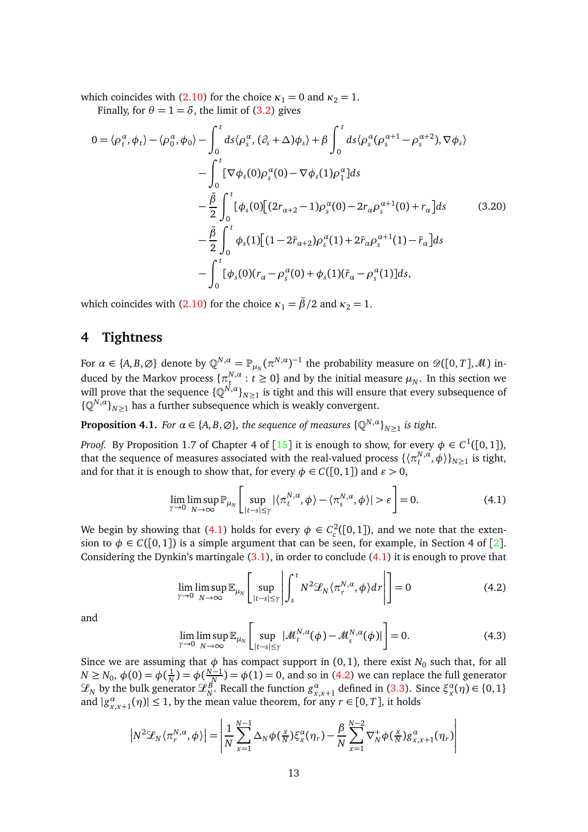which coincides with [\(2.10\)](#page-6-1) for the choice  $\kappa_1 = 0$  and  $\kappa_2 = 1$ .

Finally, for  $\theta = 1 = \delta$ , the limit of [\(3.2\)](#page-8-0) gives

$$
0 = \langle \rho_t^{\alpha}, \phi_t \rangle - \langle \rho_0^{\alpha}, \phi_0 \rangle - \int_0^t ds \langle \rho_s^{\alpha}, (\partial_s + \Delta)\phi_s \rangle + \beta \int_0^t ds \langle \rho_s^{\alpha}(\rho_s^{\alpha+1} - \rho_s^{\alpha+2}), \nabla\phi_s \rangle
$$
  

$$
- \int_0^t [\nabla\phi_s(0)\rho_s^{\alpha}(0) - \nabla\phi_s(1)\rho_1^{\alpha}]ds
$$
  

$$
- \frac{\tilde{\beta}}{2} \int_0^t [\phi_s(0)[(2r_{\alpha+2} - 1)\rho_s^{\alpha}(0) - 2r_{\alpha}\rho_s^{\alpha+1}(0) + r_{\alpha}]ds \qquad (3.20)
$$
  

$$
- \frac{\tilde{\beta}}{2} \int_0^t \phi_s(1)[(1 - 2\tilde{r}_{\alpha+2})\rho_s^{\alpha}(1) + 2\tilde{r}_{\alpha}\rho_s^{\alpha+1}(1) - \tilde{r}_{\alpha}]ds
$$
  

$$
- \int_0^t [\phi_s(0)(r_{\alpha} - \rho_s^{\alpha}(0) + \phi_s(1)(\tilde{r}_{\alpha} - \rho_s^{\alpha}(1))]ds,
$$

which coincides with [\(2.10\)](#page-6-1) for the choice  $\kappa_1 = \frac{\tilde{\beta}}{2}$  and  $\kappa_2 = 1$ .

# <span id="page-12-0"></span>**4 Tightness**

For  $\alpha \in \{A, B, \varnothing\}$  denote by  $\mathbb{Q}^{N, \alpha} = \mathbb{P}_{\mu_N}(\pi^{N, \alpha})^{-1}$  the probability measure on  $\mathscr{D}([0, T], \mathscr{M})$  induced by the Markov process  $\{\pi^{N,\alpha}_t\}$  $t^{N,a}_{t}: t \geq 0$ } and by the initial measure  $\mu_N$ . In this section we will prove that the sequence  $\{\mathbb{Q}^{N,a}\}_{n\geq 1}$  is tight and this will ensure that every subsequence of  $\{\mathbb{Q}^{N,\alpha}\}_{N\geq 1}$  has a further subsequence which is weakly convergent.

<span id="page-12-4"></span>**Proposition 4.1.** *For*  $\alpha \in \{A, B, \emptyset\}$ , the sequence of measures  $\{\mathbb{Q}^{N, \alpha}\}_{N \geq 1}$  is tight.

*Proof.* By Proposition 1.7 of Chapter 4 of  $[15]$  $[15]$  $[15]$  it is enough to show, for every  $\phi \in C^1([0,1])$ , that the sequence of measures associated with the real-valued process  $\{\langle \pi^{N,\alpha}_t\rangle$  $\{f_t^{N,a}, \phi\}$ <sub> $N \ge 1$ </sub> is tight, and for that it is enough to show that, for every  $\phi \in C([0, 1])$  and  $\varepsilon > 0$ ,

<span id="page-12-1"></span>
$$
\lim_{\gamma \to 0} \limsup_{N \to \infty} \mathbb{P}_{\mu_N} \left[ \sup_{|t-s| \le \gamma} |\langle \pi_t^{N,\alpha}, \phi \rangle - \langle \pi_s^{N,\alpha}, \phi \rangle| > \varepsilon \right] = 0. \tag{4.1}
$$

We begin by showing that [\(4.1\)](#page-12-1) holds for every  $\phi \in C_c^2([0,1])$ , and we note that the extension to  $\phi \in C([0,1])$  is a simple argument that can be seen, for example, in Section 4 of [[2](#page-32-1)]. Considering the Dynkin's martingale  $(3.1)$ , in order to conclude  $(4.1)$  it is enough to prove that

<span id="page-12-2"></span>
$$
\lim_{\gamma \to 0} \limsup_{N \to \infty} \mathbb{E}_{\mu_N} \left[ \sup_{|t-s| \le \gamma} \left| \int_s^t N^2 \mathcal{L}_N \langle \pi_r^{N,\alpha}, \phi \rangle dr \right| \right] = 0 \tag{4.2}
$$

and

<span id="page-12-3"></span>
$$
\lim_{\gamma \to 0} \limsup_{N \to \infty} \mathbb{E}_{\mu_N} \left[ \sup_{|t-s| \le \gamma} |\mathcal{M}_t^{N,\alpha}(\phi) - \mathcal{M}_s^{N,\alpha}(\phi)| \right] = 0.
$$
 (4.3)

Since we are assuming that  $\phi$  has compact support in (0, 1), there exist  $N_0$  such that, for all  $N \ge N_0, \, \phi(0) = \phi(\frac{1}{N})$  $\frac{1}{N}$ ) =  $\phi(\frac{N-1}{N})$  =  $\phi(1)$  = 0, and so in [\(4.2\)](#page-12-2) we can replace the full generator  $\mathcal{L}_N$  by the bulk generator  $\mathcal{L}_N^B$ . Recall the function  $g^α_{x,x+1}$  defined in [\(3.3\)](#page-8-2). Since  $\xi^α_x(\eta) \in \{0,1\}$ and  $|g_{x,x+1}^{\alpha}(\eta)| \leq 1$ , by the mean value theorem, for any  $r \in [0, T]$ , it holds

$$
\left|N^2\mathcal{L}_N\langle\pi_r^{N,a},\phi\rangle\right| = \left|\frac{1}{N}\sum_{x=1}^{N-1}\Delta_N\phi\left(\frac{x}{N}\right)\xi_x^a(\eta_r) - \frac{\beta}{N}\sum_{x=1}^{N-2}\nabla_N^+\phi\left(\frac{x}{N}\right)g_{x,x+1}^a(\eta_r)\right|
$$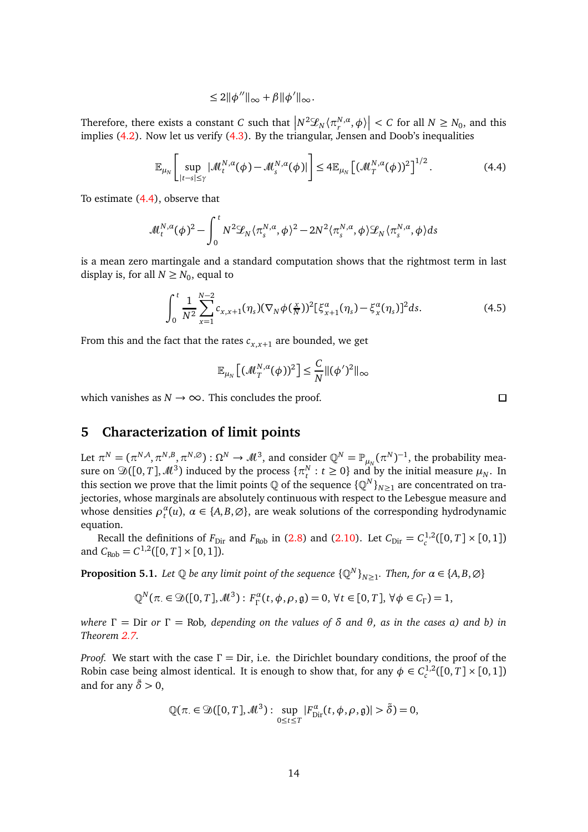$$
\leq 2\|\phi''\|_{\infty}+\beta\|\phi'\|_{\infty}.
$$

Therefore, there exists a constant *C* such that  $\left|N^2\mathscr{L}_N\langle\pi^{N,\alpha}_r,\phi\rangle\right| < C$  for all  $N\geq N_0$ , and this implies [\(4.2\)](#page-12-2). Now let us verify [\(4.3\)](#page-12-3). By the triangular, Jensen and Doob's inequalities

<span id="page-13-1"></span>
$$
\mathbb{E}_{\mu_N}\left[\sup_{|t-s|\leq \gamma}|\mathcal{M}_t^{N,\alpha}(\phi)-\mathcal{M}_s^{N,\alpha}(\phi)|\right] \leq 4\mathbb{E}_{\mu_N}\left[(\mathcal{M}_T^{N,\alpha}(\phi))^2\right]^{1/2}.\tag{4.4}
$$

To estimate [\(4.4\)](#page-13-1), observe that

$$
\mathcal{M}_t^{N,\alpha}(\phi)^2 - \int_0^t N^2 \mathcal{L}_N \langle \pi_s^{N,\alpha}, \phi \rangle^2 - 2N^2 \langle \pi_s^{N,\alpha}, \phi \rangle \mathcal{L}_N \langle \pi_s^{N,\alpha}, \phi \rangle ds
$$

is a mean zero martingale and a standard computation shows that the rightmost term in last display is, for all  $N \ge N_0$ , equal to

<span id="page-13-2"></span>
$$
\int_0^t \frac{1}{N^2} \sum_{x=1}^{N-2} c_{x,x+1}(\eta_s) (\nabla_N \phi(\tfrac{x}{N}))^2 [\xi_{x+1}^\alpha(\eta_s) - \xi_x^\alpha(\eta_s)]^2 ds.
$$
 (4.5)

From this and the fact that the rates  $c_{x,x+1}$  are bounded, we get

$$
\mathbb{E}_{\mu_N}\left[ (\mathcal{M}_T^{N,\alpha}(\phi))^2 \right] \leq \frac{C}{N} ||(\phi')^2||_{\infty}
$$

which vanishes as  $N \rightarrow \infty$ . This concludes the proof.

# <span id="page-13-0"></span>**5 Characterization of limit points**

Let  $\pi^N = (\pi^{N,A}, \pi^{N,B}, \pi^{N,\emptyset}) : \Omega^N \to \mathcal{M}^3$ , and consider  $\mathbb{Q}^N = \mathbb{P}_{\mu_N}(\pi^N)^{-1}$ , the probability measure on  $\mathfrak{D}([0,T], \mathcal{M}^3)$  induced by the process  $\{\pi_t^N : t \geq 0\}$  and by the initial measure  $\mu_N$ . In this section we prove that the limit points  $\mathbb Q$  of the sequence  $\{\mathbb Q^N\}_{N\geq 1}$  are concentrated on trajectories, whose marginals are absolutely continuous with respect to the Lebesgue measure and whose densities  $\rho_t^{\alpha}(u)$ ,  $\alpha \in \{A, B, \emptyset\}$ , are weak solutions of the corresponding hydrodynamic equation.

Recall the definitions of  $F_{\text{Dir}}$  and  $F_{\text{Rob}}$  in [\(2.8\)](#page-5-3) and [\(2.10\)](#page-6-1). Let  $C_{\text{Dir}} = C_c^{1,2}([0, T] \times [0, 1])$ and  $C_{\text{Rob}} = C^{1,2}([0, T] \times [0, 1]).$ 

**Proposition 5.1.** Let  $\mathbb Q$  be any limit point of the sequence  $\{\mathbb Q^N\}_{N\geq 1}$ . Then, for  $\alpha\in\{A,B,\varnothing\}$ 

$$
\mathbb{Q}^N(\pi \in \mathfrak{D}([0,T],\mathcal{M}^3): F_{\Gamma}^{\alpha}(t,\phi,\rho,\mathfrak{g})=0, \forall t \in [0,T], \forall \phi \in C_{\Gamma})=1,
$$

*where*  $\Gamma =$  Dir *or*  $\Gamma =$  Rob, depending on the values of  $\delta$  and  $\theta$ , as in the cases a) and b) in *Theorem [2.7.](#page-6-2)*

*Proof.* We start with the case *Γ* = Dir, i.e. the Dirichlet boundary conditions, the proof of the Robin case being almost identical. It is enough to show that, for any  $\phi \in C_c^{1,2}([0,T] \times [0,1])$ and for any  $\tilde{\delta} > 0$ ,

$$
\mathbb{Q}(\pi \in \mathfrak{D}([0,T],\mathcal{M}^3): \sup_{0 \leq t \leq T} |F_{\text{Dir}}^{\alpha}(t,\phi,\rho,\mathfrak{g})| > \tilde{\delta}) = 0,
$$

 $\Box$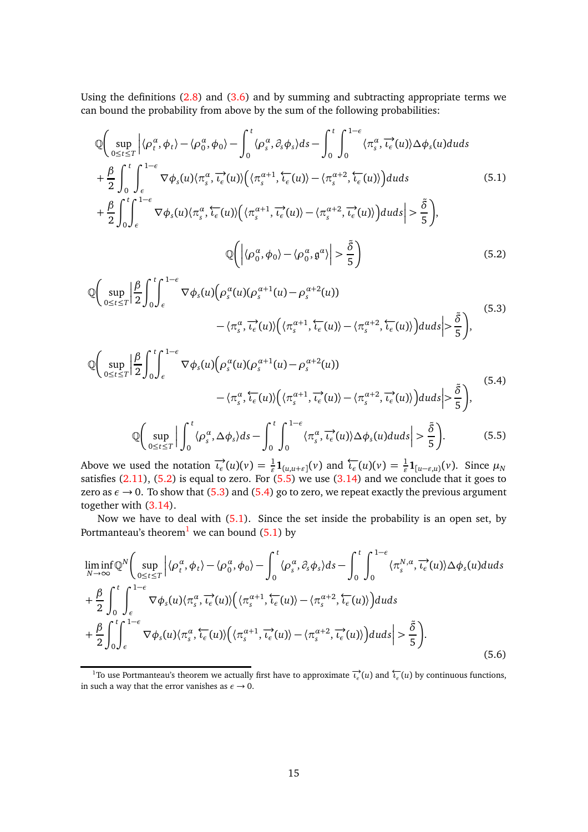Using the definitions  $(2.8)$  and  $(3.6)$  and by summing and subtracting appropriate terms we can bound the probability from above by the sum of the following probabilities:

<span id="page-14-4"></span>Q sup 0≤*t*≤*T* 〈*ρ α t* ,*φ<sup>t</sup>* 〉 − 〈*ρ α* 0 ,*φ*<sup>0</sup> 〉 − <sup>Z</sup> *<sup>t</sup>* 0 〈*ρ α s* , *∂sφ<sup>s</sup>* 〉*ds* − Z *<sup>t</sup>* 0 Z <sup>1</sup>−*<sup>ε</sup>* 0 〈*π α s* , −→*ιε* (*u*)〉*∆φ<sup>s</sup>* (*u*)*duds* + *β* 2 Z *<sup>t</sup>* 0 Z <sup>1</sup>−*<sup>ε</sup> ε* ∇*φ<sup>s</sup>* (*u*)〈*π α s* , −→*ιε* (*u*)〉 〈*π α*+1 *s* ,←−*ι<sup>ε</sup>* (*u*)〉 − 〈*π α*+2 *s* ,←−*ι<sup>ε</sup>* (*u*)〉 *duds* + *β* 2 Z *<sup>t</sup>* 0 Z <sup>1</sup>−*<sup>ε</sup> ε* ∇*φ<sup>s</sup>* (*u*)〈*π α s* ,←−*ι<sup>ε</sup>* (*u*)〉 〈*π α*+1 *s* , −→*ιε* (*u*)〉 − 〈*π α*+2 *s* , −→*ιε* (*u*)〉 *duds > δ*˜ 5 , (5.1) Q 〈*ρ α* 0 ,*φ*<sup>0</sup> 〉 − 〈*ρ α* 0 , g *α* 〉 *> δ*˜ 5 (5.2)

<span id="page-14-2"></span><span id="page-14-0"></span>
$$
\mathbb{Q}\bigg(\sup_{0\leq t\leq T}\Big|\frac{\beta}{2}\int_{0}^{t}\int_{\epsilon}^{1-\epsilon}\nabla\phi_{s}(u)\big(\rho_{s}^{\alpha}(u)(\rho_{s}^{\alpha+1}(u)-\rho_{s}^{\alpha+2}(u))\big)\\-\langle\pi_{s}^{\alpha},\overrightarrow{\iota_{\epsilon}}(u)\rangle\big(\langle\pi_{s}^{\alpha+1},\overleftarrow{\iota_{\epsilon}}(u)\rangle-\langle\pi_{s}^{\alpha+2},\overleftarrow{\iota_{\epsilon}}(u)\rangle\big)duds\Big|\geq\frac{\tilde{\delta}}{5}\bigg),\tag{5.3}
$$

<span id="page-14-3"></span>
$$
\mathbb{Q}\left(\sup_{0\leq t\leq T}\left|\frac{\beta}{2}\int_{0}^{t}\int_{\epsilon}^{1-\epsilon}\nabla\phi_{s}(u)\left(\rho_{s}^{\alpha}(u)(\rho_{s}^{\alpha+1}(u)-\rho_{s}^{\alpha+2}(u))\right)\right|
$$
\n
$$
-\langle\pi_{s}^{\alpha},\overleftarrow{\iota_{\epsilon}}(u)\rangle\left(\langle\pi_{s}^{\alpha+1},\overrightarrow{\iota_{\epsilon}}(u)\rangle-\langle\pi_{s}^{\alpha+2},\overrightarrow{\iota_{\epsilon}}(u)\rangle\right)duds\right|>\frac{\tilde{\delta}}{5}\right),
$$
\n(5.4)

<span id="page-14-1"></span>
$$
\mathbb{Q}\bigg(\sup_{0\leq t\leq T}\bigg|\int_0^t\langle\rho_s^{\alpha},\Delta\phi_s\rangle ds-\int_0^t\int_0^{1-\epsilon}\langle\pi_s^{\alpha},\overrightarrow{\iota_\epsilon}(u)\rangle\Delta\phi_s(u)duds\bigg|>\frac{\delta}{5}\bigg).
$$
(5.5)

Above we used the notation  $\overrightarrow{\iota_{\epsilon}}(u)(v) = \frac{1}{\varepsilon} \mathbf{1}_{(u,u+\varepsilon)}(v)$  and  $\overleftarrow{\iota_{\epsilon}}(u)(v) = \frac{1}{\varepsilon} \mathbf{1}_{[u-\varepsilon,u)}(v)$ . Since  $\mu_N$ satisfies  $(2.11)$ ,  $(5.2)$  is equal to zero. For  $(5.5)$  we use  $(3.14)$  and we conclude that it goes to zero as  $\epsilon \to 0$ . To show that [\(5.3\)](#page-14-2) and [\(5.4\)](#page-14-3) go to zero, we repeat exactly the previous argument together with [\(3.14\)](#page-10-1).

Now we have to deal with [\(5.1\)](#page-14-4). Since the set inside the probability is an open set, by Portmanteau's theorem<sup>[1](#page-14-5)</sup> we can bound  $(5.1)$  by

<span id="page-14-6"></span>
$$
\liminf_{N \to \infty} \mathbb{Q}^{N}\left(\sup_{0 \leq t \leq T} \left| \langle \rho_{t}^{\alpha}, \phi_{t} \rangle - \langle \rho_{0}^{\alpha}, \phi_{0} \rangle - \int_{0}^{t} \langle \rho_{s}^{\alpha}, \partial_{s} \phi_{s} \rangle ds - \int_{0}^{t} \int_{0}^{1-\epsilon} \langle \pi_{s}^{N,\alpha}, \overrightarrow{\iota_{\epsilon}}(u) \rangle \Delta \phi_{s}(u) du ds \right|
$$
\n
$$
+ \frac{\beta}{2} \int_{0}^{t} \int_{\epsilon}^{1-\epsilon} \nabla \phi_{s}(u) \langle \pi_{s}^{\alpha}, \overrightarrow{\iota_{\epsilon}}(u) \rangle \left( \langle \pi_{s}^{\alpha+1}, \overleftarrow{\iota_{\epsilon}}(u) \rangle - \langle \pi_{s}^{\alpha+2}, \overleftarrow{\iota_{\epsilon}}(u) \rangle \right) du ds \right|
$$
\n
$$
+ \frac{\beta}{2} \int_{0}^{t} \int_{\epsilon}^{1-\epsilon} \nabla \phi_{s}(u) \langle \pi_{s}^{\alpha}, \overleftarrow{\iota_{\epsilon}}(u) \rangle \left( \langle \pi_{s}^{\alpha+1}, \overrightarrow{\iota_{\epsilon}}(u) \rangle - \langle \pi_{s}^{\alpha+2}, \overrightarrow{\iota_{\epsilon}}(u) \rangle \right) du ds \right| > \frac{\tilde{\delta}}{5}.
$$
\n(5.6)

<span id="page-14-5"></span><sup>&</sup>lt;sup>1</sup>To use Portmanteau's theorem we actually first have to approximate  $\vec{t}_{\epsilon}(u)$  and  $\vec{t}_{\epsilon}(u)$  by continuous functions, in such a way that the error vanishes as  $\epsilon \rightarrow 0$ .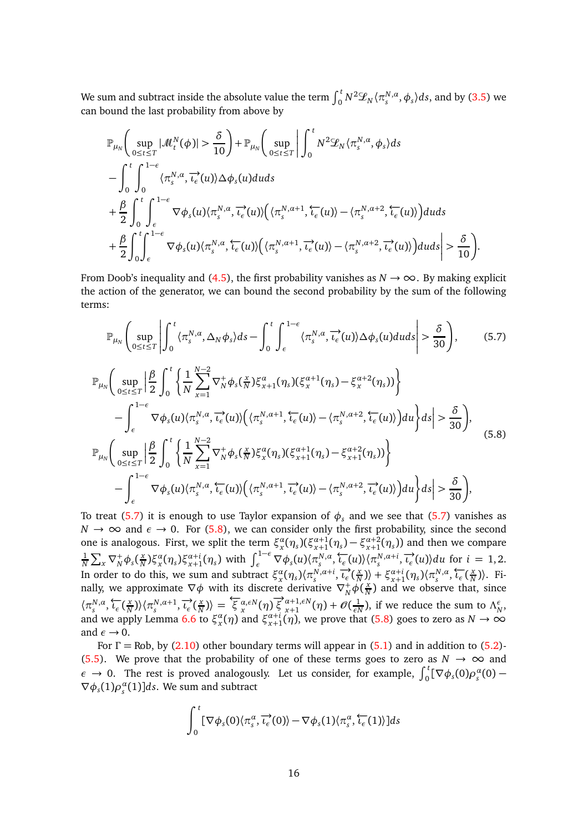We sum and subtract inside the absolute value the term  $\int_0^t N^2 \mathscr{L}_N \langle \pi_s^{N,a}, \phi_s\rangle ds,$  and by [\(3.5\)](#page-9-0) we can bound the last probability from above by

$$
\mathbb{P}_{\mu_{N}}\left(\sup_{0\leq t\leq T}|\mathcal{M}_{t}^{N}(\phi)|>\frac{\delta}{10}\right)+\mathbb{P}_{\mu_{N}}\left(\sup_{0\leq t\leq T}\left|\int_{0}^{t}N^{2}\mathcal{L}_{N}\langle\pi_{s}^{N,\alpha},\phi_{s}\rangle ds\right.\right.-\int_{0}^{t}\int_{0}^{1-\epsilon}\langle\pi_{s}^{N,\alpha},\overline{\iota_{\epsilon}}(u)\rangle\Delta\phi_{s}(u)duds+\frac{\beta}{2}\int_{0}^{t}\int_{\epsilon}^{1-\epsilon}\nabla\phi_{s}(u)\langle\pi_{s}^{N,\alpha},\overline{\iota_{\epsilon}}(u)\rangle\Big(\langle\pi_{s}^{N,\alpha+1},\overline{\iota_{\epsilon}}(u)\rangle-\langle\pi_{s}^{N,\alpha+2},\overline{\iota_{\epsilon}}(u)\rangle\Big)duds+\frac{\beta}{2}\int_{0}^{t}\int_{\epsilon}^{1-\epsilon}\nabla\phi_{s}(u)\langle\pi_{s}^{N,\alpha},\overline{\iota_{\epsilon}}(u)\rangle\Big(\langle\pi_{s}^{N,\alpha+1},\overline{\iota_{\epsilon}}(u)\rangle-\langle\pi_{s}^{N,\alpha+2},\overline{\iota_{\epsilon}}(u)\rangle\Big)duds\right|>\frac{\delta}{10}\right).
$$

From Doob's inequality and [\(4.5\)](#page-13-2), the first probability vanishes as  $N \to \infty$ . By making explicit the action of the generator, we can bound the second probability by the sum of the following terms:

<span id="page-15-0"></span>
$$
\mathbb{P}_{\mu_{N}}\left(\sup_{0\leq t\leq T}\left|\int_{0}^{t}\langle\pi_{s}^{N,\alpha},\Delta_{N}\phi_{s}\rangle ds-\int_{0}^{t}\int_{\epsilon}^{1-\epsilon}\langle\pi_{s}^{N,\alpha},\overrightarrow{\iota_{\epsilon}}(u)\rangle\Delta\phi_{s}(u)duds\right|>\frac{\delta}{30}\right),\qquad(5.7)
$$
\n
$$
\mathbb{P}_{\mu_{N}}\left(\sup_{0\leq t\leq T}\left|\frac{\beta}{2}\int_{0}^{t}\left\{\frac{1}{N}\sum_{x=1}^{N-2}\nabla_{N}^{+}\phi_{s}(\frac{x}{N})\xi_{x+1}^{\alpha}(\eta_{s})(\xi_{x}^{\alpha+1}(\eta_{s})-\xi_{x}^{\alpha+2}(\eta_{s}))\right\}\right|
$$
\n
$$
-\int_{\epsilon}^{1-\epsilon}\nabla\phi_{s}(u)\langle\pi_{s}^{N,\alpha},\overrightarrow{\iota_{\epsilon}}(u)\rangle\left(\langle\pi_{s}^{N,\alpha+1},\overleftarrow{\iota_{\epsilon}}(u)\rangle-\langle\pi_{s}^{N,\alpha+2},\overleftarrow{\iota_{\epsilon}}(u)\rangle\right)du\right\}ds\right|>\frac{\delta}{30}\right),\qquad(5.8)
$$
\n
$$
\mathbb{P}_{\mu_{N}}\left(\sup_{0\leq t\leq T}\left|\frac{\beta}{2}\int_{0}^{t}\left\{\frac{1}{N}\sum_{x=1}^{N-2}\nabla_{N}^{+}\phi_{s}(\frac{x}{N})\xi_{x}^{\alpha}(\eta_{s})(\xi_{x+1}^{\alpha+1}(\eta_{s})-\xi_{x+1}^{\alpha+2}(\eta_{s}))\right\}\right|
$$
\n
$$
-\int_{\epsilon}^{1-\epsilon}\nabla\phi_{s}(u)\langle\pi_{s}^{N,\alpha},\overleftarrow{\iota_{\epsilon}}(u)\rangle\left(\langle\pi_{s}^{N,\alpha+1},\overrightarrow{\iota_{\epsilon}}(u)\rangle-\langle\pi_{s}^{N,\alpha+2},\overrightarrow{\iota_{\epsilon}}(u)\rangle\right)du\right\}ds\right|>\frac{\delta}{30}\right),\qquad(5.8)
$$

<span id="page-15-1"></span>To treat [\(5.7\)](#page-15-0) it is enough to use Taylor expansion of  $\phi_s$  and we see that (5.7) vanishes as  $N \to \infty$  and  $\epsilon \to 0$ . For [\(5.8\)](#page-15-1), we can consider only the first probability, since the second one is analogous. First, we split the term  $\xi_x^{\alpha}(\eta_s)(\xi_{x+1}^{\alpha+1}(\eta_s)-\xi_{x+1}^{\alpha+2}(\eta_s))$  and then we compare 1  $\frac{1}{N} \sum_{x} \nabla_N^+ \phi_s(\frac{x}{N})$  $\frac{x}{N}$ ) $\xi_x^{\alpha}(\eta_s)\xi_{x+1}^{\alpha+i}(\eta_s)$  with  $\int_{\epsilon}^{1-\epsilon} \nabla \phi_s(u) \langle \pi_s^{N,\alpha}, \overleftarrow{t_{\epsilon}}(u) \rangle \langle \pi_s^{N,\alpha+i}, \overrightarrow{t_{\epsilon}}(u) \rangle du$  for  $i = 1, 2$ . In order to do this, we sum and subtract  $\xi_x^{\alpha}(\eta_s) \langle \pi_s^{N, \alpha+i}, \overrightarrow{\iota_\epsilon}(\frac{x}{N})$  $\left\langle \frac{x}{N} \right\rangle$  +  $\xi_{x+1}^{a+i}$  ( $\eta_s$ )  $\left\langle \pi_s^{N,a}, \frac{C}{l_{\epsilon}} \right\rangle$  ( $\frac{x}{N}$  $\frac{x}{N}$ )). Finally, we approximate  $\nabla \phi$  with its discrete derivative  $\nabla_N^+ \phi(\frac{x}{N})$  $\frac{x}{N}$ ) and we observe that, since  $\langle \pi_s^{N,a}, \overleftarrow{\iota_\epsilon}(\frac{x}{N})\rangle$  $\langle n_N^N \rangle \langle \pi_s^{N, \alpha+1}, \overrightarrow{\iota_\epsilon}(\frac{x}{N})$  $\langle \frac{x}{N} \rangle$  =  $\langle \xi \frac{\alpha}{x}, \epsilon N(\eta) \rangle \langle \xi \frac{\alpha+1}{x+1}, \epsilon N(\eta) \rangle$  $_{x+1}^{\alpha+1,\epsilon N}(\eta)+\mathscr{O}(\frac{1}{\epsilon N})$  $\frac{1}{\epsilon N}$ ), if we reduce the sum to  $\Lambda_N^{\epsilon}$ , and we apply Lemma [6.6](#page-19-0) to  $\xi_x^{\alpha}(\eta)$  and  $\xi_{x+1}^{\alpha+i}(\eta)$ , we prove that [\(5.8\)](#page-15-1) goes to zero as  $N \to \infty$ and  $\epsilon \rightarrow 0$ .

For  $\Gamma$  = Rob, by [\(2.10\)](#page-6-1) other boundary terms will appear in [\(5.1\)](#page-14-4) and in addition to [\(5.2\)](#page-14-0)-[\(5.5\)](#page-14-1). We prove that the probability of one of these terms goes to zero as  $N \to \infty$  and  $\epsilon \to 0$ . The rest is proved analogously. Let us consider, for example,  $\int_0^t [\nabla \phi_s(0) \rho_s^{\alpha}(0) \nabla \phi_s(1) \rho_s^{\alpha}(1)$ ]*ds*. We sum and subtract

$$
\int_0^{\tau} [\nabla \phi_s(0) \langle \pi_s^{\alpha}, \overrightarrow{\iota_{\epsilon}}(0) \rangle - \nabla \phi_s(1) \langle \pi_s^{\alpha}, \overleftarrow{\iota_{\epsilon}}(1) \rangle] ds
$$

Z *<sup>t</sup>*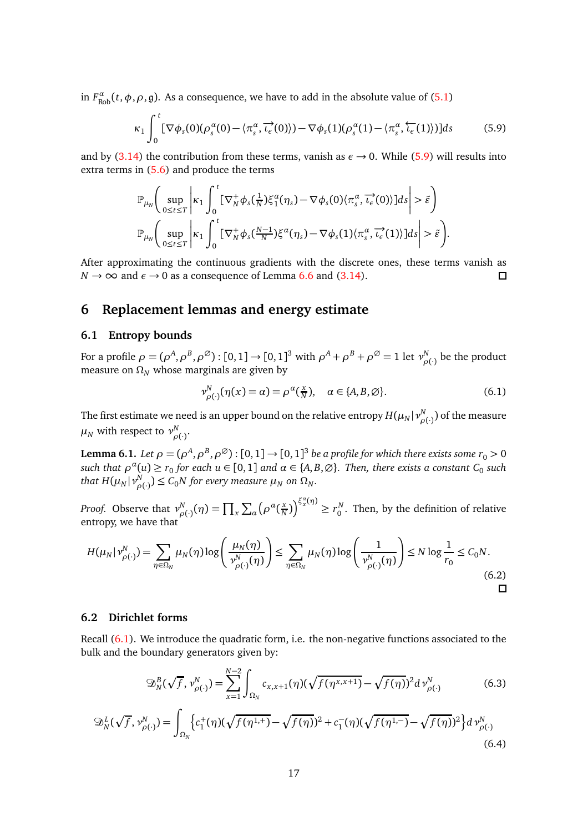in  $F^{\alpha}_{\text{Rob}}(t,\phi,\rho,\mathfrak{g})$ . As a consequence, we have to add in the absolute value of [\(5.1\)](#page-14-4)

<span id="page-16-1"></span>
$$
\kappa_1 \int_0^t \left[ \nabla \phi_s(0) (\rho_s^{\alpha}(0) - \langle \pi_s^{\alpha}, \overrightarrow{\iota_{\epsilon}}(0) \rangle) - \nabla \phi_s(1) (\rho_s^{\alpha}(1) - \langle \pi_s^{\alpha}, \overleftarrow{\iota_{\epsilon}}(1) \rangle) \right] ds \tag{5.9}
$$

and by [\(3.14\)](#page-10-1) the contribution from these terms, vanish as  $\epsilon \rightarrow 0$ . While [\(5.9\)](#page-16-1) will results into extra terms in [\(5.6\)](#page-14-6) and produce the terms

$$
\mathbb{P}_{\mu_N}\Bigg(\sup_{0\leq t\leq T}\Bigg|\kappa_1\int_0^t\big[\nabla_N^+\phi_s(\tfrac{1}{N})\xi_1^\alpha(\eta_s)-\nabla\phi_s(0)(\pi_s^\alpha,\overrightarrow{\iota_\epsilon}(0))\big]ds\Bigg|>\tilde{\varepsilon}\Bigg)\\ \mathbb{P}_{\mu_N}\Bigg(\sup_{0\leq t\leq T}\Bigg|\kappa_1\int_0^t\big[\nabla_N^+\phi_s(\tfrac{N-1}{N})\xi^\alpha(\eta_s)-\nabla\phi_s(1)(\pi_s^\alpha,\overrightarrow{\iota_\epsilon}(1))\big]ds\Bigg|>\tilde{\varepsilon}\Bigg).
$$

After approximating the continuous gradients with the discrete ones, these terms vanish as  $N \rightarrow \infty$  and  $\epsilon \rightarrow 0$  as a consequence of Lemma [6.6](#page-19-0) and [\(3.14\)](#page-10-1).  $\Box$ 

# <span id="page-16-0"></span>**6 Replacement lemmas and energy estimate**

#### **6.1 Entropy bounds**

For a profile  $\rho = (\rho^A, \rho^B, \rho^\varnothing)$  :  $[0,1]$   $\to$   $[0,1]^3$  with  $\rho^A + \rho^B + \rho^\varnothing = 1$  let  $\nu_\rho^N$  $P_{\rho(\cdot)}^{N}$  be the product measure on  $\Omega_N$  whose marginals are given by

<span id="page-16-2"></span>
$$
\nu_{\rho(\cdot)}^N(\eta(x) = \alpha) = \rho^{\alpha}(\frac{x}{N}), \quad \alpha \in \{A, B, \emptyset\}.
$$
\n(6.1)

The first estimate we need is an upper bound on the relative entropy  $H(\mu_N|\nu_N^N)$  $_{\rho(\cdot)}^{N})$  of the measure  $\mu_N$  with respect to  $\nu^N_o$ *ρ*(·) .

<span id="page-16-4"></span>**Lemma 6.1.** Let  $\rho = (\rho^A, \rho^B, \rho^\varnothing)$  :  $[0, 1] \to [0, 1]^3$  be a profile for which there exists some  $r_0 > 0$  $\alpha$   $\alpha$   $\alpha$   $\alpha$   $\alpha$   $\beta$   $\alpha$   $\beta$  *for each u*  $\in$  [0, 1] *and*  $\alpha$   $\in$  {*A, B,*  $\varnothing$ *}. Then, there exists a constant*  $C_0$  *such that H*( $\mu_N$ | $\nu_\rho^N$  $P_{\rho(\cdot)}^N$ )  $\leq C_0 N$  for every measure  $\mu_N$  on  $\Omega_N$ .

*Proof.* Observe that  $ν<sub>o</sub><sup>N</sup>$  $\sum_{\rho(\cdot)}^N(\eta) = \prod_x \sum_{\alpha} \left( \rho^{\alpha} \left( \frac{x}{N} \right) \right)$  $\left(\frac{x}{N}\right)^{z_x^{\alpha}(\eta)} \ge r_0^N$ . Then, by the definition of relative entropy, we have that

$$
H(\mu_N | \nu_{\rho(\cdot)}^N) = \sum_{\eta \in \Omega_N} \mu_N(\eta) \log \left( \frac{\mu_N(\eta)}{\nu_{\rho(\cdot)}^N(\eta)} \right) \le \sum_{\eta \in \Omega_N} \mu_N(\eta) \log \left( \frac{1}{\nu_{\rho(\cdot)}^N(\eta)} \right) \le N \log \frac{1}{r_0} \le C_0 N. \tag{6.2}
$$

#### **6.2 Dirichlet forms**

Recall [\(6.1\)](#page-16-2). We introduce the quadratic form, i.e. the non-negative functions associated to the bulk and the boundary generators given by:

$$
\mathfrak{D}_{N}^{B}(\sqrt{f},\nu_{\rho(\cdot)}^{N}) = \sum_{x=1}^{N-2} \int_{\Omega_{N}} c_{x,x+1}(\eta) (\sqrt{f(\eta^{x,x+1})} - \sqrt{f(\eta)})^{2} d\nu_{\rho(\cdot)}^{N}
$$
(6.3)

<span id="page-16-3"></span>
$$
\mathfrak{D}_N^L(\sqrt{f}, \nu_{\rho(\cdot)}^N) = \int_{\Omega_N} \left\{ c_1^+(\eta) (\sqrt{f(\eta^{1,+})} - \sqrt{f(\eta)})^2 + c_1^-(\eta) (\sqrt{f(\eta^{1,-})} - \sqrt{f(\eta)})^2 \right\} d\nu_{\rho(\cdot)}^N
$$
\n(6.4)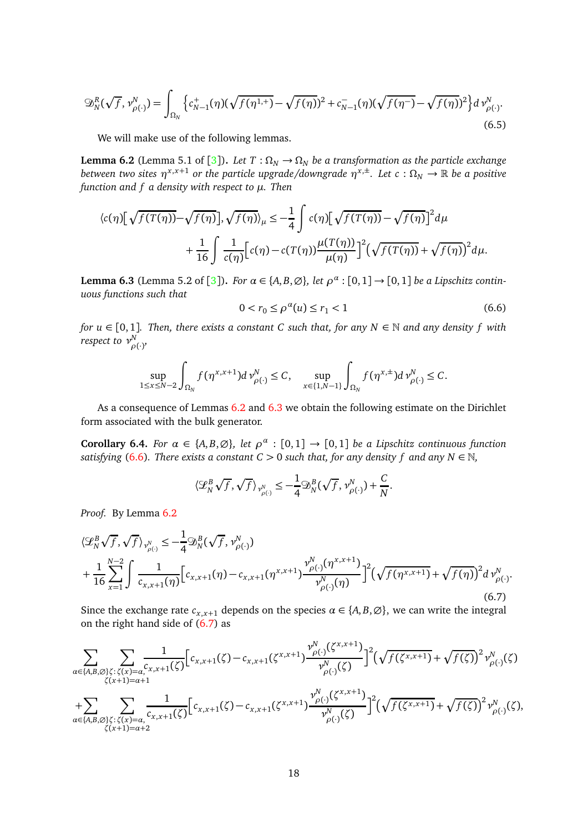$$
\mathfrak{D}_{N}^{R}(\sqrt{f},\nu_{\rho(\cdot)}^{N}) = \int_{\Omega_{N}} \left\{ c_{N-1}^{+}(\eta)(\sqrt{f(\eta^{1,+})} - \sqrt{f(\eta)})^{2} + c_{N-1}^{-}(\eta)(\sqrt{f(\eta^{-})} - \sqrt{f(\eta)})^{2} \right\} d\nu_{\rho(\cdot)}^{N}.
$$
\n(6.5)

We will make use of the following lemmas.

<span id="page-17-0"></span>**Lemma 6.2** (Lemma 5.1 of [[3](#page-32-2)]). *Let*  $T : \Omega_N \to \Omega_N$  *be a transformation as the particle exchange between two sites*  $\eta^{x,x+1}$  *or the particle upgrade/downgrade*  $\eta^{x,\pm}$ *. Let*  $c:\Omega_N\to\mathbb R$  *be a positive function and f a density with respect to µ. Then*

$$
\langle c(\eta) [\sqrt{f(T(\eta))} - \sqrt{f(\eta)}], \sqrt{f(\eta)} \rangle_{\mu} \leq -\frac{1}{4} \int c(\eta) [\sqrt{f(T(\eta))} - \sqrt{f(\eta)}]^2 d\mu + \frac{1}{16} \int \frac{1}{c(\eta)} [c(\eta) - c(T(\eta)) \frac{\mu(T(\eta))}{\mu(\eta)}]^2 (\sqrt{f(T(\eta))} + \sqrt{f(\eta)})^2 d\mu.
$$

<span id="page-17-1"></span>**Lemma 6.[3](#page-32-2)** (Lemma 5.2 of [3]). *For*  $\alpha \in \{A, B, \emptyset\}$ , let  $\rho^{\alpha} : [0, 1] \rightarrow [0, 1]$  be a Lipschitz contin*uous functions such that*

<span id="page-17-2"></span>
$$
0 < r_0 \le \rho^{\alpha}(u) \le r_1 < 1 \tag{6.6}
$$

*for u* ∈ [0, 1]*. Then, there exists a constant C such that, for any N* ∈ N *and any density f with respect to ν N ρ*(·) *,*

$$
\sup_{1\leq x\leq N-2}\int_{\Omega_N}f(\eta^{x,x+1})d\nu_{\rho(\cdot)}^N\leq C,\quad \sup_{x\in\{1,N-1\}}\int_{\Omega_N}f(\eta^{x,\pm})d\nu_{\rho(\cdot)}^N\leq C.
$$

As a consequence of Lemmas [6.2](#page-17-0) and [6.3](#page-17-1) we obtain the following estimate on the Dirichlet form associated with the bulk generator.

<span id="page-17-4"></span>**Corollary 6.4.** *For*  $\alpha \in \{A, B, \emptyset\}$ , let  $\rho^{\alpha} : [0, 1] \rightarrow [0, 1]$  be a Lipschitz continuous function *satisfying* [\(6.6\)](#page-17-2). There exists a constant  $C > 0$  such that, for any density f and any  $N \in \mathbb{N}$ ,

$$
\langle \mathcal{L}_N^B \sqrt{f}, \sqrt{f} \rangle_{\mathcal{V}_{\rho(\cdot)}^N} \leq -\frac{1}{4} \mathfrak{D}_N^B (\sqrt{f}, \mathcal{V}_{\rho(\cdot)}^N) + \frac{C}{N}.
$$

*Proof.* By Lemma [6.2](#page-17-0)

<span id="page-17-3"></span>
$$
\langle \mathcal{L}_{N}^{B} \sqrt{f}, \sqrt{f} \rangle_{\mathcal{V}_{\rho(\cdot)}^{N}} \leq -\frac{1}{4} \mathfrak{D}_{N}^{B} (\sqrt{f}, \mathcal{V}_{\rho(\cdot)}^{N})
$$
  
+ 
$$
\frac{1}{16} \sum_{x=1}^{N-2} \int \frac{1}{c_{x,x+1}(\eta)} \Big[ c_{x,x+1}(\eta) - c_{x,x+1}(\eta^{x,x+1}) \frac{\mathcal{V}_{\rho(\cdot)}^{N}(\eta^{x,x+1})}{\mathcal{V}_{\rho(\cdot)}^{N}(\eta)} \Big]^{2} (\sqrt{f(\eta^{x,x+1})} + \sqrt{f(\eta)})^{2} d\mathcal{V}_{\rho(\cdot)}^{N}.
$$
(6.7)

Since the exchange rate  $c_{x,x+1}$  depends on the species  $\alpha \in \{A, B, \emptyset\}$ , we can write the integral on the right hand side of  $(6.7)$  as

$$
\sum_{\alpha\in\{A,B,\emptyset\}\zeta:\zeta(x)=\alpha} \sum_{\substack{\zeta(x)=\alpha\\ \zeta(x+1)=\alpha+1}} \frac{1}{c_{x,x+1}(\zeta)} \Big[c_{x,x+1}(\zeta) - c_{x,x+1}(\zeta^{x,x+1}) \frac{\nu_{\rho(\cdot)}^N(\zeta^{x,x+1})}{\nu_{\rho(\cdot)}^N(\zeta)}\Big]^2 \Big(\sqrt{f(\zeta^{x,x+1})} + \sqrt{f(\zeta)}\Big)^2 \nu_{\rho(\cdot)}^N(\zeta) + \sum_{\alpha\in\{A,B,\emptyset\}\zeta:\zeta(x)=\alpha} \sum_{\substack{\zeta(x,x+1)\zeta(x,x+1)\\ \zeta(x+1)=\alpha+2}} \frac{1}{c_{x,x+1}(\zeta)} \Big[c_{x,x+1}(\zeta) - c_{x,x+1}(\zeta^{x,x+1}) \frac{\nu_{\rho(\cdot)}^N(\zeta^{x,x+1})}{\nu_{\rho(\cdot)}^N(\zeta)}\Big]^2 \Big(\sqrt{f(\zeta^{x,x+1})} + \sqrt{f(\zeta)}\Big)^2 \nu_{\rho(\cdot)}^N(\zeta),
$$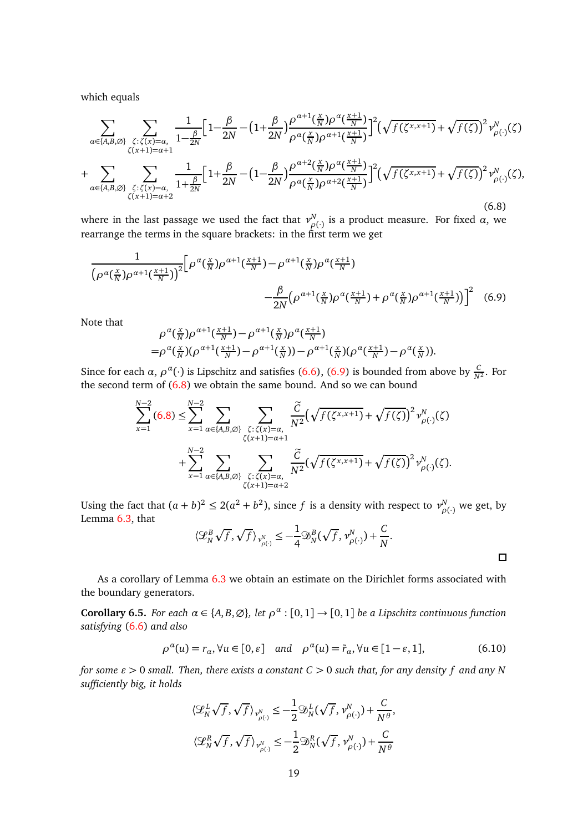which equals

<span id="page-18-1"></span>
$$
\sum_{\alpha\in\{A,B,\emptyset\}}\sum_{\substack{\zeta:\zeta(x)=\alpha,\\\zeta(x+1)=\alpha+1}}\frac{1}{1-\frac{\beta}{2N}}\Big[1-\frac{\beta}{2N}-\Big(1+\frac{\beta}{2N}\Big)\frac{\rho^{\alpha+1}(\frac{x}{N})\rho^{\alpha}(\frac{x+1}{N})}{\rho^{\alpha}(\frac{x}{N})\rho^{\alpha+1}(\frac{x+1}{N})}\Big]^2\Big(\sqrt{f(\zeta^{x,x+1})}+\sqrt{f(\zeta)}\Big)^2\nu_{\rho(\cdot)}^N(\zeta)
$$
\n
$$
+\sum_{\alpha\in\{A,B,\emptyset\}}\sum_{\substack{\zeta:\zeta(x)=\alpha,\\\zeta(x+1)=\alpha+2}}\frac{1}{1+\frac{\beta}{2N}}\Big[1+\frac{\beta}{2N}-\Big(1-\frac{\beta}{2N}\Big)\frac{\rho^{\alpha+2}(\frac{x}{N})\rho^{\alpha}(\frac{x+1}{N})}{\rho^{\alpha}(\frac{x}{N})\rho^{\alpha+2}(\frac{x+1}{N})}\Big]^2\Big(\sqrt{f(\zeta^{x,x+1})}+\sqrt{f(\zeta)}\Big)^2\nu_{\rho(\cdot)}^N(\zeta),\tag{6.8}
$$

where in the last passage we used the fact that  $v_{\alpha}^N$ *ρ*(·) is a product measure. For fixed *α*, we rearrange the terms in the square brackets: in the first term we get

$$
\frac{1}{\left(\rho^{\alpha}(\frac{x}{N})\rho^{\alpha+1}(\frac{x+1}{N})\right)^2} \left[\rho^{\alpha}(\frac{x}{N})\rho^{\alpha+1}(\frac{x+1}{N}) - \rho^{\alpha+1}(\frac{x}{N})\rho^{\alpha}(\frac{x+1}{N}) - \frac{\beta}{2N}\left(\rho^{\alpha+1}(\frac{x}{N})\rho^{\alpha}(\frac{x+1}{N}) + \rho^{\alpha}(\frac{x}{N})\rho^{\alpha+1}(\frac{x+1}{N})\right)\right]^2 \quad (6.9)
$$

Note that

$$
\rho^{\alpha}(\frac{x}{N})\rho^{\alpha+1}(\frac{x+1}{N})-\rho^{\alpha+1}(\frac{x}{N})\rho^{\alpha}(\frac{x+1}{N})
$$
  
=
$$
\rho^{\alpha}(\frac{x}{N})(\rho^{\alpha+1}(\frac{x+1}{N})-\rho^{\alpha+1}(\frac{x}{N}))-\rho^{\alpha+1}(\frac{x}{N})(\rho^{\alpha}(\frac{x+1}{N})-\rho^{\alpha}(\frac{x}{N})).
$$

Since for each *α*,  $\rho^{\alpha}(\cdot)$  is Lipschitz and satisfies [\(6.6\)](#page-17-2), [\(6.9\)](#page-18-0) is bounded from above by  $\frac{C}{N^2}$ . For the second term of [\(6.8\)](#page-18-1) we obtain the same bound. And so we can bound

$$
\sum_{x=1}^{N-2} (6.8) \le \sum_{x=1}^{N-2} \sum_{\alpha \in \{A,B,\emptyset\}} \sum_{\substack{\zeta:\zeta(x)=\alpha, \\ \zeta(x+1)=\alpha+1}} \frac{\tilde{C}}{N^2} \Big(\sqrt{f(\zeta^{x,x+1})} + \sqrt{f(\zeta)}\Big)^2 \nu_{\rho(\cdot)}^N(\zeta) + \sum_{x=1}^{N-2} \sum_{\substack{\alpha \in \{A,B,\emptyset\}} \frac{\zeta:\zeta(x)=\alpha, \\ \zeta(x+1)=\alpha+2}} \frac{\tilde{C}}{N^2} \Big(\sqrt{f(\zeta^{x,x+1})} + \sqrt{f(\zeta)}\Big)^2 \nu_{\rho(\cdot)}^N(\zeta).
$$

Using the fact that  $(a + b)^2 \le 2(a^2 + b^2)$ , since  $f$  is a density with respect to  $\nu_\rho^N$  $_{\rho(\cdot)}^N$  we get, by Lemma [6.3,](#page-17-1) that

$$
\langle \mathcal{L}_N^B \sqrt{f}, \sqrt{f} \rangle_{\mathcal{V}_{\rho(\cdot)}^N} \leq -\frac{1}{4} \mathfrak{D}_N^B (\sqrt{f}, \mathcal{V}_{\rho(\cdot)}^N) + \frac{C}{N}.
$$

<span id="page-18-0"></span> $\Box$ 

As a corollary of Lemma [6.3](#page-17-1) we obtain an estimate on the Dirichlet forms associated with the boundary generators.

<span id="page-18-3"></span>**Corollary 6.5.** *For each*  $\alpha \in \{A, B, \emptyset\}$ , let  $\rho^{\alpha} : [0, 1] \rightarrow [0, 1]$  *be a Lipschitz continuous function satisfying* [\(6.6\)](#page-17-2) *and also*

<span id="page-18-2"></span>
$$
\rho^{\alpha}(u) = r_{\alpha}, \forall u \in [0, \varepsilon] \quad \text{and} \quad \rho^{\alpha}(u) = \tilde{r}_{\alpha}, \forall u \in [1 - \varepsilon, 1], \tag{6.10}
$$

*for some ǫ >* 0 *small. Then, there exists a constant C >* 0 *such that, for any density f and any N sufficiently big, it holds*

$$
\langle \mathcal{L}_N^L \sqrt{f}, \sqrt{f} \rangle_{\mathcal{V}_{\rho(\cdot)}^N} \le -\frac{1}{2} \mathcal{D}_N^L (\sqrt{f}, \mathcal{V}_{\rho(\cdot)}^N) + \frac{C}{N^{\theta}},
$$
  

$$
\langle \mathcal{L}_N^R \sqrt{f}, \sqrt{f} \rangle_{\mathcal{V}_{\rho(\cdot)}^N} \le -\frac{1}{2} \mathcal{D}_N^R (\sqrt{f}, \mathcal{V}_{\rho(\cdot)}^N) + \frac{C}{N^{\theta}}
$$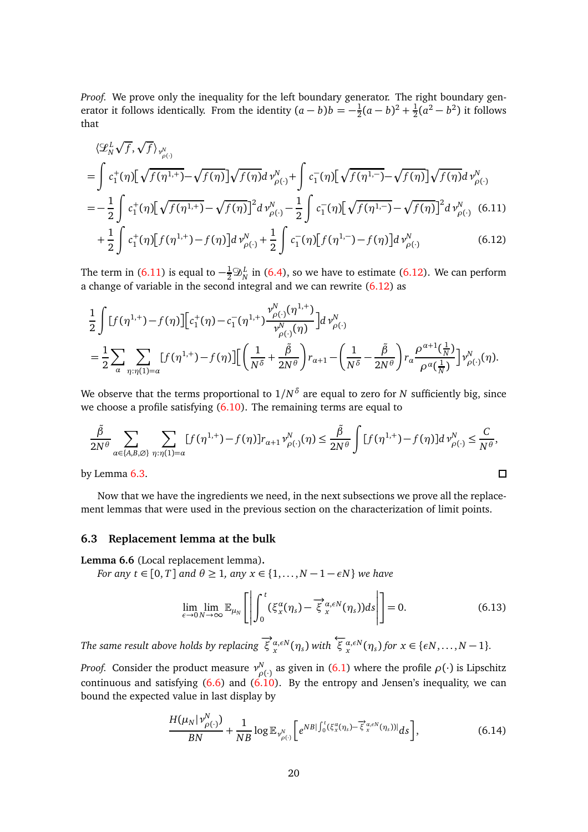*Proof.* We prove only the inequality for the left boundary generator. The right boundary generator it follows identically. From the identity  $(a - b)b = -\frac{1}{2}$  $\frac{1}{2}(a-b)^2 + \frac{1}{2}$  $\frac{1}{2}(a^2 - b^2)$  it follows that

<span id="page-19-1"></span>
$$
\langle \mathcal{L}_{N}^{L} \sqrt{f}, \sqrt{f} \rangle_{\nu_{\rho(\cdot)}^{N}}
$$
\n
$$
= \int c_{1}^{+}(\eta) \Big[ \sqrt{f(\eta^{1,+})} - \sqrt{f(\eta)} \Big] \sqrt{f(\eta)} d \nu_{\rho(\cdot)}^{N} + \int c_{1}^{-}(\eta) \Big[ \sqrt{f(\eta^{1,-})} - \sqrt{f(\eta)} \Big] \sqrt{f(\eta)} d \nu_{\rho(\cdot)}^{N}
$$
\n
$$
= -\frac{1}{2} \int c_{1}^{+}(\eta) \Big[ \sqrt{f(\eta^{1,+})} - \sqrt{f(\eta)} \Big]^{2} d \nu_{\rho(\cdot)}^{N} - \frac{1}{2} \int c_{1}^{-}(\eta) \Big[ \sqrt{f(\eta^{1,-})} - \sqrt{f(\eta)} \Big]^{2} d \nu_{\rho(\cdot)}^{N} \quad (6.11)
$$
\n
$$
+ \frac{1}{2} \int c_{1}^{+}(\eta) \Big[ f(\eta^{1,+}) - f(\eta) \Big] d \nu_{\rho(\cdot)}^{N} + \frac{1}{2} \int c_{1}^{-}(\eta) \Big[ f(\eta^{1,-}) - f(\eta) \Big] d \nu_{\rho(\cdot)}^{N} \qquad (6.12)
$$

The term in [\(6.11\)](#page-19-1) is equal to  $-\frac{1}{2}\mathfrak{D}_N^L$  in [\(6.4\)](#page-16-3), so we have to estimate [\(6.12\)](#page-19-2). We can perform a change of variable in the second integral and we can rewrite [\(6.12\)](#page-19-2) as

<span id="page-19-2"></span>
$$
\frac{1}{2} \int [f(\eta^{1,+}) - f(\eta)] \Big[ c_1^+(\eta) - c_1^-(\eta^{1,+}) \frac{\nu_{\rho(\cdot)}^N(\eta^{1,+})}{\nu_{\rho(\cdot)}^N(\eta)} \Big] d \nu_{\rho(\cdot)}^N
$$
\n
$$
= \frac{1}{2} \sum_{\alpha} \sum_{\eta: \eta(1) = \alpha} [f(\eta^{1,+}) - f(\eta)] \Big[ \left( \frac{1}{N^{\delta}} + \frac{\tilde{\beta}}{2N^{\theta}} \right) r_{\alpha+1} - \left( \frac{1}{N^{\delta}} - \frac{\tilde{\beta}}{2N^{\theta}} \right) r_{\alpha} \frac{\rho^{\alpha+1}(\frac{1}{N})}{\rho^{\alpha}(\frac{1}{N})} \Big] \nu_{\rho(\cdot)}^N(\eta).
$$

We observe that the terms proportional to 1*/N δ* are equal to zero for *N* sufficiently big, since we choose a profile satisfying [\(6.10\)](#page-18-2). The remaining terms are equal to

$$
\frac{\tilde{\beta}}{2N^{\theta}} \sum_{\alpha \in \{A,B,\emptyset\}} \sum_{\eta:\eta(1)=\alpha} [f(\eta^{1,+}) - f(\eta)] r_{\alpha+1} \nu_{\rho(\cdot)}^N(\eta) \le \frac{\tilde{\beta}}{2N^{\theta}} \int [f(\eta^{1,+}) - f(\eta)] d \nu_{\rho(\cdot)}^N \le \frac{C}{N^{\theta}},
$$
  
y Lemma 6.3.

by Lemma [6.3.](#page-17-1)

Now that we have the ingredients we need, in the next subsections we prove all the replacement lemmas that were used in the previous section on the characterization of limit points.

## **6.3 Replacement lemma at the bulk**

<span id="page-19-0"></span>**Lemma 6.6** (Local replacement lemma)**.**

*For any t*  $\in$  [0, *T*] *and*  $\theta \ge 1$ *, any*  $x \in \{1, ..., N-1-\epsilon N\}$  *we have* 

$$
\lim_{\epsilon \to 0} \lim_{N \to \infty} \mathbb{E}_{\mu_N} \left[ \left| \int_0^t (\xi_x^{\alpha}(\eta_s) - \overline{\xi}_x^{\alpha, \epsilon N}(\eta_s)) ds \right| \right] = 0. \tag{6.13}
$$

The same result above holds by replacing  $\overrightarrow{\xi}_{x}^{\alpha,\epsilon N}(\eta_s)$  with  $\overleftarrow{\xi}_{x}^{\alpha,\epsilon N}(\eta_s)$  for  $x \in \{\epsilon N, \ldots, N-1\}$ .

*Proof.* Consider the product measure  $ν<sub>o</sub><sup>N</sup>$ *ρ*(·) as given in [\(6.1\)](#page-16-2) where the profile *ρ*(·) is Lipschitz continuous and satisfying [\(6.6\)](#page-17-2) and [\(6.10\)](#page-18-2). By the entropy and Jensen's inequality, we can bound the expected value in last display by

<span id="page-19-3"></span>
$$
\frac{H(\mu_N|\nu_{\rho(\cdot)}^N)}{BN} + \frac{1}{NB}\log \mathbb{E}_{\nu_{\rho(\cdot)}^N}\bigg[e^{NB|\int_0^t(\xi_\mathbf{x}^\alpha(\eta_s) - \overrightarrow{\xi}_\mathbf{x}^{\alpha,\varepsilon N}(\eta_s))|}ds\bigg],\tag{6.14}
$$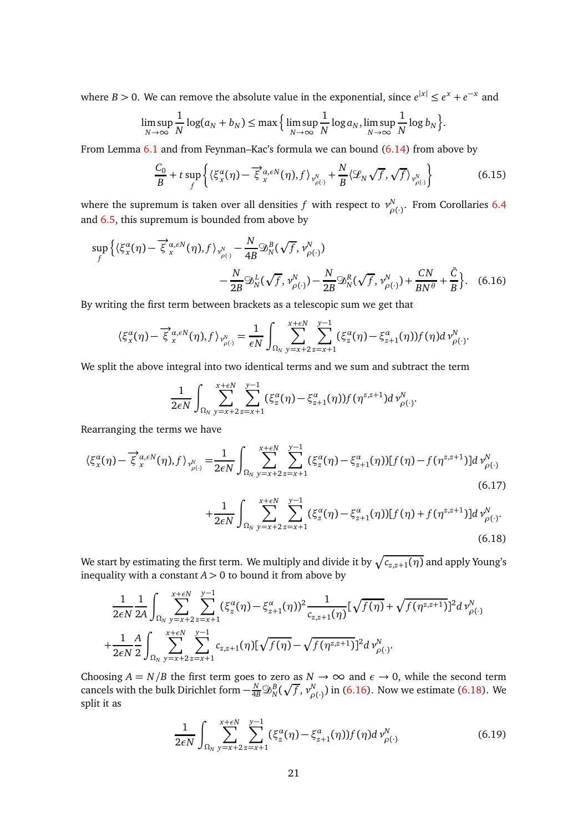where *B* > 0. We can remove the absolute value in the exponential, since  $e^{|x|} \le e^x + e^{-x}$  and

$$
\limsup_{N \to \infty} \frac{1}{N} \log(a_N + b_N) \le \max \Big\{ \limsup_{N \to \infty} \frac{1}{N} \log a_N, \limsup_{N \to \infty} \frac{1}{N} \log b_N \Big\}.
$$

From Lemma [6.1](#page-16-4) and from Feynman–Kac's formula we can bound [\(6.14\)](#page-19-3) from above by

<span id="page-20-2"></span>
$$
\frac{C_0}{B} + t \sup_f \left\{ \langle \xi_x^{\alpha}(\eta) - \overline{\xi}_x^{\alpha, \epsilon N}(\eta), f \rangle_{\mathcal{V}_{\rho(\cdot)}^N} + \frac{N}{B} \langle \mathcal{L}_N \sqrt{f}, \sqrt{f} \rangle_{\mathcal{V}_{\rho(\cdot)}^N} \right\}
$$
(6.15)

where the supremum is taken over all densities  $f$  with respect to  $v_{\alpha}^N$ *ρ*(·) . From Corollaries [6.4](#page-17-4) and [6.5,](#page-18-3) this supremum is bounded from above by

$$
\sup_{f} \left\{ \langle \xi_x^{\alpha}(\eta) - \overrightarrow{\xi}_x^{\alpha,\epsilon N}(\eta), f \rangle_{\mathcal{V}_{\rho(\cdot)}^N} - \frac{N}{4B} \mathfrak{D}_N^B(\sqrt{f}, \mathcal{V}_{\rho(\cdot)}^N) - \frac{N}{2B} \mathfrak{D}_N^R(\sqrt{f}, \mathcal{V}_{\rho(\cdot)}^N) - \frac{N}{2B} \mathfrak{D}_N^R(\sqrt{f}, \mathcal{V}_{\rho(\cdot)}^N) + \frac{CN}{BN^{\theta}} + \frac{\tilde{C}}{B} \right\}. \tag{6.16}
$$

By writing the first term between brackets as a telescopic sum we get that

$$
\langle \xi_x^{\alpha}(\eta) - \overrightarrow{\xi}_{x}^{\alpha,\epsilon N}(\eta), f \rangle_{\gamma_{\rho(\cdot)}^N} = \frac{1}{\epsilon N} \int_{\Omega_N} \sum_{y=x+2}^{x+\epsilon N} \sum_{z=x+1}^{y-1} (\xi_z^{\alpha}(\eta) - \xi_{z+1}^{\alpha}(\eta)) f(\eta) d\gamma_{\rho(\cdot)}^N.
$$

We split the above integral into two identical terms and we sum and subtract the term

<span id="page-20-0"></span>
$$
\frac{1}{2\epsilon N}\int_{\Omega_N}\sum_{y=x+2}^{x+\epsilon N}\sum_{z=x+1}^{y-1}(\xi_z^{\alpha}(\eta)-\xi_{z+1}^{\alpha}(\eta))f(\eta^{z,z+1})d\nu_{\rho(\cdot)}^N.
$$

Rearranging the terms we have

$$
\langle \xi_x^{\alpha}(\eta) - \overrightarrow{\xi}_{x}^{\alpha,\epsilon N}(\eta), f \rangle_{\nu_{\rho(\cdot)}^{N}} = \frac{1}{2\epsilon N} \int_{\Omega_N} \sum_{y=x+2}^{x+\epsilon N} \sum_{z=x+1}^{y-1} (\xi_z^{\alpha}(\eta) - \xi_{z+1}^{\alpha}(\eta)) [f(\eta) - f(\eta^{z,z+1})] d \nu_{\rho(\cdot)}^{N}
$$
(6.17)

<span id="page-20-1"></span>
$$
+\frac{1}{2\epsilon N}\int_{\Omega_N}\sum_{y=x+2}^{x+\epsilon N}\sum_{z=x+1}^{y-1}(\xi_z^{\alpha}(\eta)-\xi_{z+1}^{\alpha}(\eta))[f(\eta)+f(\eta^{z,z+1})]d\nu_{\rho(\cdot)}^N.
$$
\n(6.18)

We start by estimating the first term. We multiply and divide it by  $\sqrt{c_{z,z+1}(\eta)}$  and apply Young's inequality with a constant  $A > 0$  to bound it from above by

$$
\frac{1}{2\epsilon N} \frac{1}{2A} \int_{\Omega_N} \sum_{y=x+2}^{x+\epsilon N} \sum_{z=x+1}^{y-1} (\xi_z^{\alpha}(\eta) - \xi_{z+1}^{\alpha}(\eta))^2 \frac{1}{c_{z,z+1}(\eta)} [\sqrt{f(\eta)} + \sqrt{f(\eta^{z,z+1})}]^2 d \nu_{\rho(\cdot)}^N
$$
  
+ 
$$
\frac{1}{2\epsilon N} \frac{A}{2} \int_{\Omega_N} \sum_{y=x+2}^{x+\epsilon N} \sum_{z=x+1}^{y-1} c_{z,z+1}(\eta) [\sqrt{f(\eta)} - \sqrt{f(\eta^{z,z+1})}]^2 d \nu_{\rho(\cdot)}^N.
$$

Choosing  $A = N/B$  the first term goes to zero as  $N \to \infty$  and  $\epsilon \to 0$ , while the second term cancels with the bulk Dirichlet form  $-\frac{N}{4B} \mathfrak{D}_N^B (\sqrt{f},\nu_{\rho}^N)$ *n*<sub>*ρ*(·)</sub>) in [\(6.16\)](#page-20-0). Now we estimate [\(6.18\)](#page-20-1). We split it as

$$
\frac{1}{2\epsilon N} \int_{\Omega_N} \sum_{y=x+2}^{x+\epsilon N} \sum_{z=x+1}^{y-1} (\xi_z^{\alpha}(\eta) - \xi_{z+1}^{\alpha}(\eta)) f(\eta) d\,\nu_{\rho(\cdot)}^N \tag{6.19}
$$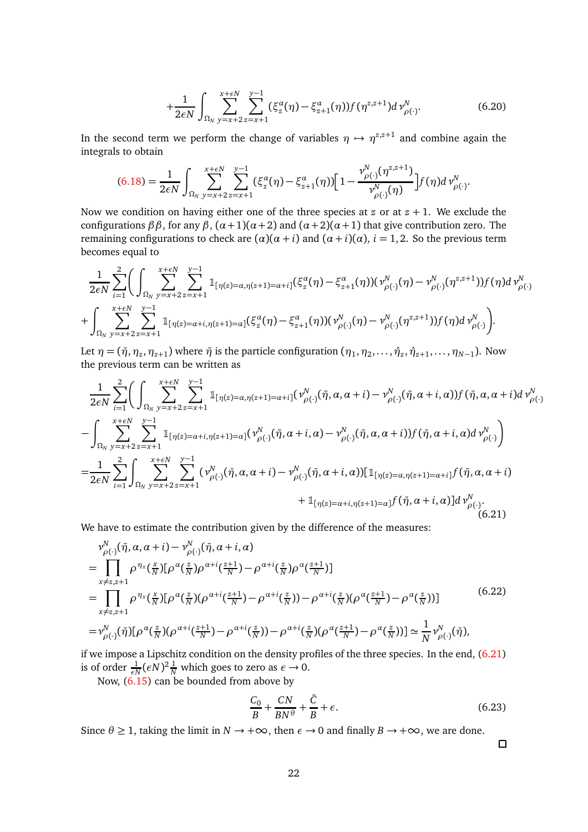$$
+\frac{1}{2\epsilon N}\int_{\Omega_N}\sum_{y=x+2}^{x+\epsilon N}\sum_{z=x+1}^{y-1}(\xi_z^{\alpha}(\eta)-\xi_{z+1}^{\alpha}(\eta))f(\eta^{z,z+1})d\nu_{\rho(\cdot)}^N. \tag{6.20}
$$

In the second term we perform the change of variables  $\eta \mapsto \eta^{z,z+1}$  and combine again the integrals to obtain

$$
(6.18) = \frac{1}{2\epsilon N} \int_{\Omega_N} \sum_{y=x+2}^{x+\epsilon N} \sum_{z=x+1}^{y-1} (\xi_z^{\alpha}(\eta) - \xi_{z+1}^{\alpha}(\eta)) \Big[ 1 - \frac{\nu_{\rho(\cdot)}^N(\eta^{z,z+1})}{\nu_{\rho(\cdot)}^N(\eta)} \Big] f(\eta) d \nu_{\rho(\cdot)}^N.
$$

Now we condition on having either one of the three species at  $z$  or at  $z + 1$ . We exclude the configurations *ββ*, for any *β*,  $(α+1)(α+2)$  and  $(α+2)(α+1)$  that give contribution zero. The remaining configurations to check are (*α*)(*α* + *i*) and (*α* + *i*)(*α*), *i* = 1, 2. So the previous term becomes equal to

$$
\frac{1}{2\epsilon N} \sum_{i=1}^{2} \Biggl( \int_{\Omega_{N}} \sum_{y=x+2}^{x+\epsilon N} \sum_{z=x+1}^{y-1} \mathbb{1}_{[\eta(z)=\alpha,\eta(z+1)=\alpha+i]} (\xi_{z}^{\alpha}(\eta) - \xi_{z+1}^{\alpha}(\eta)) (\nu_{\rho(\cdot)}^{N}(\eta) - \nu_{\rho(\cdot)}^{N}(\eta^{z,z+1})) f(\eta) d \nu_{\rho(\cdot)}^{N} + \int_{\Omega_{N}} \sum_{y=x+2}^{x+\epsilon N} \sum_{z=x+1}^{y-1} \mathbb{1}_{[\eta(z)=\alpha+i,\eta(z+1)=\alpha]} (\xi_{z}^{\alpha}(\eta) - \xi_{z+1}^{\alpha}(\eta)) (\nu_{\rho(\cdot)}^{N}(\eta) - \nu_{\rho(\cdot)}^{N}(\eta^{z,z+1})) f(\eta) d \nu_{\rho(\cdot)}^{N} \Biggr).
$$

Let  $\eta = (\bar{\eta}, \eta_z, \eta_{z+1})$  where  $\bar{\eta}$  is the particle configuration  $(\eta_1, \eta_2, \dots, \hat{\eta}_z, \hat{\eta}_{z+1}, \dots, \eta_{N-1})$ . Now the previous term can be written as

<span id="page-21-0"></span>
$$
\frac{1}{2\epsilon N} \sum_{i=1}^{2} \Biggl( \int_{\Omega_{N}} \sum_{y=x+2}^{x+\epsilon N} \sum_{z=x+1}^{y-1} \mathbb{1}_{[\eta(z)=\alpha,\eta(z+1)=\alpha+i]} (\nu_{\rho(\cdot)}^{N}(\bar{\eta}, \alpha, \alpha+i) - \nu_{\rho(\cdot)}^{N}(\bar{\eta}, \alpha+i, \alpha)) f(\bar{\eta}, \alpha, \alpha+i) d \nu_{\rho(\cdot)}^{N}
$$
  

$$
- \int_{\Omega_{N}} \sum_{y=x+2}^{x+\epsilon N} \sum_{z=x+1}^{y-1} \mathbb{1}_{[\eta(z)=\alpha+i,\eta(z+1)=\alpha]} (\nu_{\rho(\cdot)}^{N}(\bar{\eta}, \alpha+i, \alpha) - \nu_{\rho(\cdot)}^{N}(\bar{\eta}, \alpha, \alpha+i)) f(\bar{\eta}, \alpha+i, \alpha) d \nu_{\rho(\cdot)}^{N} \Biggr)
$$
  

$$
= \frac{1}{2\epsilon N} \sum_{i=1}^{2} \int_{\Omega_{N}} \sum_{y=x+2}^{x+\epsilon N} \sum_{z=x+1}^{y-1} (\nu_{\rho(\cdot)}^{N}(\bar{\eta}, \alpha, \alpha+i) - \nu_{\rho(\cdot)}^{N}(\bar{\eta}, \alpha+i, \alpha)) [\mathbb{1}_{[\eta(z)=\alpha,\eta(z+1)=\alpha+i]} f(\bar{\eta}, \alpha, \alpha+i) + \mathbb{1}_{[\eta(z)=\alpha+i,\eta(z+1)=\alpha]} f(\bar{\eta}, \alpha+i, \alpha)] d \nu_{\rho(\cdot)}^{N}.
$$
  
(6.21)

We have to estimate the contribution given by the difference of the measures:

<span id="page-21-1"></span>
$$
\begin{split}\n& \nu_{\rho(\cdot)}^{N}(\bar{\eta}, \alpha, \alpha + i) - \nu_{\rho(\cdot)}^{N}(\bar{\eta}, \alpha + i, \alpha) \\
& = \prod_{x \neq z, z+1} \rho^{\eta_{x}}(\frac{x}{N}) [\rho^{\alpha}(\frac{z}{N})\rho^{\alpha+i}(\frac{z+1}{N}) - \rho^{\alpha+i}(\frac{z}{N})\rho^{\alpha}(\frac{z+1}{N})] \\
& = \prod_{x \neq z, z+1} \rho^{\eta_{x}}(\frac{x}{N}) [\rho^{\alpha}(\frac{z}{N})(\rho^{\alpha+i}(\frac{z+1}{N}) - \rho^{\alpha+i}(\frac{z}{N})) - \rho^{\alpha+i}(\frac{z}{N})(\rho^{\alpha}(\frac{z+1}{N}) - \rho^{\alpha}(\frac{z}{N}))] \\
& = \nu_{\rho(\cdot)}^{N}(\bar{\eta}) [\rho^{\alpha}(\frac{z}{N})(\rho^{\alpha+i}(\frac{z+1}{N}) - \rho^{\alpha+i}(\frac{z}{N})) - \rho^{\alpha+i}(\frac{z}{N})(\rho^{\alpha}(\frac{z+1}{N}) - \rho^{\alpha}(\frac{z}{N}))] \simeq \frac{1}{N} \nu_{\rho(\cdot)}^{N}(\bar{\eta}),\n\end{split}
$$
\n(6.22)

if we impose a Lipschitz condition on the density profiles of the three species. In the end, [\(6.21\)](#page-21-0) is of order  $\frac{1}{\epsilon N} (\epsilon N)^2 \frac{1}{N}$  which goes to zero as  $\epsilon \to 0$ .

Now, [\(6.15\)](#page-20-2) can be bounded from above by

$$
\frac{C_0}{B} + \frac{CN}{BN^{\theta}} + \frac{\tilde{C}}{B} + \epsilon.
$$
\n(6.23)

Since  $\theta \ge 1$ , taking the limit in  $N \to +\infty$ , then  $\epsilon \to 0$  and finally  $B \to +\infty$ , we are done.

 $\Box$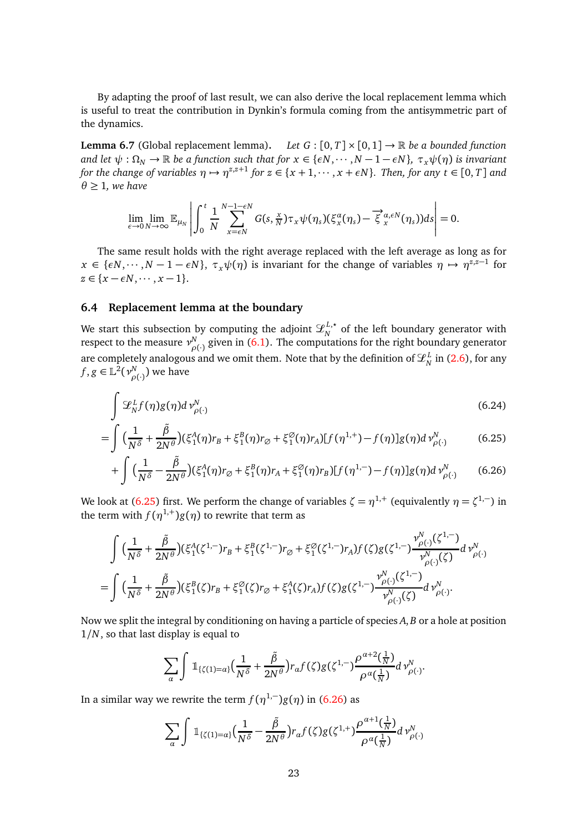By adapting the proof of last result, we can also derive the local replacement lemma which is useful to treat the contribution in Dynkin's formula coming from the antisymmetric part of the dynamics.

<span id="page-22-0"></span>**Lemma 6.7** (Global replacement lemma). Let  $G : [0, T] \times [0, 1] \rightarrow \mathbb{R}$  be a bounded function *and let*  $\psi: \Omega_N \to \mathbb{R}$  *be a function such that for*  $x \in \{\epsilon N, \dots, N-1-\epsilon N\}$ *,*  $\tau_x\psi(\eta)$  *is invariant for the change of variables*  $\eta \mapsto \eta^{z,z+1}$  *for*  $z \in \{x+1,\dots,x+\epsilon N\}$ *. Then, for any*  $t \in [0,T]$  *and*  $\theta \geq 1$ *, we have* 

$$
\lim_{\epsilon \to 0} \lim_{N \to \infty} \mathbb{E}_{\mu_N} \left| \int_0^t \frac{1}{N} \sum_{x=\epsilon N}^{N-1-\epsilon N} G(s, \frac{x}{N}) \tau_x \psi(\eta_s) (\xi_x^{\alpha}(\eta_s) - \overrightarrow{\xi}_x^{\alpha, \epsilon N}(\eta_s)) ds \right| = 0.
$$

The same result holds with the right average replaced with the left average as long as for  $x \in \{\epsilon N, \dots, N-1-\epsilon N\}, \tau_x \psi(\eta)$  is invariant for the change of variables  $\eta \mapsto \eta^{z,z-1}$  for  $z \in \{x - \epsilon N, \cdots, x - 1\}.$ 

## **6.4 Replacement lemma at the boundary**

We start this subsection by computing the adjoint  $\mathscr{L}_{N}^{L,\star}$  of the left boundary generator with respect to the measure  $v_{\alpha}^N$ *ρ*<sub>(·)</sub> given in [\(6.1\)](#page-16-2). The computations for the right boundary generator are completely analogous and we omit them. Note that by the definition of  $\mathcal{L}_N^L$  in [\(2.6\)](#page-4-2), for any  $f, g \in \mathbb{L}^2(\nu_p^N)$  $_{\rho(\cdot)}^{N}$ ) we have

<span id="page-22-1"></span>
$$
\int \mathcal{L}_N^L f(\eta) g(\eta) d\,\nu_{\rho(\cdot)}^N \tag{6.24}
$$

$$
= \int \left(\frac{1}{N^{\delta}} + \frac{\tilde{\beta}}{2N^{\theta}}\right) (\xi_1^A(\eta) r_B + \xi_1^B(\eta) r_{\varnothing} + \xi_1^{\varnothing}(\eta) r_A) [f(\eta^{1,+}) - f(\eta)] g(\eta) d\,\nu_{\rho(\cdot)}^N \tag{6.25}
$$

$$
+ \int \Big(\frac{1}{N^{\delta}} - \frac{\tilde{\beta}}{2N^{\theta}}\Big) (\xi_1^{A}(\eta) r_{\varnothing} + \xi_1^{B}(\eta) r_A + \xi_1^{\varnothing}(\eta) r_B) [f(\eta^{1,-}) - f(\eta)] g(\eta) d\, \nu_{\rho(\cdot)}^{N} \qquad (6.26)
$$

We look at [\(6.25\)](#page-22-1) first. We perform the change of variables  $\zeta = \eta^{1,+}$  (equivalently  $\eta = \zeta^{1,-}$ ) in the term with  $f(\eta^{1,+})g(\eta)$  to rewrite that term as

$$
\int \Big(\frac{1}{N^{\delta}} + \frac{\tilde{\beta}}{2N^{\theta}}\Big) \big(\xi_{1}^{A}(\zeta^{1,-})r_{B} + \xi_{1}^{B}(\zeta^{1,-})r_{\varnothing} + \xi_{1}^{\varnothing}(\zeta^{1,-})r_{A}\big) f(\zeta)g(\zeta^{1,-}) \frac{\nu_{\rho(\cdot)}^{N}(\zeta^{1,-})}{\nu_{\rho(\cdot)}^{N}(\zeta)} d\,\nu_{\rho(\cdot)}^{N} = \int \Big(\frac{1}{N^{\delta}} + \frac{\tilde{\beta}}{2N^{\theta}}\Big) \big(\xi_{1}^{B}(\zeta)r_{B} + \xi_{1}^{\varnothing}(\zeta)r_{\varnothing} + \xi_{1}^{A}(\zeta)r_{A}\big) f(\zeta)g(\zeta^{1,-}) \frac{\nu_{\rho(\cdot)}^{N}(\zeta^{1,-})}{\nu_{\rho(\cdot)}^{N}(\zeta)} d\,\nu_{\rho(\cdot)}^{N}.
$$

Now we split the integral by conditioning on having a particle of species *A*, *B* or a hole at position 1*/N*, so that last display is equal to

<span id="page-22-2"></span>
$$
\sum_{\alpha}\int \mathbb{1}_{\{\zeta(1)=\alpha\}}\Big(\frac{1}{N^{\delta}}+\frac{\tilde{\beta}}{2N^{\theta}}\Big)r_{\alpha}f(\zeta)g(\zeta^{1,-})\frac{\rho^{\alpha+2}(\frac{1}{N})}{\rho^{\alpha}(\frac{1}{N})}d\, \nu_{\rho(\cdot)}^{N}.
$$

In a similar way we rewrite the term  $f(\eta^{1,-}) g(\eta)$  in [\(6.26\)](#page-22-2) as

$$
\sum_{\alpha} \int \mathbb{1}_{\{\zeta(1)=\alpha\}} \Big(\frac{1}{N^{\delta}}-\frac{\tilde{\beta}}{2N^{\theta}}\Big) r_{\alpha} f(\zeta) g(\zeta^{1,+}) \frac{\rho^{\alpha+1}(\frac{1}{N})}{\rho^{\alpha}(\frac{1}{N})} d \nu_{\rho(\cdot)}^N
$$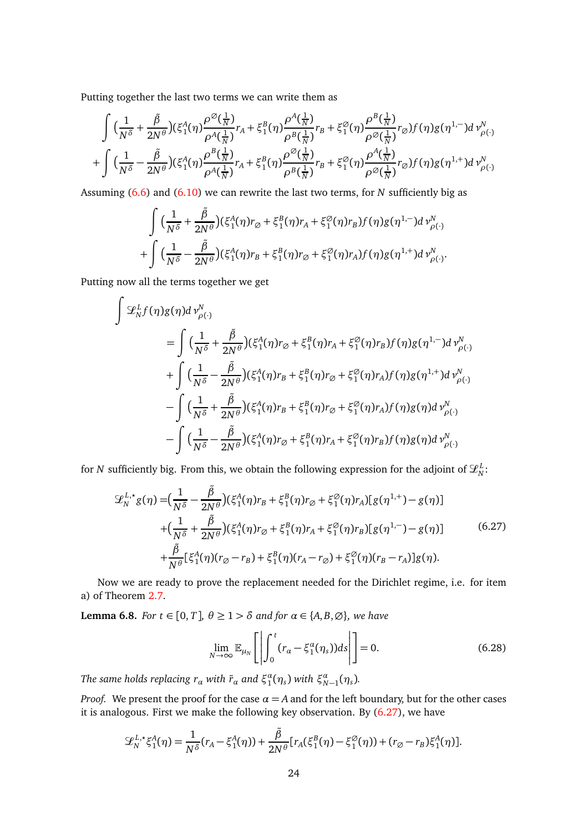Putting together the last two terms we can write them as

$$
\int \left(\frac{1}{N^{\delta}}+\frac{\tilde{\beta}}{2N^{\theta}}\right)(\xi_{1}^{A}(\eta)\frac{\rho^{\emptyset}(\frac{1}{N})}{\rho^{A}(\frac{1}{N})}r_{A}+\xi_{1}^{B}(\eta)\frac{\rho^{A}(\frac{1}{N})}{\rho^{B}(\frac{1}{N})}r_{B}+\xi_{1}^{\emptyset}(\eta)\frac{\rho^{B}(\frac{1}{N})}{\rho^{\emptyset}(\frac{1}{N})}r_{\emptyset})f(\eta)g(\eta^{1,-})d\nu_{\rho(\cdot)}^{N} +\int \left(\frac{1}{N^{\delta}}-\frac{\tilde{\beta}}{2N^{\theta}}\right)(\xi_{1}^{A}(\eta)\frac{\rho^{B}(\frac{1}{N})}{\rho^{A}(\frac{1}{N})}r_{A}+\xi_{1}^{B}(\eta)\frac{\rho^{\emptyset}(\frac{1}{N})}{\rho^{B}(\frac{1}{N})}r_{B}+\xi_{1}^{\emptyset}(\eta)\frac{\rho^{A}(\frac{1}{N})}{\rho^{\emptyset}(\frac{1}{N})}r_{\emptyset})f(\eta)g(\eta^{1,+})d\nu_{\rho(\cdot)}^{N}
$$

Assuming [\(6.6\)](#page-17-2) and [\(6.10\)](#page-18-2) we can rewrite the last two terms, for *N* sufficiently big as

$$
\int \Big(\frac{1}{N^{\delta}}+\frac{\tilde{\beta}}{2N^{\theta}}\Big)(\xi_1^A(\eta)r_{\varnothing}+\xi_1^B(\eta)r_A+\xi_1^{\varnothing}(\eta)r_B)f(\eta)g(\eta^{1,-})d\nu_{\rho(\cdot)}^N+\int \Big(\frac{1}{N^{\delta}}-\frac{\tilde{\beta}}{2N^{\theta}}\Big)(\xi_1^A(\eta)r_B+\xi_1^B(\eta)r_{\varnothing}+\xi_1^{\varnothing}(\eta)r_A)f(\eta)g(\eta^{1,+})d\nu_{\rho(\cdot)}^N.
$$

Putting now all the terms together we get

$$
\int \mathcal{L}_{N}^{L} f(\eta)g(\eta)d \nu_{\rho(\cdot)}^{N} \n= \int \Big(\frac{1}{N^{\delta}} + \frac{\tilde{\beta}}{2N^{\theta}}\Big)(\xi_{1}^{A}(\eta)r_{\varnothing} + \xi_{1}^{B}(\eta)r_{A} + \xi_{1}^{\varnothing}(\eta)r_{B})f(\eta)g(\eta^{1,-})d \nu_{\rho(\cdot)}^{N} \n+ \int \Big(\frac{1}{N^{\delta}} - \frac{\tilde{\beta}}{2N^{\theta}}\Big)(\xi_{1}^{A}(\eta)r_{B} + \xi_{1}^{B}(\eta)r_{\varnothing} + \xi_{1}^{\varnothing}(\eta)r_{A})f(\eta)g(\eta^{1,+})d \nu_{\rho(\cdot)}^{N} \n- \int \Big(\frac{1}{N^{\delta}} + \frac{\tilde{\beta}}{2N^{\theta}}\Big)(\xi_{1}^{A}(\eta)r_{B} + \xi_{1}^{B}(\eta)r_{\varnothing} + \xi_{1}^{\varnothing}(\eta)r_{A})f(\eta)g(\eta)d \nu_{\rho(\cdot)}^{N} \n- \int \Big(\frac{1}{N^{\delta}} - \frac{\tilde{\beta}}{2N^{\theta}}\Big)(\xi_{1}^{A}(\eta)r_{\varnothing} + \xi_{1}^{B}(\eta)r_{A} + \xi_{1}^{\varnothing}(\eta)r_{B})f(\eta)g(\eta)d \nu_{\rho(\cdot)}^{N}
$$

for *N* sufficiently big. From this, we obtain the following expression for the adjoint of  $\mathscr{L}^L_N$ :

<span id="page-23-0"></span>
$$
\mathcal{L}_{N}^{L,*}g(\eta) = \left(\frac{1}{N^{\delta}} - \frac{\tilde{\beta}}{2N^{\theta}}\right)(\xi_{1}^{A}(\eta)r_{B} + \xi_{1}^{B}(\eta)r_{\emptyset} + \xi_{1}^{\emptyset}(\eta)r_{A})[g(\eta^{1,+}) - g(\eta)] \n+ \left(\frac{1}{N^{\delta}} + \frac{\tilde{\beta}}{2N^{\theta}}\right)(\xi_{1}^{A}(\eta)r_{\emptyset} + \xi_{1}^{B}(\eta)r_{A} + \xi_{1}^{\emptyset}(\eta)r_{B})[g(\eta^{1,-}) - g(\eta)] \n+ \frac{\tilde{\beta}}{N^{\theta}}[\xi_{1}^{A}(\eta)(r_{\emptyset} - r_{B}) + \xi_{1}^{B}(\eta)(r_{A} - r_{\emptyset}) + \xi_{1}^{\emptyset}(\eta)(r_{B} - r_{A})]g(\eta).
$$
\n(6.27)

Now we are ready to prove the replacement needed for the Dirichlet regime, i.e. for item a) of Theorem [2.7.](#page-6-2)

<span id="page-23-1"></span>**Lemma 6.8.** *For*  $t \in [0, T]$ *,*  $\theta \geq 1 > \delta$  *and for*  $\alpha \in \{A, B, \emptyset\}$ *, we have* 

$$
\lim_{N \to \infty} \mathbb{E}_{\mu_N} \left[ \left| \int_0^t (r_\alpha - \xi_1^\alpha(\eta_s)) ds \right| \right] = 0. \tag{6.28}
$$

*The same holds replacing*  $r_a$  *with*  $\tilde{r}_a$  *and*  $\xi_1^a(\eta_s)$  *with*  $\xi_{N-1}^a(\eta_s)$ *.* 

*Proof.* We present the proof for the case  $\alpha = A$  and for the left boundary, but for the other cases it is analogous. First we make the following key observation. By [\(6.27\)](#page-23-0), we have

$$
\mathcal{L}_{N}^{L,*}\xi_{1}^{A}(\eta) = \frac{1}{N^{\delta}}(r_{A} - \xi_{1}^{A}(\eta)) + \frac{\tilde{\beta}}{2N^{\theta}}[r_{A}(\xi_{1}^{B}(\eta) - \xi_{1}^{\emptyset}(\eta)) + (r_{\emptyset} - r_{B})\xi_{1}^{A}(\eta)].
$$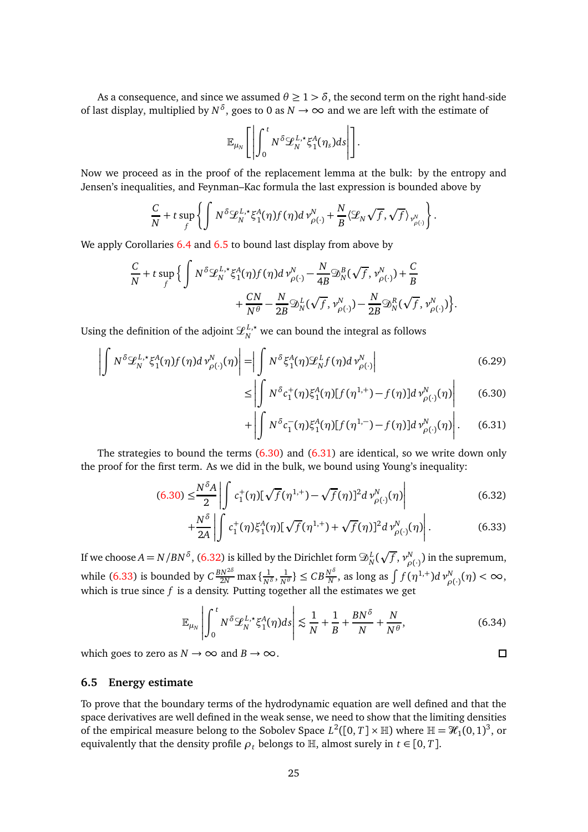As a consequence, and since we assumed  $\theta \geq 1 > \delta$ , the second term on the right hand-side of last display, multiplied by  $N^{\delta}$ , goes to 0 as  $N \to \infty$  and we are left with the estimate of

$$
\mathbb{E}_{\mu_N}\Bigg[\left|\int_0^t N^\delta \mathcal{L}_N^{L,\star}\xi_1^A(\eta_s)ds\right|\Bigg].
$$

Now we proceed as in the proof of the replacement lemma at the bulk: by the entropy and Jensen's inequalities, and Feynman–Kac formula the last expression is bounded above by

$$
\frac{C}{N}+t\sup_{f}\left\{\int N^{\delta}\mathcal{L}_{N}^{L,\star}\xi_{1}^{A}(\eta)f(\eta)d\nu_{\rho(\cdot)}^{N}+\frac{N}{B}\langle\mathcal{L}_{N}\sqrt{f},\sqrt{f}\rangle_{\nu_{\rho(\cdot)}^{N}}\right\}.
$$

We apply Corollaries [6.4](#page-17-4) and [6.5](#page-18-3) to bound last display from above by

$$
\frac{C}{N} + t \sup_{f} \Big\{ \int N^{\delta} \mathcal{L}_{N}^{L,\star} \xi_{1}^{A}(\eta) f(\eta) d\,\nu_{\rho(\cdot)}^{N} - \frac{N}{4B} \mathfrak{D}_{N}^{B}(\sqrt{f},\nu_{\rho(\cdot)}^{N}) + \frac{C}{B} + \frac{CN}{N^{\theta}} - \frac{N}{2B} \mathfrak{D}_{N}^{L}(\sqrt{f},\nu_{\rho(\cdot)}^{N}) - \frac{N}{2B} \mathfrak{D}_{N}^{R}(\sqrt{f},\nu_{\rho(\cdot)}^{N}) \Big\}.
$$

Using the definition of the adjoint  $\mathcal{L}_{N}^{L,\star}$  we can bound the integral as follows

≤

$$
\left| \int N^{\delta} \mathcal{L}_N^{L, \star} \xi_1^A(\eta) f(\eta) d\,\nu_{\rho(\cdot)}^N(\eta) \right| = \left| \int N^{\delta} \xi_1^A(\eta) \mathcal{L}_N^L f(\eta) d\,\nu_{\rho(\cdot)}^N \right| \tag{6.29}
$$

<span id="page-24-1"></span><span id="page-24-0"></span>
$$
\left| \int N^{\delta} c_1^+(\eta) \xi_1^A(\eta) [f(\eta^{1,+}) - f(\eta)] d \nu_{\rho(\cdot)}^N(\eta) \right| \tag{6.30}
$$

$$
+\left|\int N^{\delta}c_1^{-}(\eta)\xi_1^A(\eta)[f(\eta^{1,-})-f(\eta)]d\,\nu_{\rho(\cdot)}^N(\eta)\right|.\qquad(6.31)
$$

The strategies to bound the terms  $(6.30)$  and  $(6.31)$  are identical, so we write down only the proof for the first term. As we did in the bulk, we bound using Young's inequality:

$$
(6.30) \leq \frac{N^{\delta}A}{2} \left| \int_{-\infty}^{\infty} c_1^+(\eta) [\sqrt{f}(\eta^{1,+}) - \sqrt{f}(\eta)]^2 d\nu_{\rho(\cdot)}^N(\eta) \right| \tag{6.32}
$$

$$
+\frac{N^{\delta}}{2A} \left| \int c_1^+(\eta) \xi_1^A(\eta) [\sqrt{f}(\eta^{1,+}) + \sqrt{f}(\eta)]^2 d\, \nu_{\rho(\cdot)}^N(\eta) \right|.
$$
 (6.33)

If we choose  $A = N/BN^{\delta}$  , [\(6.32\)](#page-24-2) is killed by the Dirichlet form  $\mathfrak{D}^L_N(\sqrt{f},\nu^N_{\rho(\cdot)})$  in the supremum, *ρ*(·) while [\(6.33\)](#page-24-3) is bounded by  $C\frac{BN^{2\delta}}{2N}$  max  $\{\frac{1}{N^{\delta}}$  $\frac{1}{N^{\delta}}, \frac{1}{N^{\theta}}\} \leq C B \frac{N^{\delta}}{N}$  $\frac{N^{\delta}}{N}$ , as long as  $\int f(\eta^{1,+})d\,\nu_{\rho}^{N}$  $_{\rho(\cdot)}^N(\eta) < \infty$ , which is true since *f* is a density. Putting together all the estimates we get

$$
\mathbb{E}_{\mu_N} \left| \int_0^t N^\delta \mathcal{L}_N^{L,\star} \xi_1^A(\eta) ds \right| \lesssim \frac{1}{N} + \frac{1}{B} + \frac{BN^\delta}{N} + \frac{N}{N^\theta},\tag{6.34}
$$

which goes to zero as  $N \to \infty$  and  $B \to \infty$ .

## **6.5 Energy estimate**

To prove that the boundary terms of the hydrodynamic equation are well defined and that the space derivatives are well defined in the weak sense, we need to show that the limiting densities of the empirical measure belong to the Sobolev Space  $L^2([0, T] \times \mathbb{H})$  where  $\mathbb{H} = \mathcal{H}_1(0, 1)^3$ , or equivalently that the density profile  $\rho_t$  belongs to H, almost surely in  $t \in [0, T]$ .

<span id="page-24-3"></span><span id="page-24-2"></span> $\Box$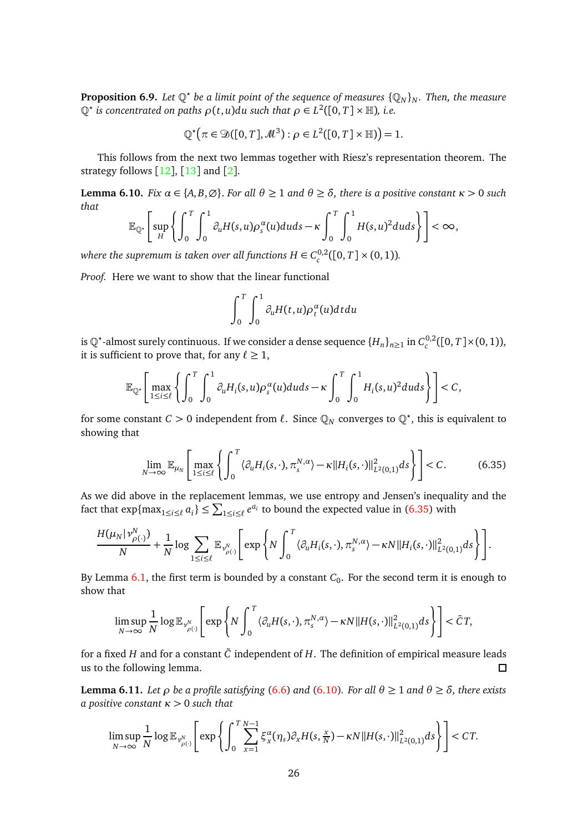**Proposition 6.9.** Let  $\mathbb{Q}^{\star}$  be a limit point of the sequence of measures  $\{\mathbb{Q}_{N}\}_{N}$ . Then, the measure  $\mathbb{Q}^*$  *is concentrated on paths*  $\rho(t, u) du$  *such that*  $\rho \in L^2([0, T] \times \mathbb{H})$ *, i.e.* 

$$
\mathbb{Q}^{\star}(\pi \in \mathfrak{D}([0,T], \mathcal{M}^{3}): \rho \in L^{2}([0,T] \times \mathbb{H})) = 1.
$$

This follows from the next two lemmas together with Riesz's representation theorem. The strategy follows  $[12]$  $[12]$  $[12]$ ,  $[13]$  $[13]$  $[13]$  and  $[2]$  $[2]$  $[2]$ .

**Lemma 6.10.** *Fix*  $\alpha \in \{A, B, \emptyset\}$ . *For all*  $\theta \ge 1$  *and*  $\theta \ge \delta$ *, there is a positive constant*  $\kappa > 0$  *such that*

$$
\mathbb{E}_{\mathbb{Q}^{\star}}\left[\sup_{H}\left\{\int_{0}^{T}\int_{0}^{1}\partial_{u}H(s,u)\rho_{s}^{\alpha}(u)duds-\kappa\int_{0}^{T}\int_{0}^{1}H(s,u)^{2}duds\right\}\right]<\infty,
$$

*where the supremum is taken over all functions*  $H \in C_c^{0,2}([0, T] \times (0, 1))$ *.* 

*Proof.* Here we want to show that the linear functional

$$
\int_0^T \int_0^1 \partial_u H(t,u) \rho_t^{\alpha}(u) dt du
$$

is Q<sup>\*</sup>-almost surely continuous. If we consider a dense sequence  ${H_n}_{n \geq 1}$  in  $C_c^{0,2}([0, T] \times (0, 1)),$ it is sufficient to prove that, for any  $\ell \geq 1$ ,

$$
\mathbb{E}_{\mathbb{Q}^*}\Bigg[\max_{1\leq i\leq \ell}\left\{\int_0^T\int_0^1\partial_uH_i(s,u)\rho_s^{\alpha}(u)duds-\kappa\int_0^T\int_0^1H_i(s,u)^2duds\right\}\Bigg]
$$

for some constant  $C > 0$  independent from  $\ell$ . Since  $\mathbb{Q}_N$  converges to  $\mathbb{Q}^*$ , this is equivalent to showing that

<span id="page-25-0"></span>
$$
\lim_{N \to \infty} \mathbb{E}_{\mu_N} \left[ \max_{1 \le i \le \ell} \left\{ \int_0^T \langle \partial_u H_i(s, \cdot), \pi_s^{N, \alpha} \rangle - \kappa || H_i(s, \cdot) ||^2_{L^2(0, 1)} ds \right\} \right] < C. \tag{6.35}
$$

As we did above in the replacement lemmas, we use entropy and Jensen's inequality and the fact that  $\exp\{\max_{1\leq i\leq \ell} a_i\} \leq \sum_{1\leq i\leq \ell} e^{a_i}$  to bound the expected value in [\(6.35\)](#page-25-0) with

$$
\frac{H(\mu_N|\nu_{\rho(\cdot)}^N)}{N} + \frac{1}{N}\log \sum_{1\leq i\leq \ell}\mathbb{E}_{\nu_{\rho(\cdot)}^N}\Bigg[\exp\Bigg\{N\int_0^T\big\langle \partial_u H_i(s,\cdot), \pi_s^{N,\alpha}\big\rangle - \kappa N\|H_i(s,\cdot)\|^2_{L^2(0,1)}ds\Bigg\}\Bigg].
$$

By Lemma  $6.1$ , the first term is bounded by a constant  $C_0$ . For the second term it is enough to show that

$$
\limsup_{N\to\infty}\frac{1}{N}\log\mathbb{E}_{\nu_{\rho(\cdot)}^N}\Bigg[\exp\Bigg\{N\int_0^T\langle\partial_uH(s,\cdot),\pi_s^{N,\alpha}\rangle-\kappa N\|H(s,\cdot)\|_{L^2(0,1)}^2ds\Bigg\}\Bigg]<\tilde{C}T,
$$

for a fixed *H* and for a constant  $\tilde{C}$  independent of *H*. The definition of empirical measure leads us to the following lemma.  $\Box$ 

**Lemma 6.11.** *Let ρ be a* profile satisfying [\(6.6\)](#page-17-2) and [\(6.10\)](#page-18-2). For all  $θ ≥ 1$  and  $θ ≥ δ$ *, there exists a positive constant κ >* 0 *such that*

$$
\limsup_{N\to\infty}\frac{1}{N}\log\mathbb{E}_{\nu_{\rho(\cdot)}^N}\Bigg[\exp\Bigg\{\int_0^T\sum_{x=1}^{N-1}\xi_x^{\alpha}(\eta_s)\partial_xH(s,\tfrac{x}{N})-\kappa N\|H(s,\cdot)\|_{L^2(0,1)}^2ds\Bigg\}\Bigg]\leq CT.
$$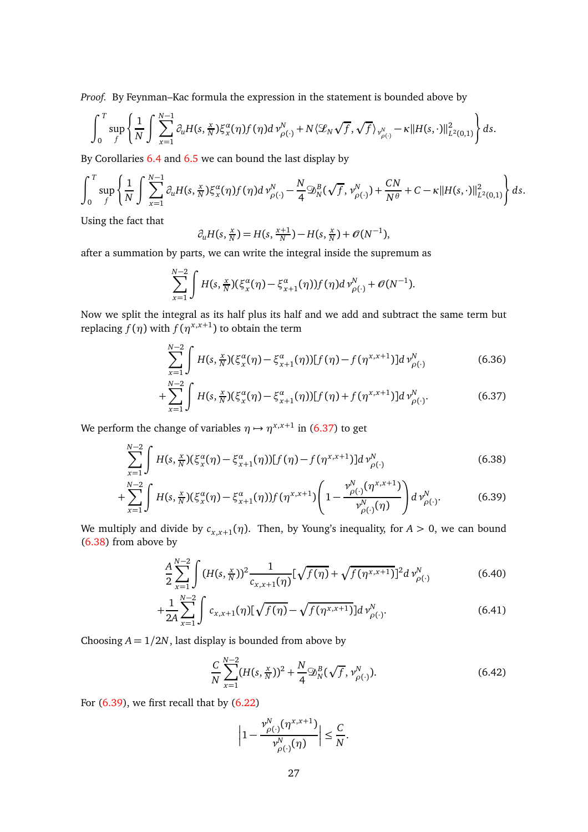*Proof.* By Feynman–Kac formula the expression in the statement is bounded above by

$$
\int_0^T \sup_f \left\{ \frac{1}{N} \int \sum_{x=1}^{N-1} \partial_u H(s, \frac{x}{N}) \xi_x^{\alpha}(\eta) f(\eta) d\mathcal{V}_{\rho(\cdot)}^N + N \langle \mathcal{L}_N \sqrt{f}, \sqrt{f} \rangle_{\mathcal{V}_{\rho(\cdot)}^N} - \kappa ||H(s, \cdot)||_{L^2(0,1)}^2 \right\} ds.
$$

By Corollaries [6.4](#page-17-4) and [6.5](#page-18-3) we can bound the last display by

$$
\int_0^T \sup_f \left\{ \frac{1}{N} \int \sum_{x=1}^{N-1} \partial_u H(s, \frac{x}{N}) \xi_x^{\alpha}(\eta) f(\eta) d \nu_{\rho(\cdot)}^N - \frac{N}{4} \mathfrak{D}_N^B(\sqrt{f}, \nu_{\rho(\cdot)}^N) + \frac{CN}{N^{\theta}} + C - \kappa ||H(s, \cdot)||_{L^2(0,1)}^2 \right\} ds.
$$

Using the fact that

$$
\partial_u H(s, \frac{x}{N}) = H(s, \frac{x+1}{N}) - H(s, \frac{x}{N}) + \mathcal{O}(N^{-1}),
$$

after a summation by parts, we can write the integral inside the supremum as

$$
\sum_{x=1}^{N-2} \int H(s, \frac{x}{N}) (\xi_x^{\alpha}(\eta) - \xi_{x+1}^{\alpha}(\eta)) f(\eta) d\, \nu_{\rho(\cdot)}^N + \mathcal{O}(N^{-1}).
$$

Now we split the integral as its half plus its half and we add and subtract the same term but replacing  $f(\eta)$  with  $f(\eta^{x,x+1})$  to obtain the term

<span id="page-26-0"></span>
$$
\sum_{x=1}^{N-2} \int H(s, \frac{x}{N}) (\xi_x^{\alpha}(\eta) - \xi_{x+1}^{\alpha}(\eta)) [f(\eta) - f(\eta^{x,x+1})] d \nu_{\rho(\cdot)}^N
$$
(6.36)

<span id="page-26-1"></span>
$$
+\sum_{x=1}^{N-2} \int H(s, \frac{x}{N}) (\xi_x^{\alpha}(\eta) - \xi_{x+1}^{\alpha}(\eta)) [f(\eta) + f(\eta^{x,x+1})] d\, \nu_{\rho(\cdot)}^N. \tag{6.37}
$$

We perform the change of variables  $\eta \mapsto \eta^{x,x+1}$  in [\(6.37\)](#page-26-0) to get

$$
\sum_{x=1}^{N-2} \int H(s, \frac{x}{N}) (\xi_x^{\alpha}(\eta) - \xi_{x+1}^{\alpha}(\eta)) [f(\eta) - f(\eta^{x,x+1})] d\,\nu_{\rho(\cdot)}^N \tag{6.38}
$$

$$
+\sum_{x=1}^{N-2} \int H(s, \frac{x}{N}) (\xi_x^{\alpha}(\eta) - \xi_{x+1}^{\alpha}(\eta)) f(\eta^{x,x+1}) \left(1 - \frac{\nu_{\rho(\cdot)}^N(\eta^{x,x+1})}{\nu_{\rho(\cdot)}^N(\eta)}\right) d \nu_{\rho(\cdot)}^N. \tag{6.39}
$$

We multiply and divide by  $c_{x,x+1}(\eta)$ . Then, by Young's inequality, for  $A > 0$ , we can bound [\(6.38\)](#page-26-1) from above by

$$
\frac{A}{2} \sum_{x=1}^{N-2} \int \left( H(s, \frac{x}{N}) \right)^2 \frac{1}{c_{x,x+1}(\eta)} \left[ \sqrt{f(\eta)} + \sqrt{f(\eta^{x,x+1})} \right]^2 d \nu_{\rho(\cdot)}^N \tag{6.40}
$$

$$
+\frac{1}{2A} \sum_{x=1}^{N-2} \int c_{x,x+1}(\eta) [\sqrt{f(\eta)} - \sqrt{f(\eta^{x,x+1})}] d\, \nu_{\rho(\cdot)}^N. \tag{6.41}
$$

Choosing  $A = 1/2N$ , last display is bounded from above by

<span id="page-26-3"></span><span id="page-26-2"></span>
$$
\frac{C}{N} \sum_{x=1}^{N-2} (H(s, \frac{x}{N}))^2 + \frac{N}{4} \mathfrak{D}_N^B(\sqrt{f}, \nu_{\rho(\cdot)}^N). \tag{6.42}
$$

For  $(6.39)$ , we first recall that by  $(6.22)$ 

$$
\left|1-\frac{\nu^N_{\rho(\cdot)}(\eta^{x,x+1})}{\nu^N_{\rho(\cdot)}(\eta)}\right|\leq \frac{C}{N}.
$$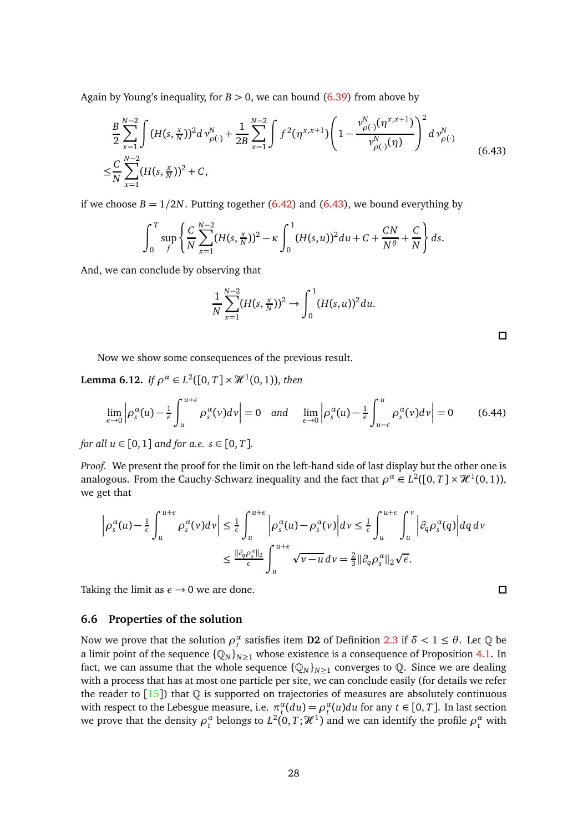Again by Young's inequality, for  $B > 0$ , we can bound [\(6.39\)](#page-26-2) from above by

<span id="page-27-2"></span>
$$
\frac{B}{2} \sum_{x=1}^{N-2} \int (H(s, \frac{x}{N}))^2 d\,\nu_{\rho(\cdot)}^N + \frac{1}{2B} \sum_{x=1}^{N-2} \int f^2(\eta^{x,x+1}) \left(1 - \frac{\nu_{\rho(\cdot)}^N(\eta^{x,x+1})}{\nu_{\rho(\cdot)}^N(\eta)}\right)^2 d\,\nu_{\rho(\cdot)}^N
$$
\n
$$
\leq \frac{C}{N} \sum_{x=1}^{N-2} (H(s, \frac{x}{N}))^2 + C,
$$
\n(6.43)

if we choose  $B = 1/2N$ . Putting together [\(6.42\)](#page-26-3) and [\(6.43\)](#page-27-2), we bound everything by

$$
\int_0^T \sup_f \left\{ \frac{C}{N} \sum_{x=1}^{N-2} (H(s, \frac{x}{N}))^2 - \kappa \int_0^1 (H(s, u))^2 du + C + \frac{CN}{N^{\theta}} + \frac{C}{N} \right\} ds.
$$

And, we can conclude by observing that

$$
\frac{1}{N} \sum_{x=1}^{N-2} (H(s, \frac{x}{N}))^2 \to \int_0^1 (H(s, u))^2 du.
$$

 $\Box$ 

 $\Box$ 

Now we show some consequences of the previous result.

<span id="page-27-1"></span>**Lemma 6.12.** *If*  $\rho^{\alpha} \in L^2([0, T] \times \mathcal{H}^1(0, 1))$ , *then* 

$$
\lim_{\epsilon \to 0} \left| \rho_s^{\alpha}(u) - \frac{1}{\epsilon} \int_u^{u+\epsilon} \rho_s^{\alpha}(v) dv \right| = 0 \quad \text{and} \quad \lim_{\epsilon \to 0} \left| \rho_s^{\alpha}(u) - \frac{1}{\epsilon} \int_{u-\epsilon}^u \rho_s^{\alpha}(v) dv \right| = 0 \tag{6.44}
$$

*for all*  $u \in [0, 1]$  *and for a.e.*  $s \in [0, T]$ *.* 

*Proof.* We present the proof for the limit on the left-hand side of last display but the other one is analogous. From the Cauchy-Schwarz inequality and the fact that  $\rho^{\alpha} \in L^2([0, T] \times \mathcal{H}^1(0, 1)),$ we get that

$$
\left| \rho_s^{\alpha}(u) - \frac{1}{\epsilon} \int_u^{u+\epsilon} \rho_s^{\alpha}(v) dv \right| \leq \frac{1}{\epsilon} \int_u^{u+\epsilon} \left| \rho_s^{\alpha}(u) - \rho_s^{\alpha}(v) \right| dv \leq \frac{1}{\epsilon} \int_u^{u+\epsilon} \int_u^v \left| \partial_q \rho_s^{\alpha}(q) \right| dq \, dv
$$
  

$$
\leq \frac{\|\partial_q \rho_s^{\alpha}\|_2}{\epsilon} \int_u^{u+\epsilon} \sqrt{v - u} \, dv = \frac{2}{3} \|\partial_q \rho_s^{\alpha}\|_2 \sqrt{\epsilon}.
$$

Taking the limit as  $\epsilon \rightarrow 0$  we are done.

### <span id="page-27-0"></span>**6.6 Properties of the solution**

Now we prove that the solution  $\rho_t^{\alpha}$  satisfies item **D2** of Definition [2.3](#page-5-0) if  $\delta < 1 \le \theta$ . Let  $\mathbb Q$  be a limit point of the sequence  $\{Q_N\}_{N>1}$  whose existence is a consequence of Proposition [4.1.](#page-12-4) In fact, we can assume that the whole sequence  $\{Q_N\}_{N\geq 1}$  converges to  $\mathbb Q$ . Since we are dealing with a process that has at most one particle per site, we can conclude easily (for details we refer the reader to  $[15]$  $[15]$  $[15]$ ) that  $\mathbb Q$  is supported on trajectories of measures are absolutely continuous with respect to the Lebesgue measure, i.e.  $\pi_t^{\alpha}(du) = \rho_t^{\alpha}(u)du$  for any  $t \in [0, T]$ . In last section we prove that the density  $\rho_t^{\alpha}$  belongs to  $L^2(0,T;\mathcal{H}^1)$  and we can identify the profile  $\rho_t^{\alpha}$  with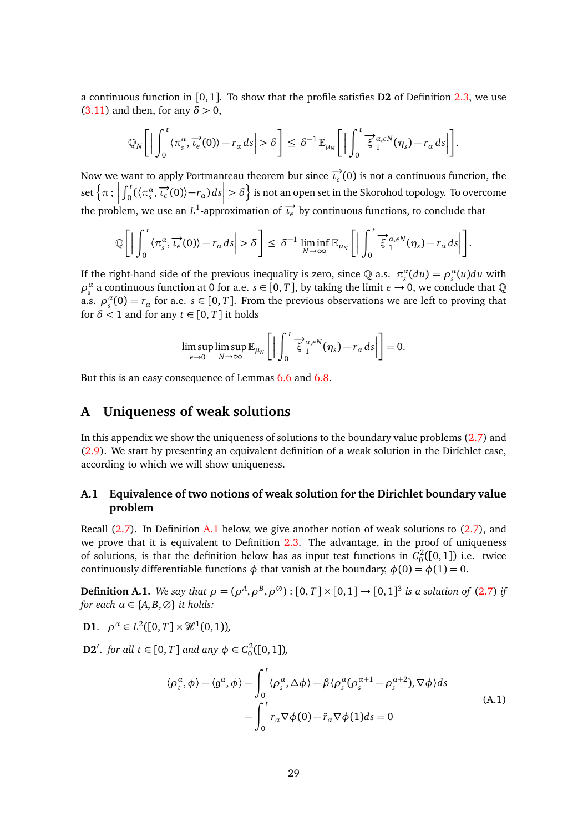a continuous function in [0, 1]. To show that the profile satisfies **D2** of Definition [2.3,](#page-5-0) we use [\(3.11\)](#page-9-3) and then, for any  $\delta > 0$ ,

$$
\mathbb{Q}_N\bigg[\Big|\int_0^t \langle \pi_s^{\alpha}, \overrightarrow{\iota_{\epsilon}}(0) \rangle - r_{\alpha} ds \Big| > \delta\bigg] \leq \delta^{-1} \mathbb{E}_{\mu_N}\bigg[\Big|\int_0^t \overrightarrow{\xi}_1^{\alpha, \epsilon N}(\eta_s) - r_{\alpha} ds \Big| \bigg].
$$

Now we want to apply Portmanteau theorem but since  $\overrightarrow{v_{\epsilon}}(0)$  is not a continuous function, the set  $\left\{ \pi:\right\}$  $\int_0^t (\langle \pi_s^{\alpha}, \overrightarrow{v_{\epsilon}}(0) \rangle - r_{\alpha}) ds \Big| > \delta$  is not an open set in the Skorohod topology. To overcome the problem, we use an  $L^1$ -approximation of  $\overrightarrow{v_{\epsilon}}$  by continuous functions, to conclude that

$$
\mathbb{Q}\bigg[\Big|\int_0^t \langle \pi_s^{\alpha}, \overrightarrow{\iota_{\epsilon}}(0) \rangle - r_{\alpha} ds \Big| > \delta\bigg] \leq \delta^{-1} \liminf_{N \to \infty} \mathbb{E}_{\mu_N}\bigg[\Big|\int_0^t \overrightarrow{\xi}_1^{\alpha, \epsilon N}(\eta_s) - r_{\alpha} ds \Big|\bigg].
$$

If the right-hand side of the previous inequality is zero, since  $Q$  a.s.  $\pi_s^{\alpha}(du) = \rho_s^{\alpha}(u)du$  with  $\rho_s^{\alpha}$  a continuous function at 0 for a.e.  $s \in [0, T]$ , by taking the limit  $\epsilon \to 0$ , we conclude that  $\mathbb Q$ a.s.  $\rho_s^{\alpha}(0) = r_{\alpha}$  for a.e.  $s \in [0, T]$ . From the previous observations we are left to proving that for  $\delta$  < 1 and for any  $t \in [0, T]$  it holds

$$
\limsup_{\epsilon \to 0} \limsup_{N \to \infty} \mathbb{E}_{\mu_N} \left[ \left| \int_0^t \overline{\xi}_1^{\alpha, \epsilon N}(\eta_s) - r_\alpha \, ds \right| \right] = 0.
$$

But this is an easy consequence of Lemmas [6.6](#page-19-0) and [6.8.](#page-23-1)

# <span id="page-28-0"></span>**A Uniqueness of weak solutions**

In this appendix we show the uniqueness of solutions to the boundary value problems [\(2.7\)](#page-5-1) and [\(2.9\)](#page-5-2). We start by presenting an equivalent definition of a weak solution in the Dirichlet case, according to which we will show uniqueness.

## **A.1 Equivalence of two notions of weak solution for the Dirichlet boundary value problem**

Recall [\(2.7\)](#page-5-1). In Definition [A.1](#page-28-1) below, we give another notion of weak solutions to [\(2.7\)](#page-5-1), and we prove that it is equivalent to Definition [2.3.](#page-5-0) The advantage, in the proof of uniqueness of solutions, is that the definition below has as input test functions in  $C_0^2([0,1])$  i.e. twice continuously differentiable functions  $\phi$  that vanish at the boundary,  $\phi(0) = \phi(1) = 0$ .

<span id="page-28-1"></span>**Definition A.1.** *We say that*  $\rho = (\rho^A, \rho^B, \rho^{\emptyset})$  :  $[0, T] \times [0, 1] \rightarrow [0, 1]^3$  *is a solution of* [\(2.7\)](#page-5-1) *if for each*  $\alpha \in \{A, B, \emptyset\}$  *it holds:* 

**D1**.  $\rho^{\alpha} \in L^2([0, T] \times \mathcal{H}^1(0, 1)),$ 

<span id="page-28-2"></span>**D2**<sup>'</sup>. *for all*  $t \in [0, T]$  *and any*  $\phi \in C_0^2([0, 1])$ *,* 

$$
\langle \rho_t^{\alpha}, \phi \rangle - \langle \mathfrak{g}^{\alpha}, \phi \rangle - \int_0^t \langle \rho_s^{\alpha}, \Delta \phi \rangle - \beta \langle \rho_s^{\alpha} (\rho_s^{\alpha+1} - \rho_s^{\alpha+2}), \nabla \phi \rangle ds
$$
\n
$$
- \int_0^t r_{\alpha} \nabla \phi(0) - \tilde{r}_{\alpha} \nabla \phi(1) ds = 0
$$
\n(A.1)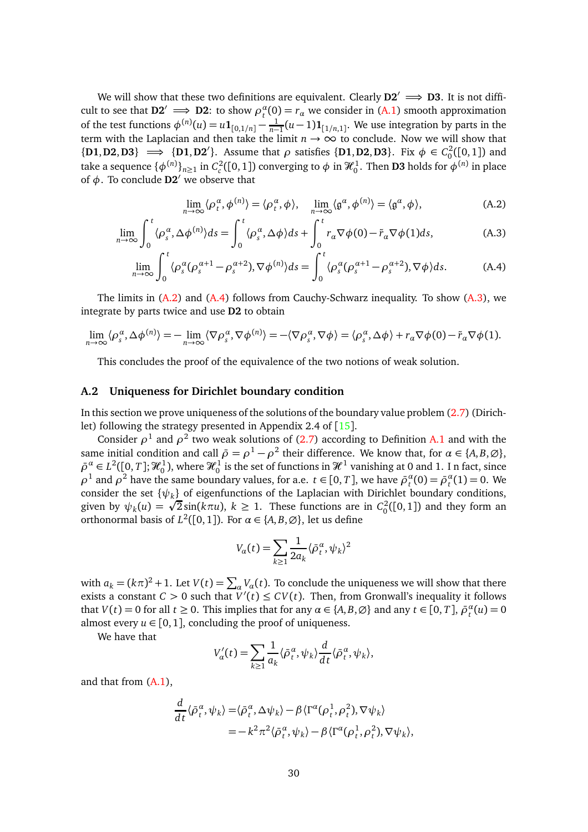We will show that these two definitions are equivalent. Clearly  $D2' \implies D3$ . It is not difficult to see that  $D2' \implies D2$ : to show  $\rho_t^{\alpha}(0) = r_{\alpha}$  we consider in [\(A.1\)](#page-28-2) smooth approximation of the test functions  $\phi^{(n)}(u) = u \mathbf{1}_{[0,1/n]} - \frac{1}{n-1}$  $\frac{1}{n-1}(u-1)\mathbf{1}_{[1/n,1]}$ . We use integration by parts in the term with the Laplacian and then take the limit  $n \to \infty$  to conclude. Now we will show that  ${\bf (D1, D2, D3)} \implies {\bf (D1, D2')}$ . Assume that *ρ* satisfies  ${\bf (D1, D2, D3)}$ . Fix  $\phi \in C_0^2([0, 1])$  and take a sequence  $\{\phi^{(n)}\}_{n\geq 1}$  in  $C_c^2([0,1])$  converging to  $\phi$  in  $\mathcal{H}_0^1$ . Then **D3** holds for  $\phi^{(n)}$  in place of *φ*. To conclude **D2**′ we observe that

<span id="page-29-3"></span><span id="page-29-2"></span><span id="page-29-1"></span>
$$
\lim_{n \to \infty} \langle \rho_t^{\alpha}, \phi^{(n)} \rangle = \langle \rho_t^{\alpha}, \phi \rangle, \quad \lim_{n \to \infty} \langle \mathfrak{g}^{\alpha}, \phi^{(n)} \rangle = \langle \mathfrak{g}^{\alpha}, \phi \rangle,
$$
\n(A.2)

$$
\lim_{n \to \infty} \int_0^t \langle \rho_s^{\alpha}, \Delta \phi^{(n)} \rangle ds = \int_0^t \langle \rho_s^{\alpha}, \Delta \phi \rangle ds + \int_0^t r_{\alpha} \nabla \phi(0) - \tilde{r}_{\alpha} \nabla \phi(1) ds, \tag{A.3}
$$

$$
\lim_{n \to \infty} \int_0^t \langle \rho_s^{\alpha} (\rho_s^{\alpha+1} - \rho_s^{\alpha+2}), \nabla \phi^{(n)} \rangle ds = \int_0^t \langle \rho_s^{\alpha} (\rho_s^{\alpha+1} - \rho_s^{\alpha+2}), \nabla \phi \rangle ds. \tag{A.4}
$$

The limits in  $(A.2)$  and  $(A.4)$  follows from Cauchy-Schwarz inequality. To show  $(A.3)$ , we integrate by parts twice and use **D2** to obtain

$$
\lim_{n\to\infty}\langle \rho_s^{\alpha}, \Delta\phi^{(n)} \rangle = -\lim_{n\to\infty}\langle \nabla \rho_s^{\alpha}, \nabla \phi^{(n)} \rangle = -\langle \nabla \rho_s^{\alpha}, \nabla \phi \rangle = \langle \rho_s^{\alpha}, \Delta\phi \rangle + r_{\alpha} \nabla \phi(0) - \tilde{r}_{\alpha} \nabla \phi(1).
$$

This concludes the proof of the equivalence of the two notions of weak solution.

### <span id="page-29-0"></span>**A.2 Uniqueness for Dirichlet boundary condition**

In this section we prove uniqueness of the solutions of the boundary value problem [\(2.7\)](#page-5-1) (Dirichlet) following the strategy presented in Appendix 2.4 of [[15](#page-33-10)].

Consider  $\rho^1$  and  $\rho^2$  two weak solutions of [\(2.7\)](#page-5-1) according to Definition [A.1](#page-28-1) and with the same initial condition and call  $\bar{\rho} = \rho^1 - \rho^2$  their difference. We know that, for  $\alpha \in \{A, B, \emptyset\}$ ,  $\bar{\rho}^{\alpha}\in L^2([0,T];\mathcal{H}^1_0)$ , where  $\mathcal{H}^1_0$  is the set of functions in  $\mathcal{H}^1$  vanishing at 0 and 1. In fact, since *ρ*<sup>1</sup> and *ρ*<sup>2</sup> have the same boundary values, for a.e. *t* ∈ [0, *T*], we have  $\bar{ρ}_t^{\alpha}(0) = \bar{ρ}_t^{\alpha}(1) = 0$ . We consider the set {*ψ<sup>k</sup>* } of eigenfunctions of the Laplacian with Dirichlet boundary conditions, given by  $\psi_k(u) = \sqrt{2} \sin(k\pi u)$ ,  $k \ge 1$ . These functions are in  $C_0^2([0,1])$  and they form an orthonormal basis of  $L^2([0,1])$ . For  $\alpha \in \{A,B,\emptyset\}$ , let us define

$$
V_{\alpha}(t) = \sum_{k \ge 1} \frac{1}{2a_k} \langle \bar{\rho}_t^{\alpha}, \psi_k \rangle^2
$$

with  $a_k = (k\pi)^2 + 1$ . Let  $V(t) = \sum_{\alpha} V_{\alpha}(t)$ . To conclude the uniqueness we will show that there exists a constant  $C > 0$  such that  $V'(t) \le CV(t)$ . Then, from Gronwall's inequality it follows that  $V(t) = 0$  for all  $t \ge 0$ . This implies that for any  $\alpha \in \{A, B, \emptyset\}$  and any  $t \in [0, T]$ ,  $\bar{\rho}_t^{\alpha}(u) = 0$ almost every  $u \in [0, 1]$ , concluding the proof of uniqueness.

We have that

$$
V'_{\alpha}(t) = \sum_{k \ge 1} \frac{1}{a_k} \langle \bar{\rho}^{\alpha}_t, \psi_k \rangle \frac{d}{dt} \langle \bar{\rho}^{\alpha}_t, \psi_k \rangle,
$$

and that from [\(A.1\)](#page-28-2),

$$
\frac{d}{dt}\langle \bar{\rho}_t^{\alpha}, \psi_k \rangle = \langle \bar{\rho}_t^{\alpha}, \Delta \psi_k \rangle - \beta \langle \Gamma^{\alpha}(\rho_t^1, \rho_t^2), \nabla \psi_k \rangle \n= -k^2 \pi^2 \langle \bar{\rho}_t^{\alpha}, \psi_k \rangle - \beta \langle \Gamma^{\alpha}(\rho_t^1, \rho_t^2), \nabla \psi_k \rangle,
$$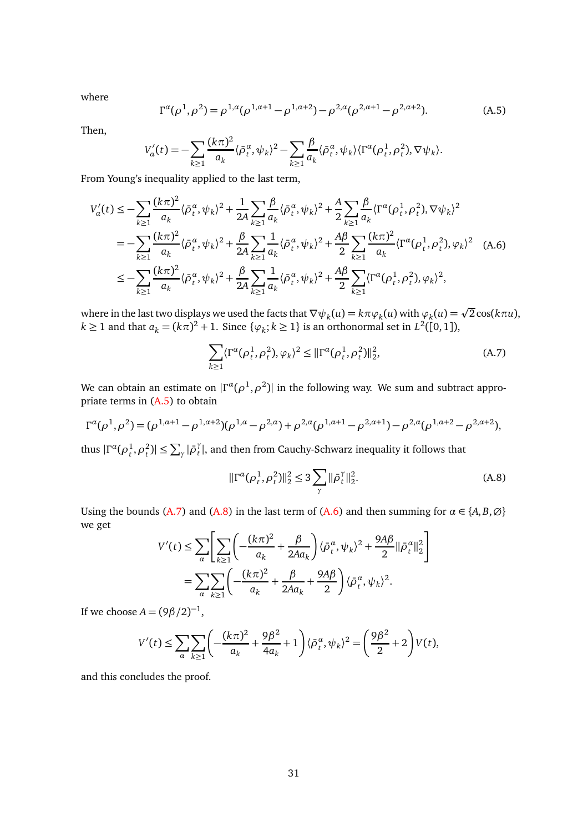where

<span id="page-30-0"></span>
$$
\Gamma^{\alpha}(\rho^{1}, \rho^{2}) = \rho^{1, \alpha}(\rho^{1, \alpha+1} - \rho^{1, \alpha+2}) - \rho^{2, \alpha}(\rho^{2, \alpha+1} - \rho^{2, \alpha+2}).
$$
 (A.5)

Then,

$$
V'_{\alpha}(t) = -\sum_{k\geq 1} \frac{(k\pi)^2}{a_k} \langle \bar{\rho}^{\alpha}_t, \psi_k \rangle^2 - \sum_{k\geq 1} \frac{\beta}{a_k} \langle \bar{\rho}^{\alpha}_t, \psi_k \rangle \langle \Gamma^{\alpha}(\rho^1_t, \rho^2_t), \nabla \psi_k \rangle.
$$

From Young's inequality applied to the last term,

<span id="page-30-3"></span>
$$
V'_{\alpha}(t) \leq -\sum_{k\geq 1} \frac{(k\pi)^2}{a_k} \langle \bar{\rho}^{\alpha}_t, \psi_k \rangle^2 + \frac{1}{2A} \sum_{k\geq 1} \frac{\beta}{a_k} \langle \bar{\rho}^{\alpha}_t, \psi_k \rangle^2 + \frac{A}{2} \sum_{k\geq 1} \frac{\beta}{a_k} \langle \Gamma^{\alpha}(\rho^1_t, \rho^2_t), \nabla \psi_k \rangle^2
$$
  
\n
$$
= -\sum_{k\geq 1} \frac{(k\pi)^2}{a_k} \langle \bar{\rho}^{\alpha}_t, \psi_k \rangle^2 + \frac{\beta}{2A} \sum_{k\geq 1} \frac{1}{a_k} \langle \bar{\rho}^{\alpha}_t, \psi_k \rangle^2 + \frac{A\beta}{2} \sum_{k\geq 1} \frac{(k\pi)^2}{a_k} \langle \Gamma^{\alpha}(\rho^1_t, \rho^2_t), \varphi_k \rangle^2 \quad (A.6)
$$
  
\n
$$
\leq -\sum_{k\geq 1} \frac{(k\pi)^2}{a_k} \langle \bar{\rho}^{\alpha}_t, \psi_k \rangle^2 + \frac{\beta}{2A} \sum_{k\geq 1} \frac{1}{a_k} \langle \bar{\rho}^{\alpha}_t, \psi_k \rangle^2 + \frac{A\beta}{2} \sum_{k\geq 1} \langle \Gamma^{\alpha}(\rho^1_t, \rho^2_t), \varphi_k \rangle^2,
$$

where in the last two displays we used the facts that  $\nabla \psi_k(u) = k\pi \varphi_k(u)$  with  $\varphi_k(u) = \sqrt{2}\cos(k\pi u)$ ,  $k ≥ 1$  and that  $a_k = (kπ)^2 + 1$ . Since  $\{\varphi_k; k ≥ 1\}$  is an orthonormal set in  $L^2([0, 1])$ ,

<span id="page-30-1"></span>
$$
\sum_{k\geq 1} \langle \Gamma^{\alpha}(\rho_t^1, \rho_t^2), \varphi_k \rangle^2 \leq ||\Gamma^{\alpha}(\rho_t^1, \rho_t^2)||_2^2, \tag{A.7}
$$

We can obtain an estimate on  $|\Gamma^{\alpha}(\rho^1,\rho^2)|$  in the following way. We sum and subtract appropriate terms in [\(A.5\)](#page-30-0) to obtain

$$
\Gamma^{\alpha}(\rho^{1}, \rho^{2}) = (\rho^{1, \alpha+1} - \rho^{1, \alpha+2})(\rho^{1, \alpha} - \rho^{2, \alpha}) + \rho^{2, \alpha}(\rho^{1, \alpha+1} - \rho^{2, \alpha+1}) - \rho^{2, \alpha}(\rho^{1, \alpha+2} - \rho^{2, \alpha+2}),
$$

thus  $|\Gamma^{\alpha}(\rho_t^1, \rho_t^2)| \leq \sum_{\gamma} |\bar{\rho}_t^{\gamma}|$ *t* |, and then from Cauchy-Schwarz inequality it follows that

<span id="page-30-2"></span>
$$
\|\Gamma^{\alpha}(\rho_t^1, \rho_t^2)\|_2^2 \le 3 \sum_{\gamma} \|\bar{\rho}_t^{\gamma}\|_2^2.
$$
 (A.8)

Using the bounds [\(A.7\)](#page-30-1) and [\(A.8\)](#page-30-2) in the last term of [\(A.6\)](#page-30-3) and then summing for  $\alpha \in \{A, B, \emptyset\}$ we get

$$
\begin{split} V'(t) &\leq \sum_{\alpha} \left[ \sum_{k\geq 1} \left( -\frac{(k\pi)^2}{a_k} + \frac{\beta}{2Aa_k} \right) \langle \bar{\rho}^{\alpha}_t, \psi_k \rangle^2 + \frac{9A\beta}{2} \|\bar{\rho}^{\alpha}_t\|_2^2 \right] \\ &= \sum_{\alpha} \sum_{k\geq 1} \left( -\frac{(k\pi)^2}{a_k} + \frac{\beta}{2Aa_k} + \frac{9A\beta}{2} \right) \langle \bar{\rho}^{\alpha}_t, \psi_k \rangle^2. \end{split}
$$

If we choose  $A = (9\beta/2)^{-1}$ ,

$$
V'(t) \le \sum_{\alpha} \sum_{k\ge 1} \left( -\frac{(k\pi)^2}{a_k} + \frac{9\beta^2}{4a_k} + 1 \right) \langle \bar{\rho}_t^{\alpha}, \psi_k \rangle^2 = \left( \frac{9\beta^2}{2} + 2 \right) V(t),
$$

and this concludes the proof.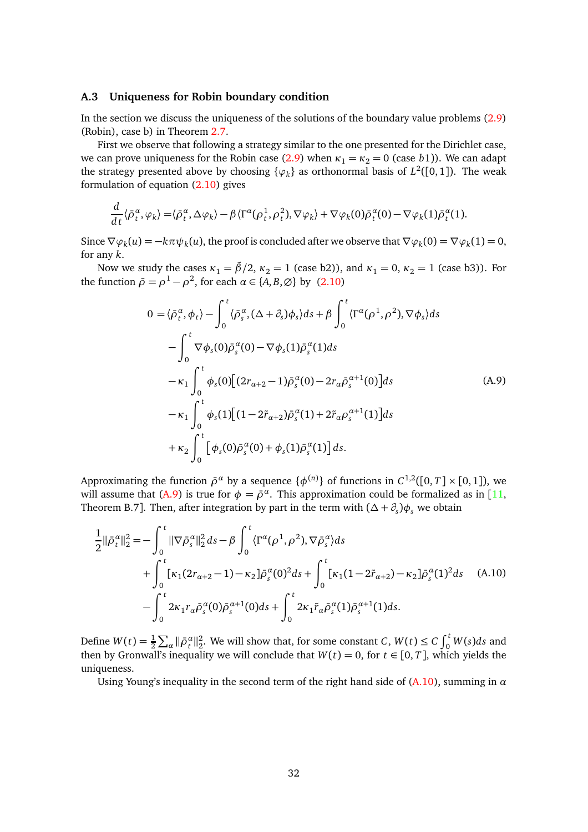## <span id="page-31-0"></span>**A.3 Uniqueness for Robin boundary condition**

In the section we discuss the uniqueness of the solutions of the boundary value problems [\(2.9\)](#page-5-2) (Robin), case b) in Theorem [2.7.](#page-6-2)

First we observe that following a strategy similar to the one presented for the Dirichlet case, we can prove uniqueness for the Robin case [\(2.9\)](#page-5-2) when  $\kappa_1 = \kappa_2 = 0$  (case *b*1)). We can adapt the strategy presented above by choosing  $\{\varphi_k\}$  as orthonormal basis of  $L^2([0,1])$ . The weak formulation of equation [\(2.10\)](#page-6-1) gives

$$
\frac{d}{dt}\langle \bar{\rho}_t^{\alpha}, \varphi_k \rangle = \langle \bar{\rho}_t^{\alpha}, \Delta \varphi_k \rangle - \beta \langle \Gamma^{\alpha}(\rho_t^1, \rho_t^2), \nabla \varphi_k \rangle + \nabla \varphi_k(0) \bar{\rho}_t^{\alpha}(0) - \nabla \varphi_k(1) \bar{\rho}_t^{\alpha}(1).
$$

Since  $\nabla \varphi_k(u) = -k\pi \psi_k(u)$ , the proof is concluded after we observe that  $\nabla \varphi_k(0) = \nabla \varphi_k(1) = 0$ , for any *k*.

Now we study the cases  $\kappa_1 = \tilde{\beta}/2$ ,  $\kappa_2 = 1$  (case b2)), and  $\kappa_1 = 0$ ,  $\kappa_2 = 1$  (case b3)). For the function  $\bar{\rho} = \rho^1 - \rho^2$ , for each  $\alpha \in \{A, B, \emptyset\}$  by [\(2.10\)](#page-6-1)

<span id="page-31-1"></span>
$$
0 = \langle \bar{\rho}^{\alpha}_{t}, \phi_{t} \rangle - \int_{0}^{t} \langle \bar{\rho}^{\alpha}_{s}, (\Delta + \partial_{s})\phi_{s} \rangle ds + \beta \int_{0}^{t} \langle \Gamma^{\alpha}(\rho^{1}, \rho^{2}), \nabla \phi_{s} \rangle ds - \int_{0}^{t} \nabla \phi_{s}(0) \bar{\rho}^{\alpha}_{s}(0) - \nabla \phi_{s}(1) \bar{\rho}^{\alpha}_{s}(1) ds - \kappa_{1} \int_{0}^{t} \phi_{s}(0) [(2r_{\alpha+2} - 1) \bar{\rho}^{\alpha}_{s}(0) - 2r_{\alpha} \bar{\rho}^{\alpha+1}_{s}(0)] ds - \kappa_{1} \int_{0}^{t} \phi_{s}(1) [(1 - 2\tilde{r}_{\alpha+2}) \bar{\rho}^{\alpha}_{s}(1) + 2\tilde{r}_{\alpha} \rho^{\alpha+1}_{s}(1)] ds + \kappa_{2} \int_{0}^{t} [\phi_{s}(0) \bar{\rho}^{\alpha}_{s}(0) + \phi_{s}(1) \bar{\rho}^{\alpha}_{s}(1)] ds.
$$
\n(A.9)

Approximating the function  $\bar{\rho}^{\alpha}$  by a sequence  $\{\phi^{(n)}\}$  of functions in  $C^{1,2}([0,T] \times [0,1])$ , we will assume that [\(A.9\)](#page-31-1) is true for  $\phi = \bar{\rho}^{\alpha}$ . This approximation could be formalized as in [[11,](#page-33-13) Theorem B.7]. Then, after integration by part in the term with  $(\Delta + \partial_s)\phi_s$  we obtain

<span id="page-31-2"></span>
$$
\frac{1}{2} ||\bar{\rho}_t^{\alpha}||_2^2 = -\int_0^t ||\nabla \bar{\rho}_s^{\alpha}||_2^2 ds - \beta \int_0^t \langle \Gamma^{\alpha}(\rho^1, \rho^2), \nabla \bar{\rho}_s^{\alpha} \rangle ds \n+ \int_0^t [\kappa_1(2r_{\alpha+2} - 1) - \kappa_2] \bar{\rho}_s^{\alpha}(0)^2 ds + \int_0^t [\kappa_1(1 - 2\tilde{r}_{\alpha+2}) - \kappa_2] \bar{\rho}_s^{\alpha}(1)^2 ds \quad (A.10)\n- \int_0^t 2\kappa_1 r_{\alpha} \bar{\rho}_s^{\alpha}(0) \bar{\rho}_s^{\alpha+1}(0) ds + \int_0^t 2\kappa_1 \tilde{r}_{\alpha} \bar{\rho}_s^{\alpha}(1) \bar{\rho}_s^{\alpha+1}(1) ds.
$$

Define  $W(t) = \frac{1}{2} \sum_{\alpha} {\|\bar{\rho}_t^{\alpha}\|_2^2}$ . We will show that, for some constant *C*,  $W(t) \le C \int_0^t W(s) ds$  and then by Gronwall's inequality we will conclude that  $W(t) = 0$ , for  $t \in [0, T]$ , which yields the uniqueness.

Using Young's inequality in the second term of the right hand side of  $(A.10)$ , summing in  $\alpha$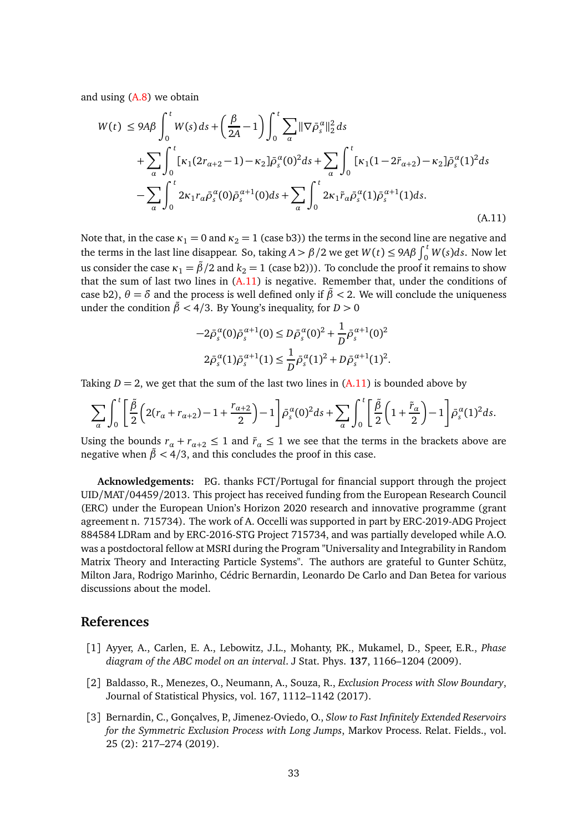and using [\(A.8\)](#page-30-2) we obtain

<span id="page-32-3"></span>
$$
W(t) \le 9A\beta \int_0^t W(s) \, ds + \left(\frac{\beta}{2A} - 1\right) \int_0^t \sum_{\alpha} ||\nabla \bar{\rho}_s^{\alpha}||_2^2 \, ds
$$
  
+ 
$$
\sum_{\alpha} \int_0^t [\kappa_1(2r_{\alpha+2} - 1) - \kappa_2] \bar{\rho}_s^{\alpha}(0)^2 \, ds + \sum_{\alpha} \int_0^t [\kappa_1(1 - 2\tilde{r}_{\alpha+2}) - \kappa_2] \bar{\rho}_s^{\alpha}(1)^2 \, ds
$$
  
- 
$$
\sum_{\alpha} \int_0^t 2\kappa_1 r_{\alpha} \bar{\rho}_s^{\alpha}(0) \bar{\rho}_s^{\alpha+1}(0) \, ds + \sum_{\alpha} \int_0^t 2\kappa_1 \tilde{r}_{\alpha} \bar{\rho}_s^{\alpha}(1) \bar{\rho}_s^{\alpha+1}(1) \, ds.
$$
\n(A.11)

Note that, in the case  $\kappa_1 = 0$  and  $\kappa_2 = 1$  (case b3)) the terms in the second line are negative and the terms in the last line disappear. So, taking  $A > \beta/2$  we get  $W(t) \le 9A\beta \int_0^t W(s)ds$ . Now let us consider the case  $\kappa_1 = \tilde{\beta}/2$  and  $k_2 = 1$  (case b2))). To conclude the proof it remains to show that the sum of last two lines in  $(A.11)$  is negative. Remember that, under the conditions of case b2),  $\theta = \delta$  and the process is well defined only if  $\beta < 2$ . We will conclude the uniqueness under the condition  $\tilde{\beta}$  < 4/3. By Young's inequality, for *D* > 0

$$
-2\bar{\rho}_s^{\alpha}(0)\bar{\rho}_s^{\alpha+1}(0) \le D\bar{\rho}_s^{\alpha}(0)^2 + \frac{1}{D}\bar{\rho}_s^{\alpha+1}(0)^2
$$
  

$$
2\bar{\rho}_s^{\alpha}(1)\bar{\rho}_s^{\alpha+1}(1) \le \frac{1}{D}\bar{\rho}_s^{\alpha}(1)^2 + D\bar{\rho}_s^{\alpha+1}(1)^2.
$$

Taking  $D = 2$ , we get that the sum of the last two lines in  $(A.11)$  is bounded above by

$$
\sum_{\alpha} \int_0^t \left[ \frac{\tilde{\beta}}{2} \left( 2(r_\alpha + r_{\alpha+2}) - 1 + \frac{r_{\alpha+2}}{2} \right) - 1 \right] \bar{\rho}_s^{\alpha}(0)^2 ds + \sum_{\alpha} \int_0^t \left[ \frac{\tilde{\beta}}{2} \left( 1 + \frac{\tilde{r}_\alpha}{2} \right) - 1 \right] \bar{\rho}_s^{\alpha}(1)^2 ds.
$$

Using the bounds  $r_a + r_{a+2} \leq 1$  and  $\tilde{r}_a \leq 1$  we see that the terms in the brackets above are negative when  $\tilde{\beta}$  < 4/3, and this concludes the proof in this case.

**Acknowledgements:** P.G. thanks FCT/Portugal for financial support through the project UID/MAT/04459/2013. This project has received funding from the European Research Council (ERC) under the European Union's Horizon 2020 research and innovative programme (grant agreement n. 715734). The work of A. Occelli was supported in part by ERC-2019-ADG Project 884584 LDRam and by ERC-2016-STG Project 715734, and was partially developed while A.O. was a postdoctoral fellow at MSRI during the Program "Universality and Integrability in Random Matrix Theory and Interacting Particle Systems". The authors are grateful to Gunter Schütz, Milton Jara, Rodrigo Marinho, Cédric Bernardin, Leonardo De Carlo and Dan Betea for various discussions about the model.

# <span id="page-32-0"></span>**References**

- [1] Ayyer, A., Carlen, E. A., Lebowitz, J.L., Mohanty, P.K., Mukamel, D., Speer, E.R., *Phase diagram of the ABC model on an interval*. J Stat. Phys. **137**, 1166–1204 (2009).
- <span id="page-32-1"></span>[2] Baldasso, R., Menezes, O., Neumann, A., Souza, R., *Exclusion Process with Slow Boundary*, Journal of Statistical Physics, vol. 167, 1112–1142 (2017).
- <span id="page-32-2"></span>[3] Bernardin, C., Gonçalves, P., Jimenez-Oviedo, O., *Slow to Fast Infinitely Extended Reservoirs for the Symmetric Exclusion Process with Long Jumps*, Markov Process. Relat. Fields., vol. 25 (2): 217–274 (2019).